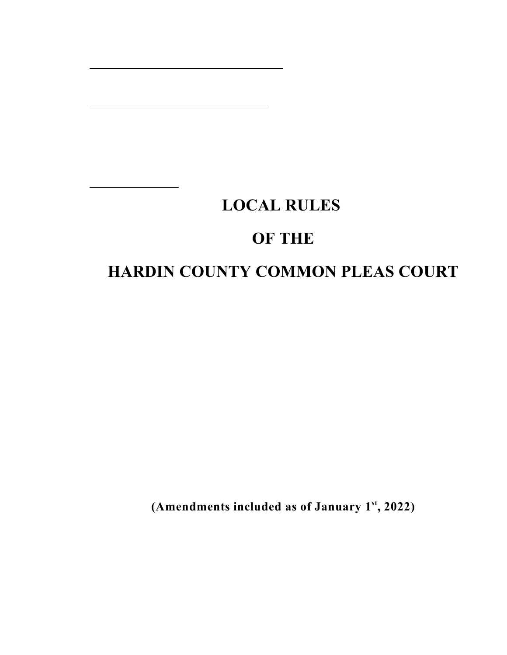# **LOCAL RULES OF THE HARDIN COUNTY COMMON PLEAS COURT**

(Amendments included as of January  $1<sup>st</sup>$ , 2022)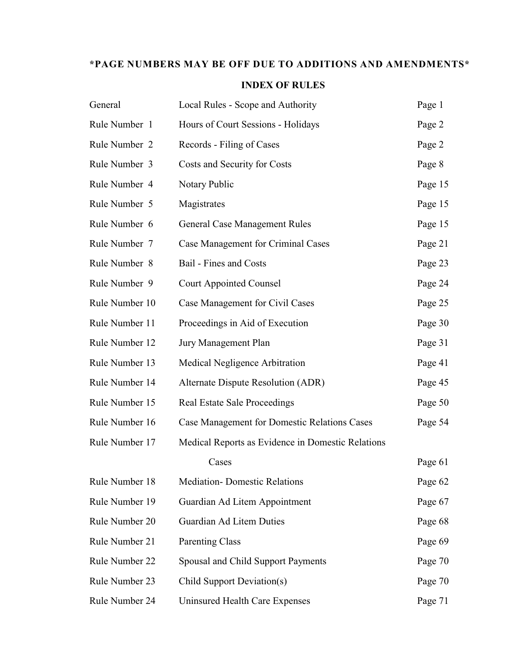# **\*PAGE NUMBERS MAY BE OFF DUE TO ADDITIONS AND AMENDMENTS\***

# **INDEX OF RULES**

| General        | Local Rules - Scope and Authority                   | Page 1  |
|----------------|-----------------------------------------------------|---------|
| Rule Number 1  | Hours of Court Sessions - Holidays                  | Page 2  |
| Rule Number 2  | Records - Filing of Cases                           | Page 2  |
| Rule Number 3  | Costs and Security for Costs                        | Page 8  |
| Rule Number 4  | Notary Public                                       | Page 15 |
| Rule Number 5  | Magistrates                                         | Page 15 |
| Rule Number 6  | <b>General Case Management Rules</b>                | Page 15 |
| Rule Number 7  | Case Management for Criminal Cases                  | Page 21 |
| Rule Number 8  | Bail - Fines and Costs                              | Page 23 |
| Rule Number 9  | <b>Court Appointed Counsel</b>                      | Page 24 |
| Rule Number 10 | Case Management for Civil Cases                     | Page 25 |
| Rule Number 11 | Proceedings in Aid of Execution                     | Page 30 |
| Rule Number 12 | Jury Management Plan                                | Page 31 |
| Rule Number 13 | Medical Negligence Arbitration                      | Page 41 |
| Rule Number 14 | Alternate Dispute Resolution (ADR)                  | Page 45 |
| Rule Number 15 | <b>Real Estate Sale Proceedings</b>                 | Page 50 |
| Rule Number 16 | <b>Case Management for Domestic Relations Cases</b> | Page 54 |
| Rule Number 17 | Medical Reports as Evidence in Domestic Relations   |         |
|                | Cases                                               | Page 61 |
| Rule Number 18 | <b>Mediation-</b> Domestic Relations                | Page 62 |
| Rule Number 19 | Guardian Ad Litem Appointment                       | Page 67 |
| Rule Number 20 | Guardian Ad Litem Duties                            | Page 68 |
| Rule Number 21 | <b>Parenting Class</b>                              | Page 69 |
| Rule Number 22 | Spousal and Child Support Payments                  | Page 70 |
| Rule Number 23 | Child Support Deviation(s)                          | Page 70 |
| Rule Number 24 | <b>Uninsured Health Care Expenses</b>               | Page 71 |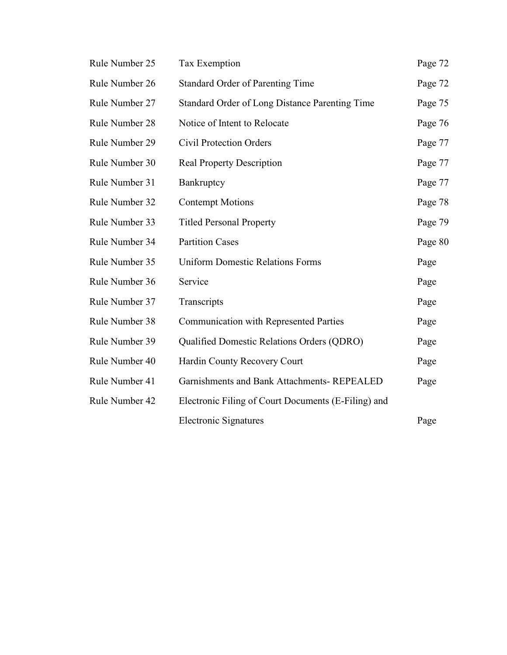| Rule Number 25 | <b>Tax Exemption</b>                                | Page 72 |
|----------------|-----------------------------------------------------|---------|
| Rule Number 26 | <b>Standard Order of Parenting Time</b>             | Page 72 |
| Rule Number 27 | Standard Order of Long Distance Parenting Time      | Page 75 |
| Rule Number 28 | Notice of Intent to Relocate                        | Page 76 |
| Rule Number 29 | <b>Civil Protection Orders</b>                      | Page 77 |
| Rule Number 30 | <b>Real Property Description</b>                    | Page 77 |
| Rule Number 31 | Bankruptcy                                          | Page 77 |
| Rule Number 32 | <b>Contempt Motions</b>                             | Page 78 |
| Rule Number 33 | <b>Titled Personal Property</b>                     | Page 79 |
| Rule Number 34 | <b>Partition Cases</b>                              | Page 80 |
| Rule Number 35 | <b>Uniform Domestic Relations Forms</b>             | Page    |
| Rule Number 36 | Service                                             | Page    |
| Rule Number 37 | Transcripts                                         | Page    |
| Rule Number 38 | <b>Communication with Represented Parties</b>       | Page    |
| Rule Number 39 | Qualified Domestic Relations Orders (QDRO)          | Page    |
| Rule Number 40 | Hardin County Recovery Court                        | Page    |
| Rule Number 41 | Garnishments and Bank Attachments-REPEALED          | Page    |
| Rule Number 42 | Electronic Filing of Court Documents (E-Filing) and |         |
|                | <b>Electronic Signatures</b>                        | Page    |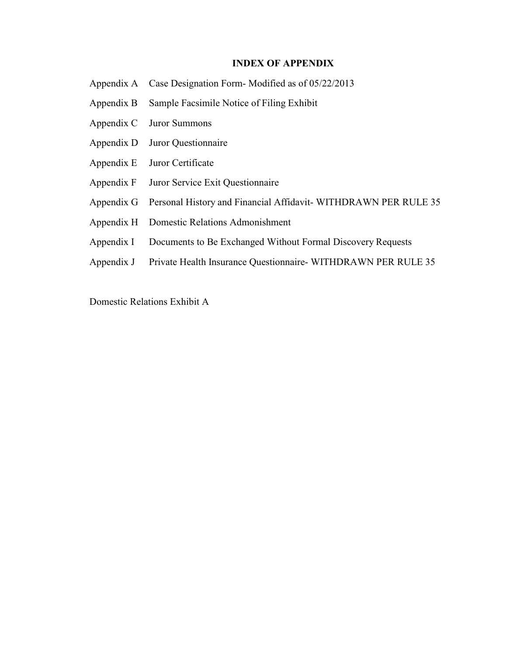## **INDEX OF APPENDIX**

- Appendix A Case Designation Form- Modified as of 05/22/2013
- Appendix B Sample Facsimile Notice of Filing Exhibit
- Appendix C Juror Summons
- Appendix D Juror Questionnaire
- Appendix E Juror Certificate
- Appendix F Juror Service Exit Questionnaire
- Appendix G Personal History and Financial Affidavit-WITHDRAWN PER RULE 35
- Appendix H Domestic Relations Admonishment
- Appendix I Documents to Be Exchanged Without Formal Discovery Requests
- Appendix J Private Health Insurance Questionnaire- WITHDRAWN PER RULE 35

Domestic Relations Exhibit A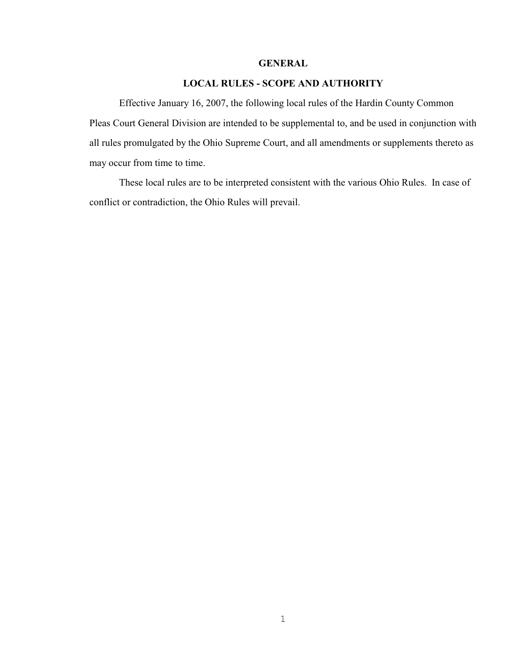# **GENERAL**

# **LOCAL RULES - SCOPE AND AUTHORITY**

Effective January 16, 2007, the following local rules of the Hardin County Common Pleas Court General Division are intended to be supplemental to, and be used in conjunction with all rules promulgated by the Ohio Supreme Court, and all amendments or supplements thereto as may occur from time to time.

These local rules are to be interpreted consistent with the various Ohio Rules. In case of conflict or contradiction, the Ohio Rules will prevail.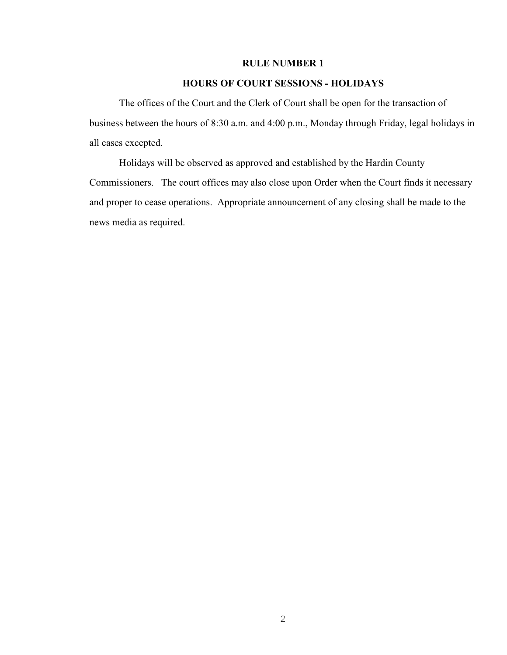# **RULE NUMBER 1**

# **HOURS OF COURT SESSIONS - HOLIDAYS**

The offices of the Court and the Clerk of Court shall be open for the transaction of business between the hours of 8:30 a.m. and 4:00 p.m., Monday through Friday, legal holidays in all cases excepted.

Holidays will be observed as approved and established by the Hardin County Commissioners. The court offices may also close upon Order when the Court finds it necessary and proper to cease operations. Appropriate announcement of any closing shall be made to the news media as required.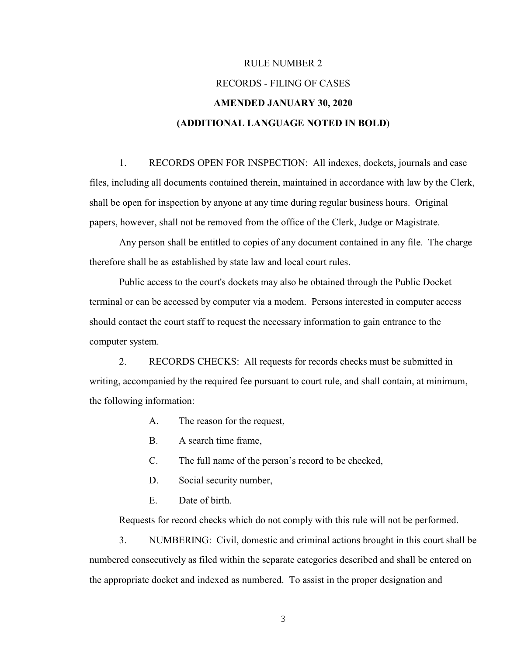# RULE NUMBER 2 RECORDS - FILING OF CASES **AMENDED JANUARY 30, 2020 (ADDITIONAL LANGUAGE NOTED IN BOLD**)

1. RECORDS OPEN FOR INSPECTION: All indexes, dockets, journals and case files, including all documents contained therein, maintained in accordance with law by the Clerk, shall be open for inspection by anyone at any time during regular business hours. Original papers, however, shall not be removed from the office of the Clerk, Judge or Magistrate.

Any person shall be entitled to copies of any document contained in any file. The charge therefore shall be as established by state law and local court rules.

Public access to the court's dockets may also be obtained through the Public Docket terminal or can be accessed by computer via a modem. Persons interested in computer access should contact the court staff to request the necessary information to gain entrance to the computer system.

2. RECORDS CHECKS: All requests for records checks must be submitted in writing, accompanied by the required fee pursuant to court rule, and shall contain, at minimum, the following information:

- A. The reason for the request,
- B. A search time frame,
- C. The full name of the person's record to be checked,
- D. Social security number,
- E. Date of birth.

Requests for record checks which do not comply with this rule will not be performed.

3. NUMBERING: Civil, domestic and criminal actions brought in this court shall be numbered consecutively as filed within the separate categories described and shall be entered on the appropriate docket and indexed as numbered. To assist in the proper designation and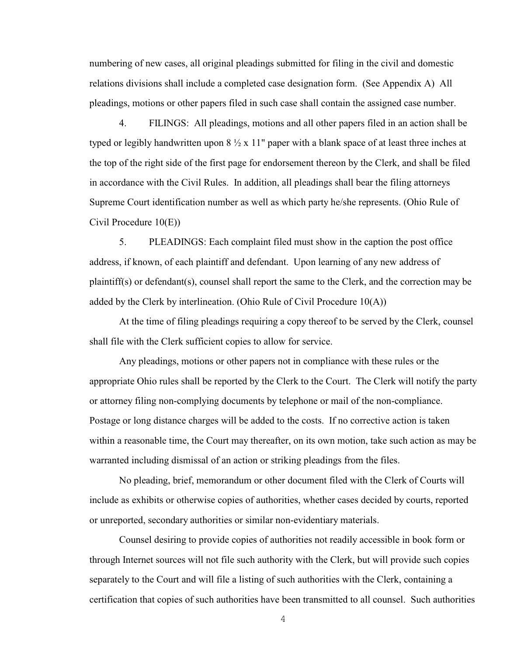numbering of new cases, all original pleadings submitted for filing in the civil and domestic relations divisions shall include a completed case designation form. (See Appendix A) All pleadings, motions or other papers filed in such case shall contain the assigned case number.

4. FILINGS: All pleadings, motions and all other papers filed in an action shall be typed or legibly handwritten upon  $8\frac{1}{2}$  x 11" paper with a blank space of at least three inches at the top of the right side of the first page for endorsement thereon by the Clerk, and shall be filed in accordance with the Civil Rules. In addition, all pleadings shall bear the filing attorneys Supreme Court identification number as well as which party he/she represents. (Ohio Rule of Civil Procedure 10(E))

5. PLEADINGS: Each complaint filed must show in the caption the post office address, if known, of each plaintiff and defendant. Upon learning of any new address of plaintiff(s) or defendant(s), counsel shall report the same to the Clerk, and the correction may be added by the Clerk by interlineation. (Ohio Rule of Civil Procedure  $10(A)$ )

At the time of filing pleadings requiring a copy thereof to be served by the Clerk, counsel shall file with the Clerk sufficient copies to allow for service.

Any pleadings, motions or other papers not in compliance with these rules or the appropriate Ohio rules shall be reported by the Clerk to the Court. The Clerk will notify the party or attorney filing non-complying documents by telephone or mail of the non-compliance. Postage or long distance charges will be added to the costs. If no corrective action is taken within a reasonable time, the Court may thereafter, on its own motion, take such action as may be warranted including dismissal of an action or striking pleadings from the files.

No pleading, brief, memorandum or other document filed with the Clerk of Courts will include as exhibits or otherwise copies of authorities, whether cases decided by courts, reported or unreported, secondary authorities or similar non-evidentiary materials.

Counsel desiring to provide copies of authorities not readily accessible in book form or through Internet sources will not file such authority with the Clerk, but will provide such copies separately to the Court and will file a listing of such authorities with the Clerk, containing a certification that copies of such authorities have been transmitted to all counsel. Such authorities

4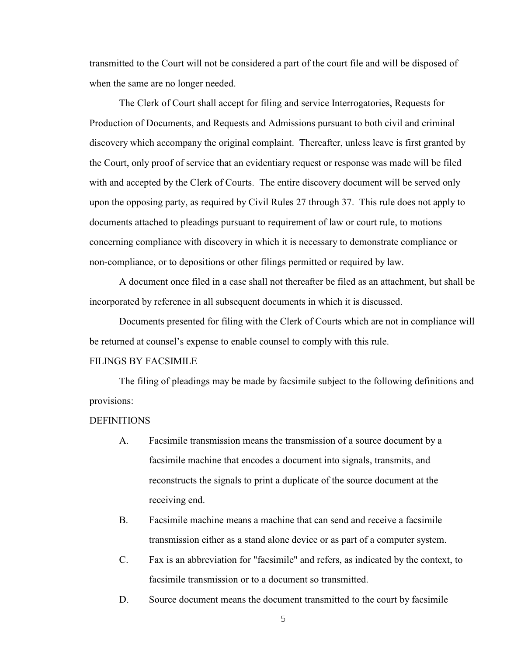transmitted to the Court will not be considered a part of the court file and will be disposed of when the same are no longer needed.

The Clerk of Court shall accept for filing and service Interrogatories, Requests for Production of Documents, and Requests and Admissions pursuant to both civil and criminal discovery which accompany the original complaint. Thereafter, unless leave is first granted by the Court, only proof of service that an evidentiary request or response was made will be filed with and accepted by the Clerk of Courts. The entire discovery document will be served only upon the opposing party, as required by Civil Rules 27 through 37. This rule does not apply to documents attached to pleadings pursuant to requirement of law or court rule, to motions concerning compliance with discovery in which it is necessary to demonstrate compliance or non-compliance, or to depositions or other filings permitted or required by law.

A document once filed in a case shall not thereafter be filed as an attachment, but shall be incorporated by reference in all subsequent documents in which it is discussed.

Documents presented for filing with the Clerk of Courts which are not in compliance will be returned at counsel's expense to enable counsel to comply with this rule.

#### FILINGS BY FACSIMILE

The filing of pleadings may be made by facsimile subject to the following definitions and provisions:

#### **DEFINITIONS**

- A. Facsimile transmission means the transmission of a source document by a facsimile machine that encodes a document into signals, transmits, and reconstructs the signals to print a duplicate of the source document at the receiving end.
- B. Facsimile machine means a machine that can send and receive a facsimile transmission either as a stand alone device or as part of a computer system.
- C. Fax is an abbreviation for "facsimile" and refers, as indicated by the context, to facsimile transmission or to a document so transmitted.
- D. Source document means the document transmitted to the court by facsimile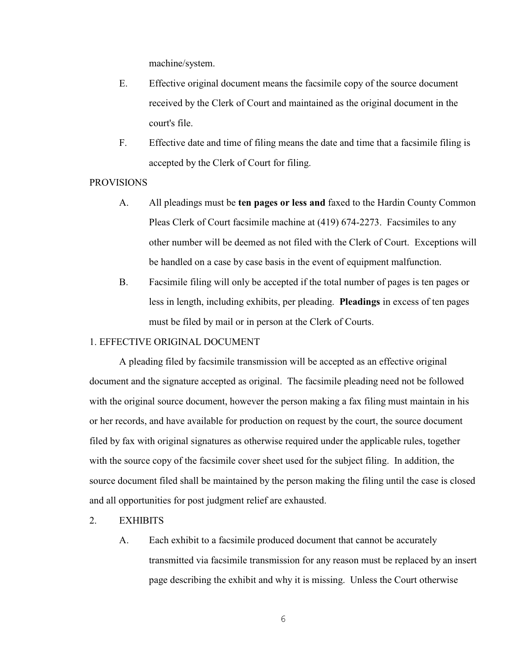machine/system.

- E. Effective original document means the facsimile copy of the source document received by the Clerk of Court and maintained as the original document in the court's file.
- F. Effective date and time of filing means the date and time that a facsimile filing is accepted by the Clerk of Court for filing.

#### PROVISIONS

- A. All pleadings must be **ten pages or less and** faxed to the Hardin County Common Pleas Clerk of Court facsimile machine at (419) 674-2273. Facsimiles to any other number will be deemed as not filed with the Clerk of Court. Exceptions will be handled on a case by case basis in the event of equipment malfunction.
- B. Facsimile filing will only be accepted if the total number of pages is ten pages or less in length, including exhibits, per pleading. **Pleadings** in excess of ten pages must be filed by mail or in person at the Clerk of Courts.

# 1. EFFECTIVE ORIGINAL DOCUMENT

A pleading filed by facsimile transmission will be accepted as an effective original document and the signature accepted as original. The facsimile pleading need not be followed with the original source document, however the person making a fax filing must maintain in his or her records, and have available for production on request by the court, the source document filed by fax with original signatures as otherwise required under the applicable rules, together with the source copy of the facsimile cover sheet used for the subject filing. In addition, the source document filed shall be maintained by the person making the filing until the case is closed and all opportunities for post judgment relief are exhausted.

- 2. EXHIBITS
	- A. Each exhibit to a facsimile produced document that cannot be accurately transmitted via facsimile transmission for any reason must be replaced by an insert page describing the exhibit and why it is missing. Unless the Court otherwise

6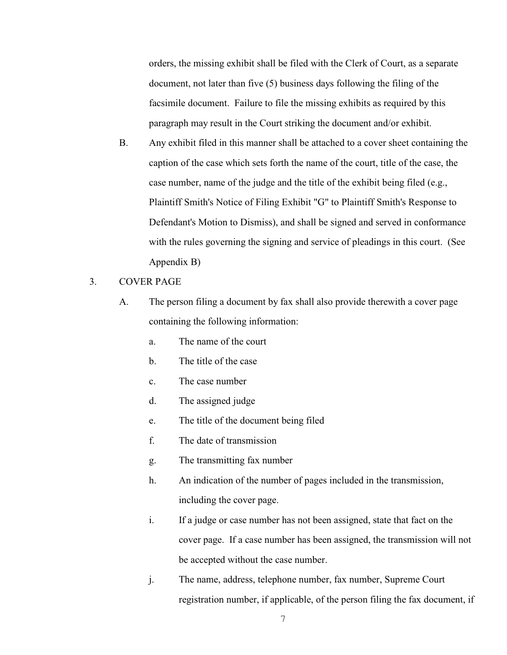orders, the missing exhibit shall be filed with the Clerk of Court, as a separate document, not later than five (5) business days following the filing of the facsimile document. Failure to file the missing exhibits as required by this paragraph may result in the Court striking the document and/or exhibit.

- B. Any exhibit filed in this manner shall be attached to a cover sheet containing the caption of the case which sets forth the name of the court, title of the case, the case number, name of the judge and the title of the exhibit being filed (e.g., Plaintiff Smith's Notice of Filing Exhibit "G" to Plaintiff Smith's Response to Defendant's Motion to Dismiss), and shall be signed and served in conformance with the rules governing the signing and service of pleadings in this court. (See Appendix B)
- 3. COVER PAGE
	- A. The person filing a document by fax shall also provide therewith a cover page containing the following information:
		- a. The name of the court
		- b. The title of the case
		- c. The case number
		- d. The assigned judge
		- e. The title of the document being filed
		- f. The date of transmission
		- g. The transmitting fax number
		- h. An indication of the number of pages included in the transmission, including the cover page.
		- i. If a judge or case number has not been assigned, state that fact on the cover page. If a case number has been assigned, the transmission will not be accepted without the case number.
		- j. The name, address, telephone number, fax number, Supreme Court registration number, if applicable, of the person filing the fax document, if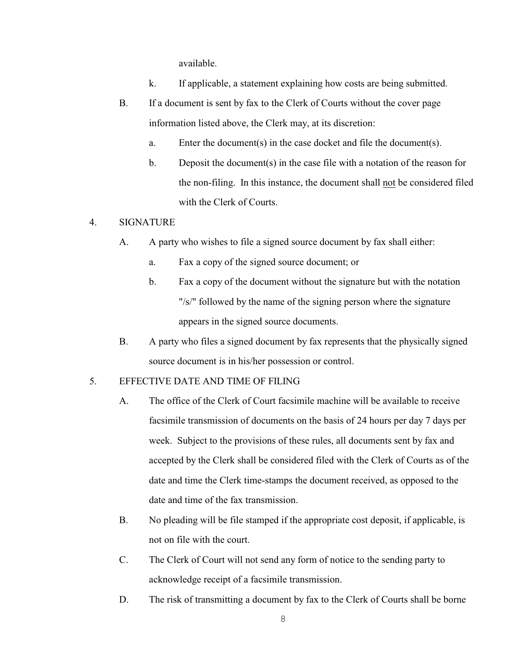available.

- k. If applicable, a statement explaining how costs are being submitted.
- B. If a document is sent by fax to the Clerk of Courts without the cover page information listed above, the Clerk may, at its discretion:
	- a. Enter the document(s) in the case docket and file the document(s).
	- b. Deposit the document(s) in the case file with a notation of the reason for the non-filing. In this instance, the document shall not be considered filed with the Clerk of Courts.

# 4. SIGNATURE

- A. A party who wishes to file a signed source document by fax shall either:
	- a. Fax a copy of the signed source document; or
	- b. Fax a copy of the document without the signature but with the notation "/s/" followed by the name of the signing person where the signature appears in the signed source documents.
- B. A party who files a signed document by fax represents that the physically signed source document is in his/her possession or control.

# 5. EFFECTIVE DATE AND TIME OF FILING

- A. The office of the Clerk of Court facsimile machine will be available to receive facsimile transmission of documents on the basis of 24 hours per day 7 days per week. Subject to the provisions of these rules, all documents sent by fax and accepted by the Clerk shall be considered filed with the Clerk of Courts as of the date and time the Clerk time-stamps the document received, as opposed to the date and time of the fax transmission.
- B. No pleading will be file stamped if the appropriate cost deposit, if applicable, is not on file with the court.
- C. The Clerk of Court will not send any form of notice to the sending party to acknowledge receipt of a facsimile transmission.
- D. The risk of transmitting a document by fax to the Clerk of Courts shall be borne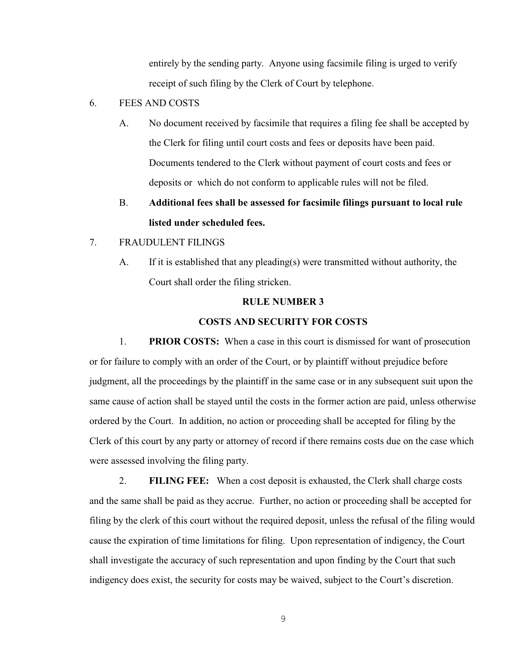entirely by the sending party. Anyone using facsimile filing is urged to verify receipt of such filing by the Clerk of Court by telephone.

- 6. FEES AND COSTS
	- A. No document received by facsimile that requires a filing fee shall be accepted by the Clerk for filing until court costs and fees or deposits have been paid. Documents tendered to the Clerk without payment of court costs and fees or deposits or which do not conform to applicable rules will not be filed.
	- B. **Additional fees shall be assessed for facsimile filings pursuant to local rule listed under scheduled fees.**
- 7. FRAUDULENT FILINGS
	- A. If it is established that any pleading(s) were transmitted without authority, the Court shall order the filing stricken.

#### **RULE NUMBER 3**

#### **COSTS AND SECURITY FOR COSTS**

1. **PRIOR COSTS:** When a case in this court is dismissed for want of prosecution or for failure to comply with an order of the Court, or by plaintiff without prejudice before judgment, all the proceedings by the plaintiff in the same case or in any subsequent suit upon the same cause of action shall be stayed until the costs in the former action are paid, unless otherwise ordered by the Court. In addition, no action or proceeding shall be accepted for filing by the Clerk of this court by any party or attorney of record if there remains costs due on the case which were assessed involving the filing party.

2. **FILING FEE:** When a cost deposit is exhausted, the Clerk shall charge costs and the same shall be paid as they accrue. Further, no action or proceeding shall be accepted for filing by the clerk of this court without the required deposit, unless the refusal of the filing would cause the expiration of time limitations for filing. Upon representation of indigency, the Court shall investigate the accuracy of such representation and upon finding by the Court that such indigency does exist, the security for costs may be waived, subject to the Court's discretion.

9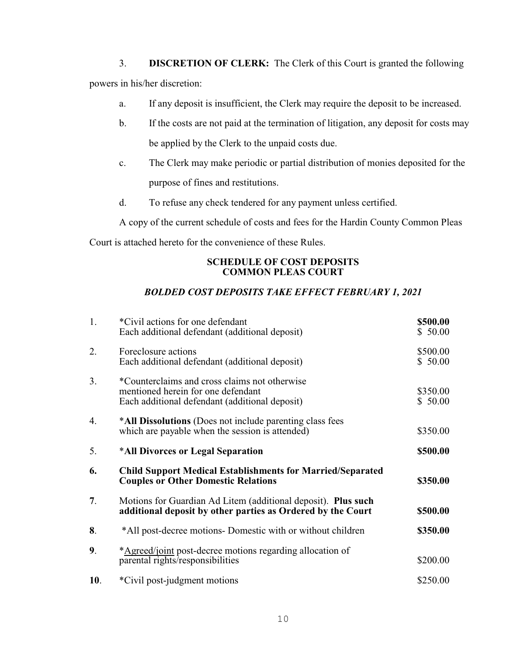3. **DISCRETION OF CLERK:** The Clerk of this Court is granted the following

powers in his/her discretion:

- a. If any deposit is insufficient, the Clerk may require the deposit to be increased.
- b. If the costs are not paid at the termination of litigation, any deposit for costs may be applied by the Clerk to the unpaid costs due.
- c. The Clerk may make periodic or partial distribution of monies deposited for the purpose of fines and restitutions.
- d. To refuse any check tendered for any payment unless certified.

A copy of the current schedule of costs and fees for the Hardin County Common Pleas

Court is attached hereto for the convenience of these Rules.

# **SCHEDULE OF COST DEPOSITS COMMON PLEAS COURT**

# *BOLDED COST DEPOSITS TAKE EFFECT FEBRUARY 1, 2021*

| 1.             | *Civil actions for one defendant<br>Each additional defendant (additional deposit)                                                    | \$500.00<br>\$50.00 |
|----------------|---------------------------------------------------------------------------------------------------------------------------------------|---------------------|
| 2.             | Foreclosure actions<br>Each additional defendant (additional deposit)                                                                 | \$500.00<br>\$50.00 |
| 3.             | *Counterclaims and cross claims not otherwise<br>mentioned herein for one defendant<br>Each additional defendant (additional deposit) | \$350.00<br>\$50.00 |
| 4.             | *All Dissolutions (Does not include parenting class fees<br>which are payable when the session is attended)                           | \$350.00            |
| 5.             | *All Divorces or Legal Separation                                                                                                     | \$500.00            |
| 6.             | <b>Child Support Medical Establishments for Married/Separated</b><br><b>Couples or Other Domestic Relations</b>                       | \$350.00            |
| 7.             | Motions for Guardian Ad Litem (additional deposit). <b>Plus such</b><br>additional deposit by other parties as Ordered by the Court   | \$500.00            |
| 8.             | *All post-decree motions- Domestic with or without children                                                                           | \$350.00            |
| 9 <sub>1</sub> | *Agreed/joint post-decree motions regarding allocation of<br>parental rights/responsibilities                                         | \$200.00            |
| 10.            | *Civil post-judgment motions                                                                                                          | \$250.00            |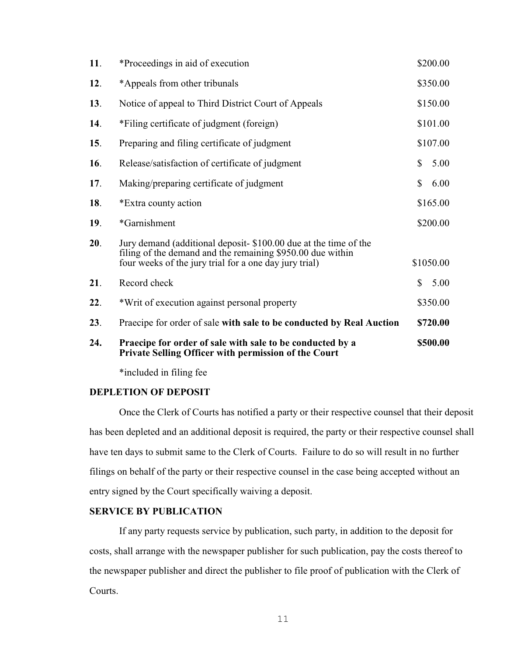| 24. | Praecipe for order of sale with sale to be conducted by a<br>Private Selling Officer with permission of the Court                                                                       |              | \$500.00  |
|-----|-----------------------------------------------------------------------------------------------------------------------------------------------------------------------------------------|--------------|-----------|
| 23. | Praecipe for order of sale with sale to be conducted by Real Auction                                                                                                                    |              | \$720.00  |
| 22. | *Writ of execution against personal property                                                                                                                                            |              | \$350.00  |
| 21. | Record check                                                                                                                                                                            | $\mathbb{S}$ | 5.00      |
| 20. | Jury demand (additional deposit-\$100.00 due at the time of the<br>filing of the demand and the remaining \$950.00 due within<br>four weeks of the jury trial for a one day jury trial) |              | \$1050.00 |
| 19. | *Garnishment                                                                                                                                                                            |              | \$200.00  |
| 18. | *Extra county action                                                                                                                                                                    |              | \$165.00  |
| 17. | Making/preparing certificate of judgment                                                                                                                                                | $\mathbb{S}$ | 6.00      |
| 16. | Release/satisfaction of certificate of judgment                                                                                                                                         | $\mathbb{S}$ | 5.00      |
| 15. | Preparing and filing certificate of judgment                                                                                                                                            |              | \$107.00  |
| 14. | *Filing certificate of judgment (foreign)                                                                                                                                               |              | \$101.00  |
| 13. | Notice of appeal to Third District Court of Appeals                                                                                                                                     |              | \$150.00  |
| 12. | *Appeals from other tribunals                                                                                                                                                           |              | \$350.00  |
| 11. | *Proceedings in aid of execution                                                                                                                                                        |              | \$200.00  |

\*included in filing fee

### **DEPLETION OF DEPOSIT**

Once the Clerk of Courts has notified a party or their respective counsel that their deposit has been depleted and an additional deposit is required, the party or their respective counsel shall have ten days to submit same to the Clerk of Courts. Failure to do so will result in no further filings on behalf of the party or their respective counsel in the case being accepted without an entry signed by the Court specifically waiving a deposit.

# **SERVICE BY PUBLICATION**

If any party requests service by publication, such party, in addition to the deposit for costs, shall arrange with the newspaper publisher for such publication, pay the costs thereof to the newspaper publisher and direct the publisher to file proof of publication with the Clerk of Courts.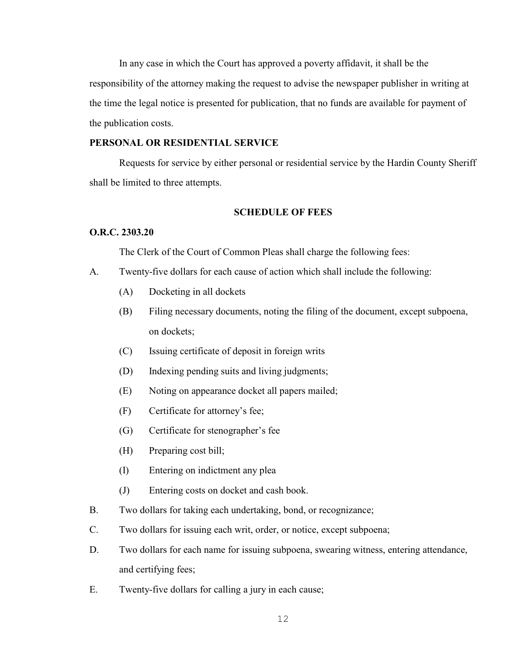In any case in which the Court has approved a poverty affidavit, it shall be the responsibility of the attorney making the request to advise the newspaper publisher in writing at the time the legal notice is presented for publication, that no funds are available for payment of the publication costs.

#### **PERSONAL OR RESIDENTIAL SERVICE**

Requests for service by either personal or residential service by the Hardin County Sheriff shall be limited to three attempts.

#### **SCHEDULE OF FEES**

# **O.R.C. 2303.20**

The Clerk of the Court of Common Pleas shall charge the following fees:

- A. Twenty-five dollars for each cause of action which shall include the following:
	- (A) Docketing in all dockets
	- (B) Filing necessary documents, noting the filing of the document, except subpoena, on dockets;
	- (C) Issuing certificate of deposit in foreign writs
	- (D) Indexing pending suits and living judgments;
	- (E) Noting on appearance docket all papers mailed;
	- (F) Certificate for attorney's fee;
	- (G) Certificate for stenographer's fee
	- (H) Preparing cost bill;
	- (I) Entering on indictment any plea
	- (J) Entering costs on docket and cash book.
- B. Two dollars for taking each undertaking, bond, or recognizance;
- C. Two dollars for issuing each writ, order, or notice, except subpoena;
- D. Two dollars for each name for issuing subpoena, swearing witness, entering attendance, and certifying fees;
- E. Twenty-five dollars for calling a jury in each cause;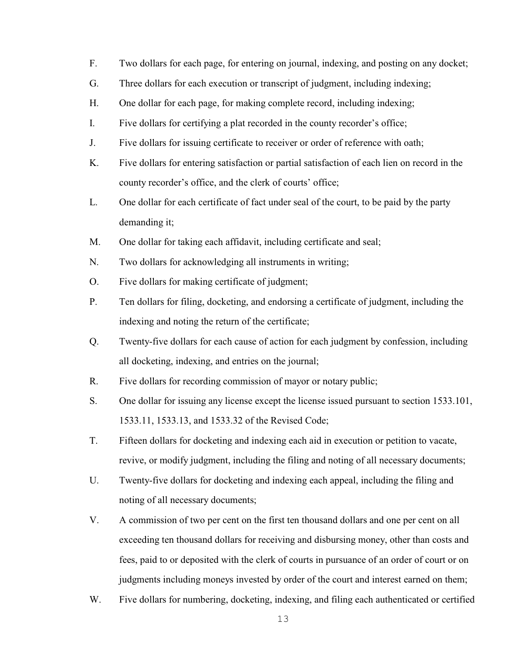- F. Two dollars for each page, for entering on journal, indexing, and posting on any docket;
- G. Three dollars for each execution or transcript of judgment, including indexing;
- H. One dollar for each page, for making complete record, including indexing;
- I. Five dollars for certifying a plat recorded in the county recorder's office;
- J. Five dollars for issuing certificate to receiver or order of reference with oath;
- K. Five dollars for entering satisfaction or partial satisfaction of each lien on record in the county recorder's office, and the clerk of courts' office;
- L. One dollar for each certificate of fact under seal of the court, to be paid by the party demanding it;
- M. One dollar for taking each affidavit, including certificate and seal;
- N. Two dollars for acknowledging all instruments in writing;
- O. Five dollars for making certificate of judgment;
- P. Ten dollars for filing, docketing, and endorsing a certificate of judgment, including the indexing and noting the return of the certificate;
- Q. Twenty-five dollars for each cause of action for each judgment by confession, including all docketing, indexing, and entries on the journal;
- R. Five dollars for recording commission of mayor or notary public;
- S. One dollar for issuing any license except the license issued pursuant to section 1533.101, 1533.11, 1533.13, and 1533.32 of the Revised Code;
- T. Fifteen dollars for docketing and indexing each aid in execution or petition to vacate, revive, or modify judgment, including the filing and noting of all necessary documents;
- U. Twenty-five dollars for docketing and indexing each appeal, including the filing and noting of all necessary documents;
- V. A commission of two per cent on the first ten thousand dollars and one per cent on all exceeding ten thousand dollars for receiving and disbursing money, other than costs and fees, paid to or deposited with the clerk of courts in pursuance of an order of court or on judgments including moneys invested by order of the court and interest earned on them;
- W. Five dollars for numbering, docketing, indexing, and filing each authenticated or certified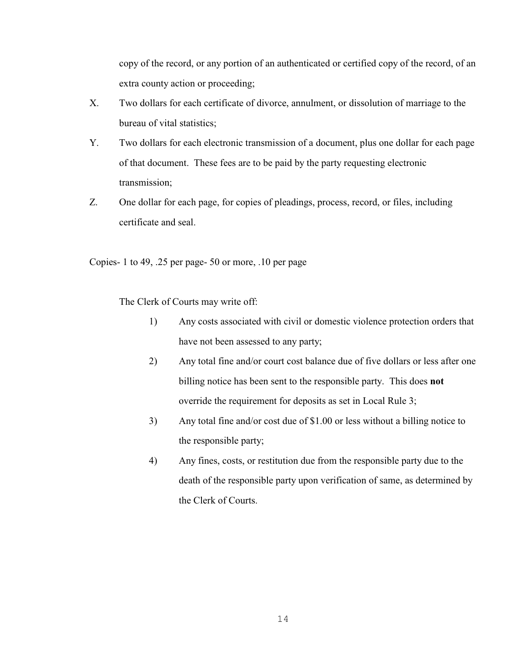copy of the record, or any portion of an authenticated or certified copy of the record, of an extra county action or proceeding;

- X. Two dollars for each certificate of divorce, annulment, or dissolution of marriage to the bureau of vital statistics;
- Y. Two dollars for each electronic transmission of a document, plus one dollar for each page of that document. These fees are to be paid by the party requesting electronic transmission;
- Z. One dollar for each page, for copies of pleadings, process, record, or files, including certificate and seal.

Copies- 1 to 49, .25 per page- 50 or more, .10 per page

The Clerk of Courts may write off:

- 1) Any costs associated with civil or domestic violence protection orders that have not been assessed to any party;
- 2) Any total fine and/or court cost balance due of five dollars or less after one billing notice has been sent to the responsible party. This does **not** override the requirement for deposits as set in Local Rule 3;
- 3) Any total fine and/or cost due of \$1.00 or less without a billing notice to the responsible party;
- 4) Any fines, costs, or restitution due from the responsible party due to the death of the responsible party upon verification of same, as determined by the Clerk of Courts.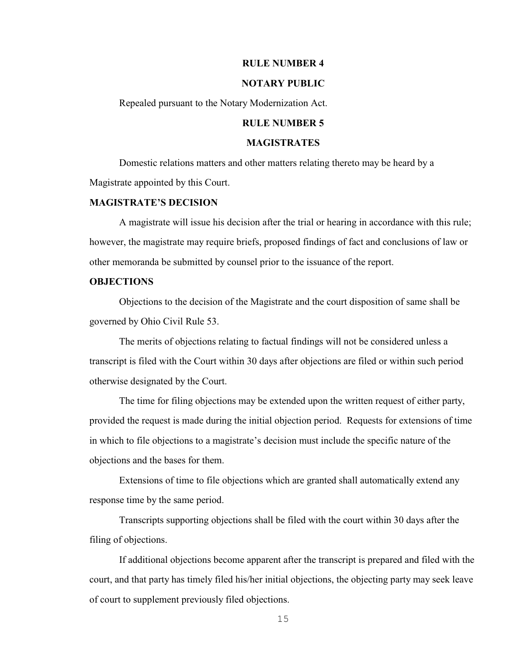#### **RULE NUMBER 4**

#### **NOTARY PUBLIC**

Repealed pursuant to the Notary Modernization Act.

# **RULE NUMBER 5**

#### **MAGISTRATES**

Domestic relations matters and other matters relating thereto may be heard by a Magistrate appointed by this Court.

#### **MAGISTRATE'S DECISION**

A magistrate will issue his decision after the trial or hearing in accordance with this rule; however, the magistrate may require briefs, proposed findings of fact and conclusions of law or other memoranda be submitted by counsel prior to the issuance of the report.

#### **OBJECTIONS**

Objections to the decision of the Magistrate and the court disposition of same shall be governed by Ohio Civil Rule 53.

The merits of objections relating to factual findings will not be considered unless a transcript is filed with the Court within 30 days after objections are filed or within such period otherwise designated by the Court.

The time for filing objections may be extended upon the written request of either party, provided the request is made during the initial objection period. Requests for extensions of time in which to file objections to a magistrate's decision must include the specific nature of the objections and the bases for them.

Extensions of time to file objections which are granted shall automatically extend any response time by the same period.

Transcripts supporting objections shall be filed with the court within 30 days after the filing of objections.

If additional objections become apparent after the transcript is prepared and filed with the court, and that party has timely filed his/her initial objections, the objecting party may seek leave of court to supplement previously filed objections.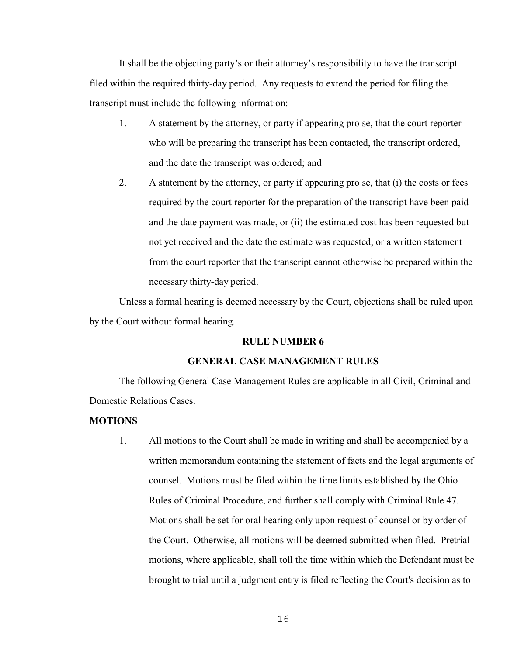It shall be the objecting party's or their attorney's responsibility to have the transcript filed within the required thirty-day period. Any requests to extend the period for filing the transcript must include the following information:

- 1. A statement by the attorney, or party if appearing pro se, that the court reporter who will be preparing the transcript has been contacted, the transcript ordered, and the date the transcript was ordered; and
- 2. A statement by the attorney, or party if appearing pro se, that (i) the costs or fees required by the court reporter for the preparation of the transcript have been paid and the date payment was made, or (ii) the estimated cost has been requested but not yet received and the date the estimate was requested, or a written statement from the court reporter that the transcript cannot otherwise be prepared within the necessary thirty-day period.

Unless a formal hearing is deemed necessary by the Court, objections shall be ruled upon by the Court without formal hearing.

# **RULE NUMBER 6**

#### **GENERAL CASE MANAGEMENT RULES**

The following General Case Management Rules are applicable in all Civil, Criminal and Domestic Relations Cases.

#### **MOTIONS**

1. All motions to the Court shall be made in writing and shall be accompanied by a written memorandum containing the statement of facts and the legal arguments of counsel. Motions must be filed within the time limits established by the Ohio Rules of Criminal Procedure, and further shall comply with Criminal Rule 47. Motions shall be set for oral hearing only upon request of counsel or by order of the Court. Otherwise, all motions will be deemed submitted when filed. Pretrial motions, where applicable, shall toll the time within which the Defendant must be brought to trial until a judgment entry is filed reflecting the Court's decision as to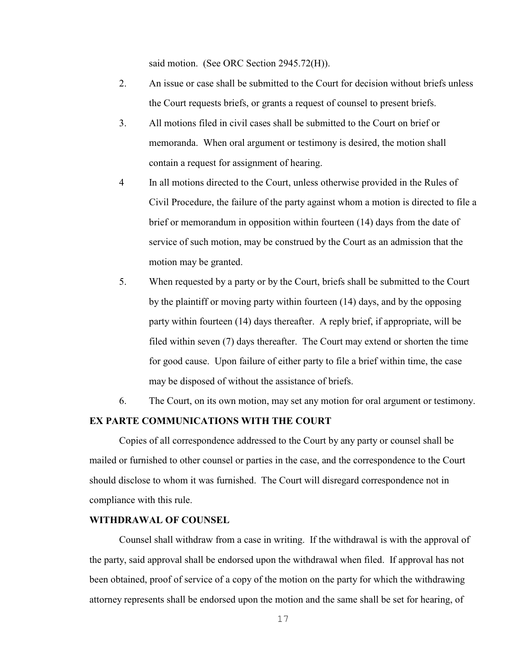said motion. (See ORC Section 2945.72(H)).

- 2. An issue or case shall be submitted to the Court for decision without briefs unless the Court requests briefs, or grants a request of counsel to present briefs.
- 3. All motions filed in civil cases shall be submitted to the Court on brief or memoranda. When oral argument or testimony is desired, the motion shall contain a request for assignment of hearing.
- 4 In all motions directed to the Court, unless otherwise provided in the Rules of Civil Procedure, the failure of the party against whom a motion is directed to file a brief or memorandum in opposition within fourteen (14) days from the date of service of such motion, may be construed by the Court as an admission that the motion may be granted.
- 5. When requested by a party or by the Court, briefs shall be submitted to the Court by the plaintiff or moving party within fourteen (14) days, and by the opposing party within fourteen (14) days thereafter. A reply brief, if appropriate, will be filed within seven (7) days thereafter. The Court may extend or shorten the time for good cause. Upon failure of either party to file a brief within time, the case may be disposed of without the assistance of briefs.
- 6. The Court, on its own motion, may set any motion for oral argument or testimony.

#### **EX PARTE COMMUNICATIONS WITH THE COURT**

Copies of all correspondence addressed to the Court by any party or counsel shall be mailed or furnished to other counsel or parties in the case, and the correspondence to the Court should disclose to whom it was furnished. The Court will disregard correspondence not in compliance with this rule.

#### **WITHDRAWAL OF COUNSEL**

Counsel shall withdraw from a case in writing. If the withdrawal is with the approval of the party, said approval shall be endorsed upon the withdrawal when filed. If approval has not been obtained, proof of service of a copy of the motion on the party for which the withdrawing attorney represents shall be endorsed upon the motion and the same shall be set for hearing, of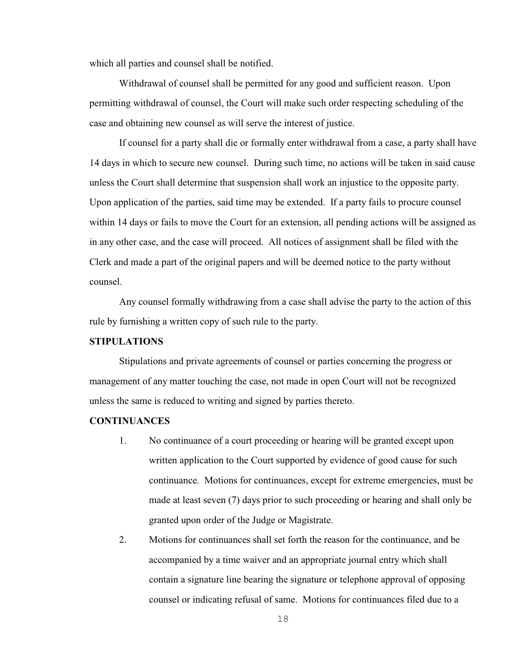which all parties and counsel shall be notified.

Withdrawal of counsel shall be permitted for any good and sufficient reason. Upon permitting withdrawal of counsel, the Court will make such order respecting scheduling of the case and obtaining new counsel as will serve the interest of justice.

If counsel for a party shall die or formally enter withdrawal from a case, a party shall have 14 days in which to secure new counsel. During such time, no actions will be taken in said cause unless the Court shall determine that suspension shall work an injustice to the opposite party. Upon application of the parties, said time may be extended. If a party fails to procure counsel within 14 days or fails to move the Court for an extension, all pending actions will be assigned as in any other case, and the case will proceed. All notices of assignment shall be filed with the Clerk and made a part of the original papers and will be deemed notice to the party without counsel.

Any counsel formally withdrawing from a case shall advise the party to the action of this rule by furnishing a written copy of such rule to the party.

## **STIPULATIONS**

Stipulations and private agreements of counsel or parties concerning the progress or management of any matter touching the case, not made in open Court will not be recognized unless the same is reduced to writing and signed by parties thereto.

#### **CONTINUANCES**

- 1. No continuance of a court proceeding or hearing will be granted except upon written application to the Court supported by evidence of good cause for such continuance. Motions for continuances, except for extreme emergencies, must be made at least seven (7) days prior to such proceeding or hearing and shall only be granted upon order of the Judge or Magistrate.
- 2. Motions for continuances shall set forth the reason for the continuance, and be accompanied by a time waiver and an appropriate journal entry which shall contain a signature line bearing the signature or telephone approval of opposing counsel or indicating refusal of same. Motions for continuances filed due to a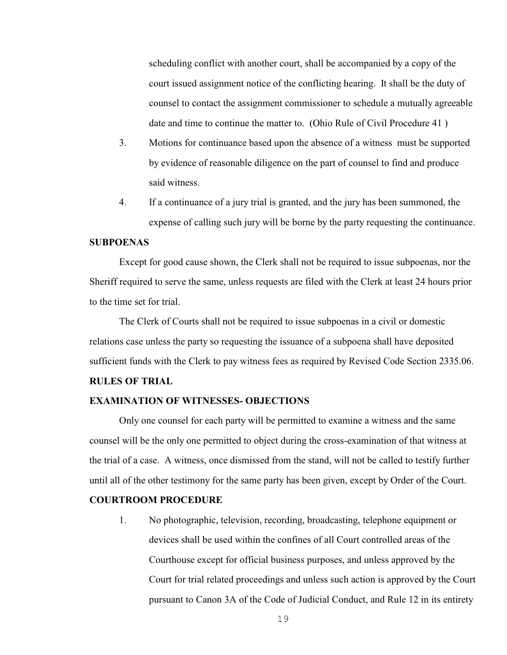scheduling conflict with another court, shall be accompanied by a copy of the court issued assignment notice of the conflicting hearing. It shall be the duty of counsel to contact the assignment commissioner to schedule a mutually agreeable date and time to continue the matter to. (Ohio Rule of Civil Procedure 41 )

- 3. Motions for continuance based upon the absence of a witness must be supported by evidence of reasonable diligence on the part of counsel to find and produce said witness.
- 4. If a continuance of a jury trial is granted, and the jury has been summoned, the expense of calling such jury will be borne by the party requesting the continuance.

# **SUBPOENAS**

Except for good cause shown, the Clerk shall not be required to issue subpoenas, nor the Sheriff required to serve the same, unless requests are filed with the Clerk at least 24 hours prior to the time set for trial.

The Clerk of Courts shall not be required to issue subpoenas in a civil or domestic relations case unless the party so requesting the issuance of a subpoena shall have deposited sufficient funds with the Clerk to pay witness fees as required by Revised Code Section 2335.06.

#### **RULES OF TRIAL**

#### **EXAMINATION OF WITNESSES- OBJECTIONS**

Only one counsel for each party will be permitted to examine a witness and the same counsel will be the only one permitted to object during the cross-examination of that witness at the trial of a case. A witness, once dismissed from the stand, will not be called to testify further until all of the other testimony for the same party has been given, except by Order of the Court.

#### **COURTROOM PROCEDURE**

1. No photographic, television, recording, broadcasting, telephone equipment or devices shall be used within the confines of all Court controlled areas of the Courthouse except for official business purposes, and unless approved by the Court for trial related proceedings and unless such action is approved by the Court pursuant to Canon 3A of the Code of Judicial Conduct, and Rule 12 in its entirety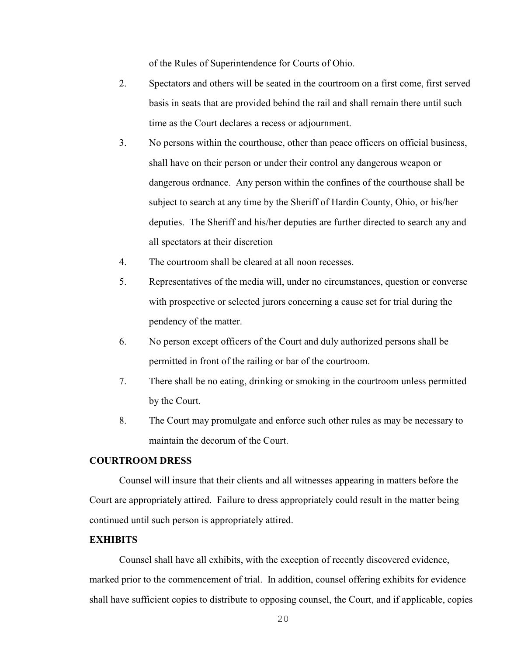of the Rules of Superintendence for Courts of Ohio.

- 2. Spectators and others will be seated in the courtroom on a first come, first served basis in seats that are provided behind the rail and shall remain there until such time as the Court declares a recess or adjournment.
- 3. No persons within the courthouse, other than peace officers on official business, shall have on their person or under their control any dangerous weapon or dangerous ordnance. Any person within the confines of the courthouse shall be subject to search at any time by the Sheriff of Hardin County, Ohio, or his/her deputies. The Sheriff and his/her deputies are further directed to search any and all spectators at their discretion
- 4. The courtroom shall be cleared at all noon recesses.
- 5. Representatives of the media will, under no circumstances, question or converse with prospective or selected jurors concerning a cause set for trial during the pendency of the matter.
- 6. No person except officers of the Court and duly authorized persons shall be permitted in front of the railing or bar of the courtroom.
- 7. There shall be no eating, drinking or smoking in the courtroom unless permitted by the Court.
- 8. The Court may promulgate and enforce such other rules as may be necessary to maintain the decorum of the Court.

# **COURTROOM DRESS**

Counsel will insure that their clients and all witnesses appearing in matters before the Court are appropriately attired. Failure to dress appropriately could result in the matter being continued until such person is appropriately attired.

#### **EXHIBITS**

Counsel shall have all exhibits, with the exception of recently discovered evidence, marked prior to the commencement of trial. In addition, counsel offering exhibits for evidence shall have sufficient copies to distribute to opposing counsel, the Court, and if applicable, copies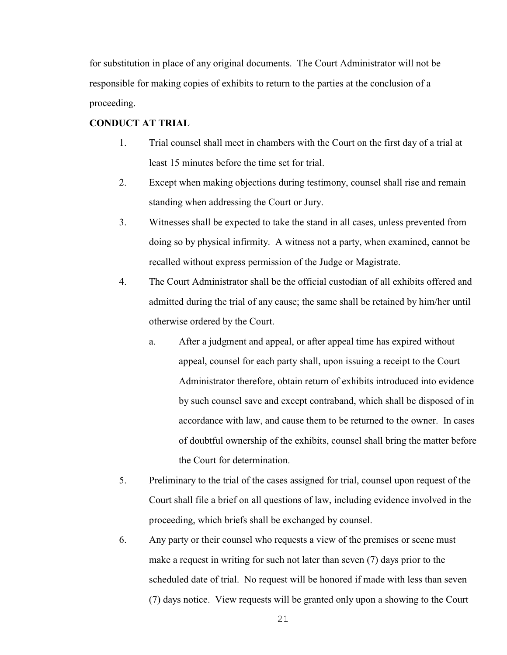for substitution in place of any original documents. The Court Administrator will not be responsible for making copies of exhibits to return to the parties at the conclusion of a proceeding.

# **CONDUCT AT TRIAL**

- 1. Trial counsel shall meet in chambers with the Court on the first day of a trial at least 15 minutes before the time set for trial.
- 2. Except when making objections during testimony, counsel shall rise and remain standing when addressing the Court or Jury.
- 3. Witnesses shall be expected to take the stand in all cases, unless prevented from doing so by physical infirmity. A witness not a party, when examined, cannot be recalled without express permission of the Judge or Magistrate.
- 4. The Court Administrator shall be the official custodian of all exhibits offered and admitted during the trial of any cause; the same shall be retained by him/her until otherwise ordered by the Court.
	- a. After a judgment and appeal, or after appeal time has expired without appeal, counsel for each party shall, upon issuing a receipt to the Court Administrator therefore, obtain return of exhibits introduced into evidence by such counsel save and except contraband, which shall be disposed of in accordance with law, and cause them to be returned to the owner. In cases of doubtful ownership of the exhibits, counsel shall bring the matter before the Court for determination.
- 5. Preliminary to the trial of the cases assigned for trial, counsel upon request of the Court shall file a brief on all questions of law, including evidence involved in the proceeding, which briefs shall be exchanged by counsel.
- 6. Any party or their counsel who requests a view of the premises or scene must make a request in writing for such not later than seven (7) days prior to the scheduled date of trial. No request will be honored if made with less than seven (7) days notice. View requests will be granted only upon a showing to the Court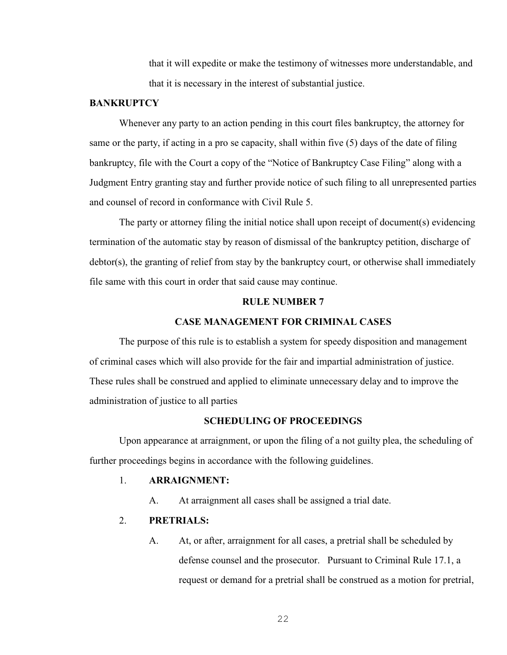that it will expedite or make the testimony of witnesses more understandable, and that it is necessary in the interest of substantial justice.

#### **BANKRUPTCY**

Whenever any party to an action pending in this court files bankruptcy, the attorney for same or the party, if acting in a pro se capacity, shall within five (5) days of the date of filing bankruptcy, file with the Court a copy of the "Notice of Bankruptcy Case Filing" along with a Judgment Entry granting stay and further provide notice of such filing to all unrepresented parties and counsel of record in conformance with Civil Rule 5.

The party or attorney filing the initial notice shall upon receipt of document(s) evidencing termination of the automatic stay by reason of dismissal of the bankruptcy petition, discharge of debtor(s), the granting of relief from stay by the bankruptcy court, or otherwise shall immediately file same with this court in order that said cause may continue.

#### **RULE NUMBER 7**

#### **CASE MANAGEMENT FOR CRIMINAL CASES**

The purpose of this rule is to establish a system for speedy disposition and management of criminal cases which will also provide for the fair and impartial administration of justice. These rules shall be construed and applied to eliminate unnecessary delay and to improve the administration of justice to all parties

# **SCHEDULING OF PROCEEDINGS**

Upon appearance at arraignment, or upon the filing of a not guilty plea, the scheduling of further proceedings begins in accordance with the following guidelines.

#### 1. **ARRAIGNMENT:**

A. At arraignment all cases shall be assigned a trial date.

# 2. **PRETRIALS:**

A. At, or after, arraignment for all cases, a pretrial shall be scheduled by defense counsel and the prosecutor. Pursuant to Criminal Rule 17.1, a request or demand for a pretrial shall be construed as a motion for pretrial,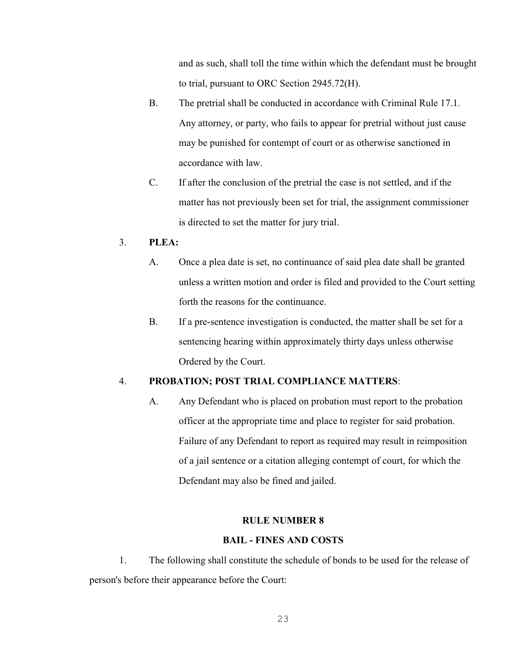and as such, shall toll the time within which the defendant must be brought to trial, pursuant to ORC Section 2945.72(H).

- B. The pretrial shall be conducted in accordance with Criminal Rule 17.1. Any attorney, or party, who fails to appear for pretrial without just cause may be punished for contempt of court or as otherwise sanctioned in accordance with law.
- C. If after the conclusion of the pretrial the case is not settled, and if the matter has not previously been set for trial, the assignment commissioner is directed to set the matter for jury trial.

# 3. **PLEA:**

- A. Once a plea date is set, no continuance of said plea date shall be granted unless a written motion and order is filed and provided to the Court setting forth the reasons for the continuance.
- B. If a pre-sentence investigation is conducted, the matter shall be set for a sentencing hearing within approximately thirty days unless otherwise Ordered by the Court.

# 4. **PROBATION; POST TRIAL COMPLIANCE MATTERS**:

A. Any Defendant who is placed on probation must report to the probation officer at the appropriate time and place to register for said probation. Failure of any Defendant to report as required may result in reimposition of a jail sentence or a citation alleging contempt of court, for which the Defendant may also be fined and jailed.

#### **RULE NUMBER 8**

#### **BAIL - FINES AND COSTS**

1. The following shall constitute the schedule of bonds to be used for the release of person's before their appearance before the Court: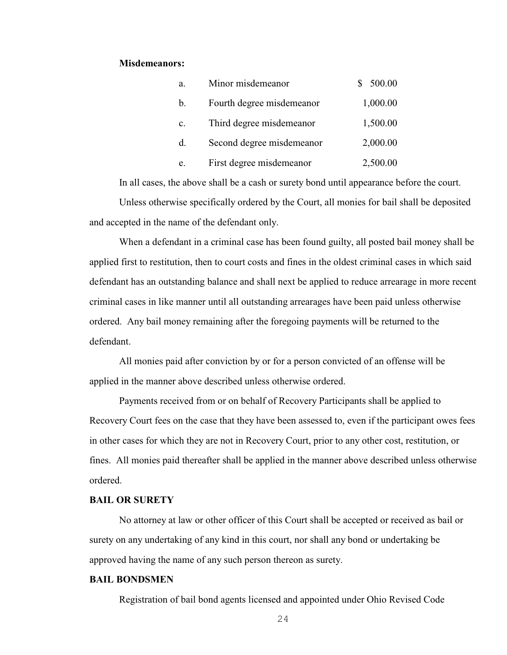#### **Misdemeanors:**

| a.             | Minor misdemeanor         | 500.00   |
|----------------|---------------------------|----------|
| b.             | Fourth degree misdemeanor | 1,000.00 |
| $\mathbf{c}$ . | Third degree misdemeanor  | 1,500.00 |
| d.             | Second degree misdemeanor | 2,000.00 |
| e.             | First degree misdemeanor  | 2,500.00 |

In all cases, the above shall be a cash or surety bond until appearance before the court.

Unless otherwise specifically ordered by the Court, all monies for bail shall be deposited and accepted in the name of the defendant only.

When a defendant in a criminal case has been found guilty, all posted bail money shall be applied first to restitution, then to court costs and fines in the oldest criminal cases in which said defendant has an outstanding balance and shall next be applied to reduce arrearage in more recent criminal cases in like manner until all outstanding arrearages have been paid unless otherwise ordered. Any bail money remaining after the foregoing payments will be returned to the defendant.

All monies paid after conviction by or for a person convicted of an offense will be applied in the manner above described unless otherwise ordered.

Payments received from or on behalf of Recovery Participants shall be applied to Recovery Court fees on the case that they have been assessed to, even if the participant owes fees in other cases for which they are not in Recovery Court, prior to any other cost, restitution, or fines. All monies paid thereafter shall be applied in the manner above described unless otherwise ordered.

#### **BAIL OR SURETY**

No attorney at law or other officer of this Court shall be accepted or received as bail or surety on any undertaking of any kind in this court, nor shall any bond or undertaking be approved having the name of any such person thereon as surety.

#### **BAIL BONDSMEN**

Registration of bail bond agents licensed and appointed under Ohio Revised Code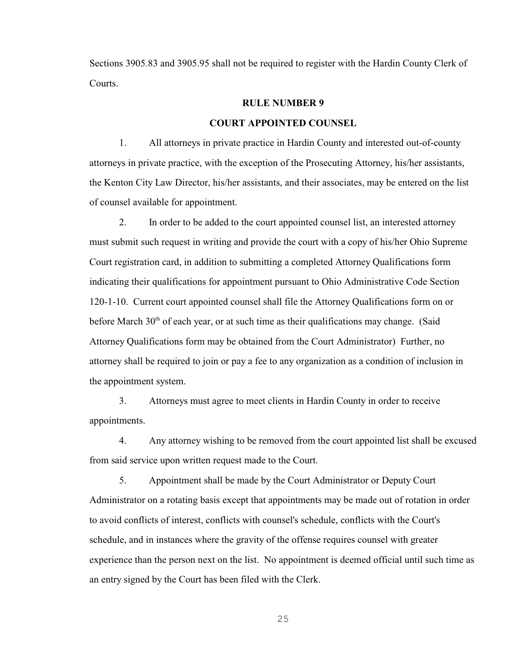Sections 3905.83 and 3905.95 shall not be required to register with the Hardin County Clerk of Courts.

#### **RULE NUMBER 9**

# **COURT APPOINTED COUNSEL**

1. All attorneys in private practice in Hardin County and interested out-of-county attorneys in private practice, with the exception of the Prosecuting Attorney, his/her assistants, the Kenton City Law Director, his/her assistants, and their associates, may be entered on the list of counsel available for appointment.

2. In order to be added to the court appointed counsel list, an interested attorney must submit such request in writing and provide the court with a copy of his/her Ohio Supreme Court registration card, in addition to submitting a completed Attorney Qualifications form indicating their qualifications for appointment pursuant to Ohio Administrative Code Section 120-1-10. Current court appointed counsel shall file the Attorney Qualifications form on or before March  $30<sup>th</sup>$  of each year, or at such time as their qualifications may change. (Said Attorney Qualifications form may be obtained from the Court Administrator) Further, no attorney shall be required to join or pay a fee to any organization as a condition of inclusion in the appointment system.

3. Attorneys must agree to meet clients in Hardin County in order to receive appointments.

4. Any attorney wishing to be removed from the court appointed list shall be excused from said service upon written request made to the Court.

5. Appointment shall be made by the Court Administrator or Deputy Court Administrator on a rotating basis except that appointments may be made out of rotation in order to avoid conflicts of interest, conflicts with counsel's schedule, conflicts with the Court's schedule, and in instances where the gravity of the offense requires counsel with greater experience than the person next on the list. No appointment is deemed official until such time as an entry signed by the Court has been filed with the Clerk.

25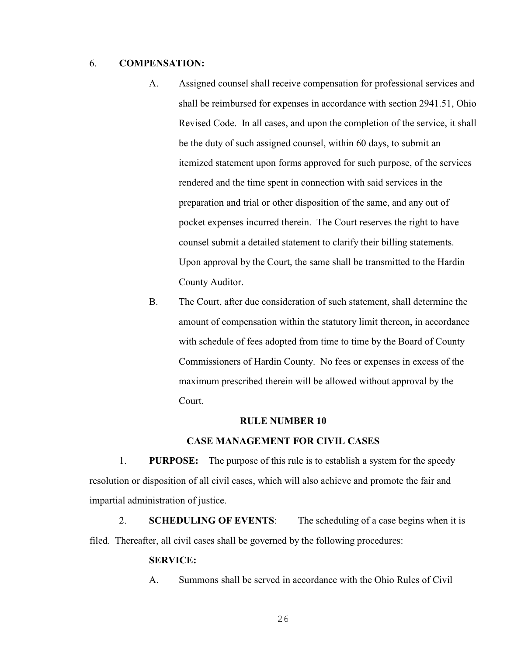## 6. **COMPENSATION:**

- A. Assigned counsel shall receive compensation for professional services and shall be reimbursed for expenses in accordance with section 2941.51, Ohio Revised Code. In all cases, and upon the completion of the service, it shall be the duty of such assigned counsel, within 60 days, to submit an itemized statement upon forms approved for such purpose, of the services rendered and the time spent in connection with said services in the preparation and trial or other disposition of the same, and any out of pocket expenses incurred therein. The Court reserves the right to have counsel submit a detailed statement to clarify their billing statements. Upon approval by the Court, the same shall be transmitted to the Hardin County Auditor.
- B. The Court, after due consideration of such statement, shall determine the amount of compensation within the statutory limit thereon, in accordance with schedule of fees adopted from time to time by the Board of County Commissioners of Hardin County. No fees or expenses in excess of the maximum prescribed therein will be allowed without approval by the Court.

#### **RULE NUMBER 10**

#### **CASE MANAGEMENT FOR CIVIL CASES**

1. **PURPOSE:** The purpose of this rule is to establish a system for the speedy resolution or disposition of all civil cases, which will also achieve and promote the fair and impartial administration of justice.

2. **SCHEDULING OF EVENTS**: The scheduling of a case begins when it is filed. Thereafter, all civil cases shall be governed by the following procedures:

#### **SERVICE:**

A. Summons shall be served in accordance with the Ohio Rules of Civil

26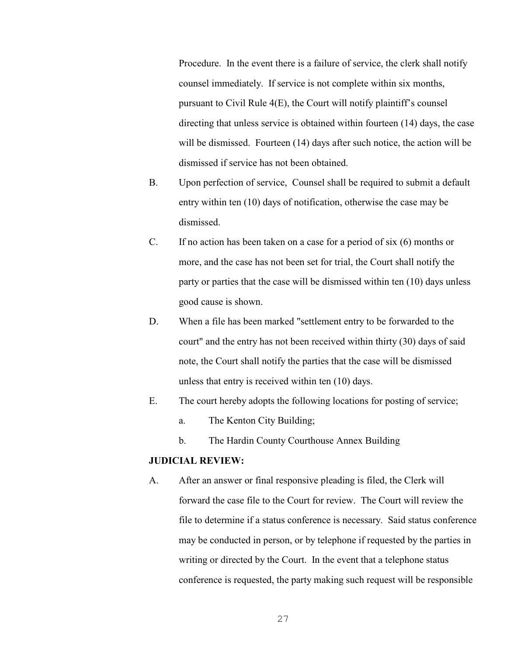Procedure. In the event there is a failure of service, the clerk shall notify counsel immediately. If service is not complete within six months, pursuant to Civil Rule 4(E), the Court will notify plaintiff's counsel directing that unless service is obtained within fourteen (14) days, the case will be dismissed. Fourteen (14) days after such notice, the action will be dismissed if service has not been obtained.

- B. Upon perfection of service, Counsel shall be required to submit a default entry within ten (10) days of notification, otherwise the case may be dismissed.
- C. If no action has been taken on a case for a period of six (6) months or more, and the case has not been set for trial, the Court shall notify the party or parties that the case will be dismissed within ten (10) days unless good cause is shown.
- D. When a file has been marked "settlement entry to be forwarded to the court" and the entry has not been received within thirty (30) days of said note, the Court shall notify the parties that the case will be dismissed unless that entry is received within ten (10) days.
- E. The court hereby adopts the following locations for posting of service;
	- a. The Kenton City Building;
	- b. The Hardin County Courthouse Annex Building

# **JUDICIAL REVIEW:**

A. After an answer or final responsive pleading is filed, the Clerk will forward the case file to the Court for review. The Court will review the file to determine if a status conference is necessary. Said status conference may be conducted in person, or by telephone if requested by the parties in writing or directed by the Court. In the event that a telephone status conference is requested, the party making such request will be responsible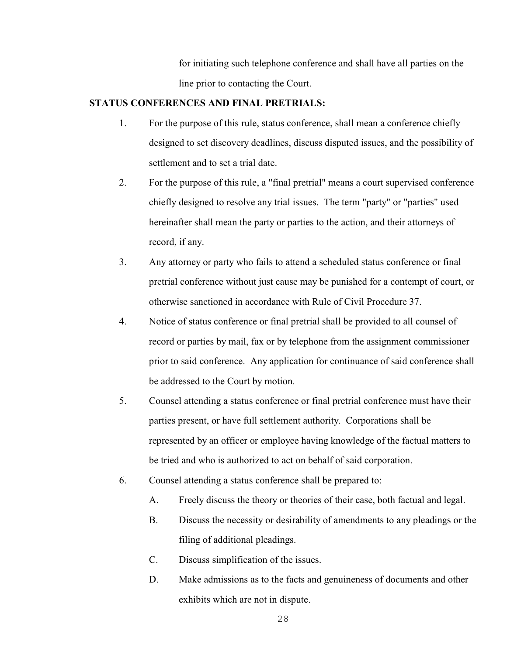for initiating such telephone conference and shall have all parties on the line prior to contacting the Court.

# **STATUS CONFERENCES AND FINAL PRETRIALS:**

- 1. For the purpose of this rule, status conference, shall mean a conference chiefly designed to set discovery deadlines, discuss disputed issues, and the possibility of settlement and to set a trial date.
- 2. For the purpose of this rule, a "final pretrial" means a court supervised conference chiefly designed to resolve any trial issues. The term "party" or "parties" used hereinafter shall mean the party or parties to the action, and their attorneys of record, if any.
- 3. Any attorney or party who fails to attend a scheduled status conference or final pretrial conference without just cause may be punished for a contempt of court, or otherwise sanctioned in accordance with Rule of Civil Procedure 37.
- 4. Notice of status conference or final pretrial shall be provided to all counsel of record or parties by mail, fax or by telephone from the assignment commissioner prior to said conference. Any application for continuance of said conference shall be addressed to the Court by motion.
- 5. Counsel attending a status conference or final pretrial conference must have their parties present, or have full settlement authority. Corporations shall be represented by an officer or employee having knowledge of the factual matters to be tried and who is authorized to act on behalf of said corporation.
- 6. Counsel attending a status conference shall be prepared to:
	- A. Freely discuss the theory or theories of their case, both factual and legal.
	- B. Discuss the necessity or desirability of amendments to any pleadings or the filing of additional pleadings.
	- C. Discuss simplification of the issues.
	- D. Make admissions as to the facts and genuineness of documents and other exhibits which are not in dispute.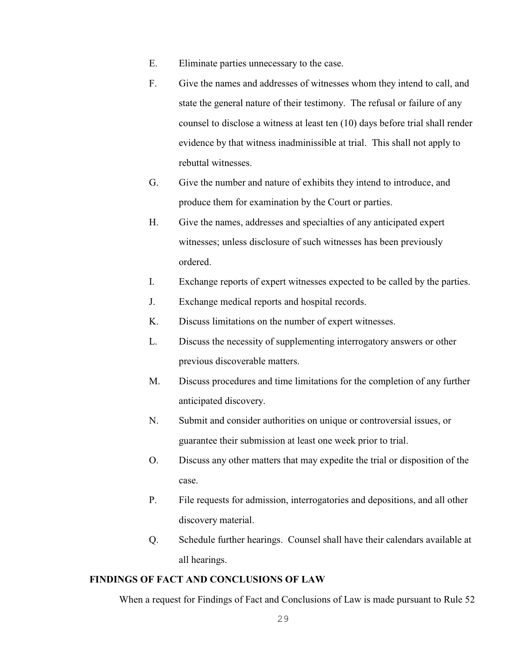- E. Eliminate parties unnecessary to the case.
- F. Give the names and addresses of witnesses whom they intend to call, and state the general nature of their testimony. The refusal or failure of any counsel to disclose a witness at least ten (10) days before trial shall render evidence by that witness inadminissible at trial. This shall not apply to rebuttal witnesses.
- G. Give the number and nature of exhibits they intend to introduce, and produce them for examination by the Court or parties.
- H. Give the names, addresses and specialties of any anticipated expert witnesses; unless disclosure of such witnesses has been previously ordered.
- I. Exchange reports of expert witnesses expected to be called by the parties.
- J. Exchange medical reports and hospital records.
- K. Discuss limitations on the number of expert witnesses.
- L. Discuss the necessity of supplementing interrogatory answers or other previous discoverable matters.
- M. Discuss procedures and time limitations for the completion of any further anticipated discovery.
- N. Submit and consider authorities on unique or controversial issues, or guarantee their submission at least one week prior to trial.
- O. Discuss any other matters that may expedite the trial or disposition of the case.
- P. File requests for admission, interrogatories and depositions, and all other discovery material.
- Q. Schedule further hearings. Counsel shall have their calendars available at all hearings.

# **FINDINGS OF FACT AND CONCLUSIONS OF LAW**

When a request for Findings of Fact and Conclusions of Law is made pursuant to Rule 52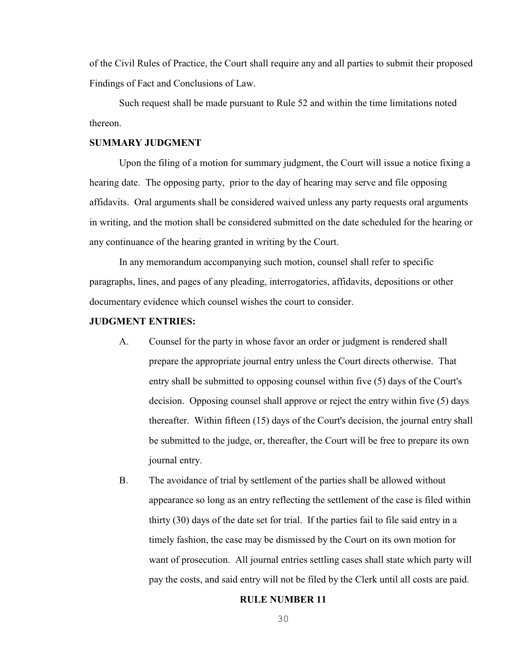of the Civil Rules of Practice, the Court shall require any and all parties to submit their proposed Findings of Fact and Conclusions of Law.

Such request shall be made pursuant to Rule 52 and within the time limitations noted thereon.

#### **SUMMARY JUDGMENT**

Upon the filing of a motion for summary judgment, the Court will issue a notice fixing a hearing date. The opposing party, prior to the day of hearing may serve and file opposing affidavits. Oral arguments shall be considered waived unless any party requests oral arguments in writing, and the motion shall be considered submitted on the date scheduled for the hearing or any continuance of the hearing granted in writing by the Court.

In any memorandum accompanying such motion, counsel shall refer to specific paragraphs, lines, and pages of any pleading, interrogatories, affidavits, depositions or other documentary evidence which counsel wishes the court to consider.

#### **JUDGMENT ENTRIES:**

- A. Counsel for the party in whose favor an order or judgment is rendered shall prepare the appropriate journal entry unless the Court directs otherwise. That entry shall be submitted to opposing counsel within five (5) days of the Court's decision. Opposing counsel shall approve or reject the entry within five (5) days thereafter. Within fifteen (15) days of the Court's decision, the journal entry shall be submitted to the judge, or, thereafter, the Court will be free to prepare its own journal entry.
- B. The avoidance of trial by settlement of the parties shall be allowed without appearance so long as an entry reflecting the settlement of the case is filed within thirty (30) days of the date set for trial. If the parties fail to file said entry in a timely fashion, the case may be dismissed by the Court on its own motion for want of prosecution. All journal entries settling cases shall state which party will pay the costs, and said entry will not be filed by the Clerk until all costs are paid.

#### **RULE NUMBER 11**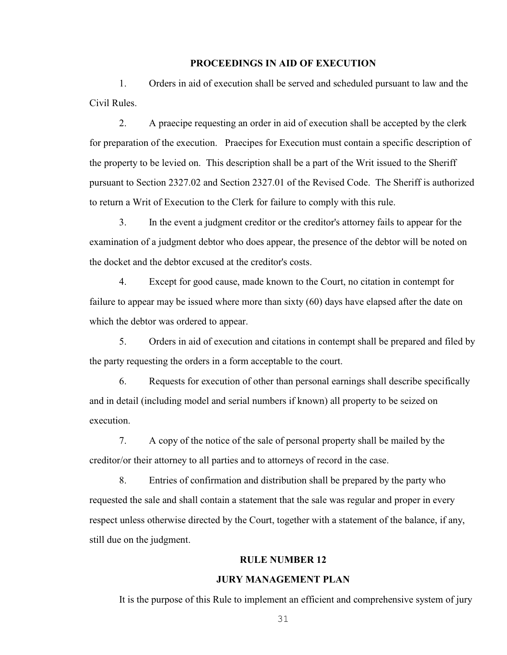#### **PROCEEDINGS IN AID OF EXECUTION**

1. Orders in aid of execution shall be served and scheduled pursuant to law and the Civil Rules.

2. A praecipe requesting an order in aid of execution shall be accepted by the clerk for preparation of the execution. Praecipes for Execution must contain a specific description of the property to be levied on. This description shall be a part of the Writ issued to the Sheriff pursuant to Section 2327.02 and Section 2327.01 of the Revised Code. The Sheriff is authorized to return a Writ of Execution to the Clerk for failure to comply with this rule.

3. In the event a judgment creditor or the creditor's attorney fails to appear for the examination of a judgment debtor who does appear, the presence of the debtor will be noted on the docket and the debtor excused at the creditor's costs.

4. Except for good cause, made known to the Court, no citation in contempt for failure to appear may be issued where more than sixty (60) days have elapsed after the date on which the debtor was ordered to appear.

5. Orders in aid of execution and citations in contempt shall be prepared and filed by the party requesting the orders in a form acceptable to the court.

6. Requests for execution of other than personal earnings shall describe specifically and in detail (including model and serial numbers if known) all property to be seized on execution.

7. A copy of the notice of the sale of personal property shall be mailed by the creditor/or their attorney to all parties and to attorneys of record in the case.

8. Entries of confirmation and distribution shall be prepared by the party who requested the sale and shall contain a statement that the sale was regular and proper in every respect unless otherwise directed by the Court, together with a statement of the balance, if any, still due on the judgment.

# **RULE NUMBER 12**

#### **JURY MANAGEMENT PLAN**

It is the purpose of this Rule to implement an efficient and comprehensive system of jury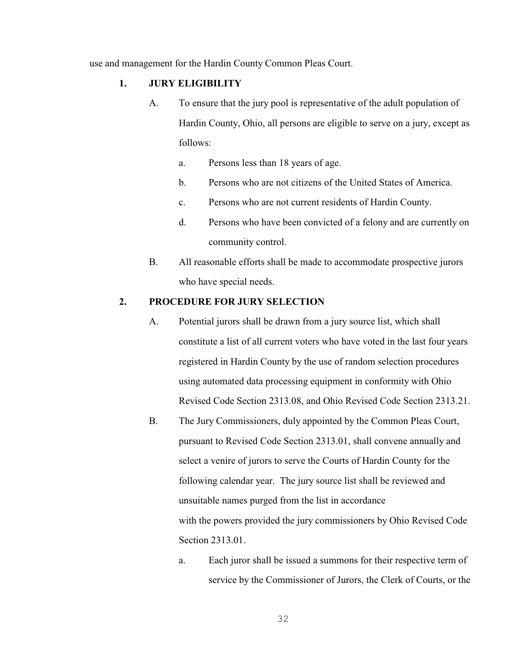use and management for the Hardin County Common Pleas Court.

# **1. JURY ELIGIBILITY**

- A. To ensure that the jury pool is representative of the adult population of Hardin County, Ohio, all persons are eligible to serve on a jury, except as follows:
	- a. Persons less than 18 years of age.
	- b. Persons who are not citizens of the United States of America.
	- c. Persons who are not current residents of Hardin County.
	- d. Persons who have been convicted of a felony and are currently on community control.
- B. All reasonable efforts shall be made to accommodate prospective jurors who have special needs.

# **2. PROCEDURE FOR JURY SELECTION**

- A. Potential jurors shall be drawn from a jury source list, which shall constitute a list of all current voters who have voted in the last four years registered in Hardin County by the use of random selection procedures using automated data processing equipment in conformity with Ohio Revised Code Section 2313.08, and Ohio Revised Code Section 2313.21.
- B. The Jury Commissioners, duly appointed by the Common Pleas Court, pursuant to Revised Code Section 2313.01, shall convene annually and select a venire of jurors to serve the Courts of Hardin County for the following calendar year. The jury source list shall be reviewed and unsuitable names purged from the list in accordance with the powers provided the jury commissioners by Ohio Revised Code Section 2313.01.
	- a. Each juror shall be issued a summons for their respective term of service by the Commissioner of Jurors, the Clerk of Courts, or the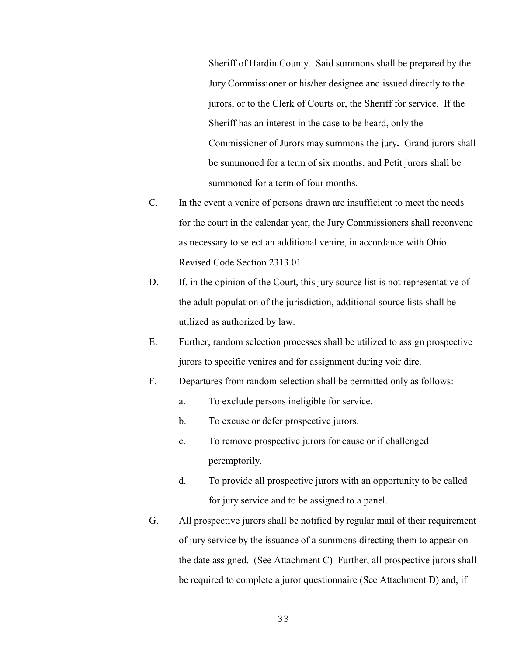Sheriff of Hardin County. Said summons shall be prepared by the Jury Commissioner or his**/**her designee and issued directly to the jurors, or to the Clerk of Courts or, the Sheriff for service. If the Sheriff has an interest in the case to be heard, only the Commissioner of Jurors may summons the jury**.** Grand jurors shall be summoned for a term of six months, and Petit jurors shall be summoned for a term of four months.

- C. In the event a venire of persons drawn are insufficient to meet the needs for the court in the calendar year, the Jury Commissioners shall reconvene as necessary to select an additional venire, in accordance with Ohio Revised Code Section 2313.01
- D. If, in the opinion of the Court, this jury source list is not representative of the adult population of the jurisdiction, additional source lists shall be utilized as authorized by law.
- E. Further, random selection processes shall be utilized to assign prospective jurors to specific venires and for assignment during voir dire.
- F. Departures from random selection shall be permitted only as follows:
	- a. To exclude persons ineligible for service.
	- b. To excuse or defer prospective jurors.
	- c. To remove prospective jurors for cause or if challenged peremptorily.
	- d. To provide all prospective jurors with an opportunity to be called for jury service and to be assigned to a panel.
- G. All prospective jurors shall be notified by regular mail of their requirement of jury service by the issuance of a summons directing them to appear on the date assigned. (See Attachment C) Further, all prospective jurors shall be required to complete a juror questionnaire (See Attachment D) and, if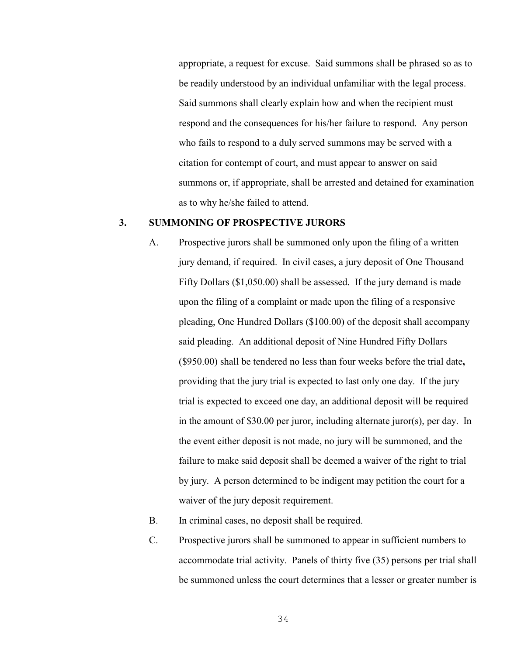appropriate, a request for excuse. Said summons shall be phrased so as to be readily understood by an individual unfamiliar with the legal process. Said summons shall clearly explain how and when the recipient must respond and the consequences for his/her failure to respond. Any person who fails to respond to a duly served summons may be served with a citation for contempt of court, and must appear to answer on said summons or, if appropriate, shall be arrested and detained for examination as to why he/she failed to attend.

### **3. SUMMONING OF PROSPECTIVE JURORS**

- A. Prospective jurors shall be summoned only upon the filing of a written jury demand, if required. In civil cases, a jury deposit of One Thousand Fifty Dollars (\$1,050.00) shall be assessed. If the jury demand is made upon the filing of a complaint or made upon the filing of a responsive pleading, One Hundred Dollars (\$100.00) of the deposit shall accompany said pleading. An additional deposit of Nine Hundred Fifty Dollars (\$950.00) shall be tendered no less than four weeks before the trial date**,** providing that the jury trial is expected to last only one day. If the jury trial is expected to exceed one day, an additional deposit will be required in the amount of \$30.00 per juror, including alternate juror(s), per day. In the event either deposit is not made, no jury will be summoned, and the failure to make said deposit shall be deemed a waiver of the right to trial by jury. A person determined to be indigent may petition the court for a waiver of the jury deposit requirement.
- B. In criminal cases, no deposit shall be required.
- C. Prospective jurors shall be summoned to appear in sufficient numbers to accommodate trial activity. Panels of thirty five (35) persons per trial shall be summoned unless the court determines that a lesser or greater number is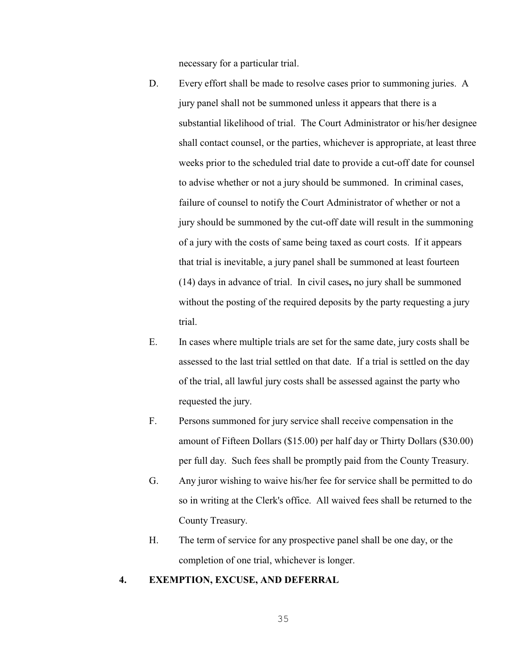necessary for a particular trial.

- D. Every effort shall be made to resolve cases prior to summoning juries. A jury panel shall not be summoned unless it appears that there is a substantial likelihood of trial. The Court Administrator or his/her designee shall contact counsel, or the parties, whichever is appropriate, at least three weeks prior to the scheduled trial date to provide a cut-off date for counsel to advise whether or not a jury should be summoned. In criminal cases, failure of counsel to notify the Court Administrator of whether or not a jury should be summoned by the cut-off date will result in the summoning of a jury with the costs of same being taxed as court costs. If it appears that trial is inevitable, a jury panel shall be summoned at least fourteen (14) days in advance of trial. In civil cases**,** no jury shall be summoned without the posting of the required deposits by the party requesting a jury trial.
- E. In cases where multiple trials are set for the same date, jury costs shall be assessed to the last trial settled on that date. If a trial is settled on the day of the trial, all lawful jury costs shall be assessed against the party who requested the jury.
- F. Persons summoned for jury service shall receive compensation in the amount of Fifteen Dollars (\$15.00) per half day or Thirty Dollars (\$30.00) per full day. Such fees shall be promptly paid from the County Treasury.
- G. Any juror wishing to waive his/her fee for service shall be permitted to do so in writing at the Clerk's office. All waived fees shall be returned to the County Treasury.
- H. The term of service for any prospective panel shall be one day, or the completion of one trial, whichever is longer.

## **4. EXEMPTION, EXCUSE, AND DEFERRAL**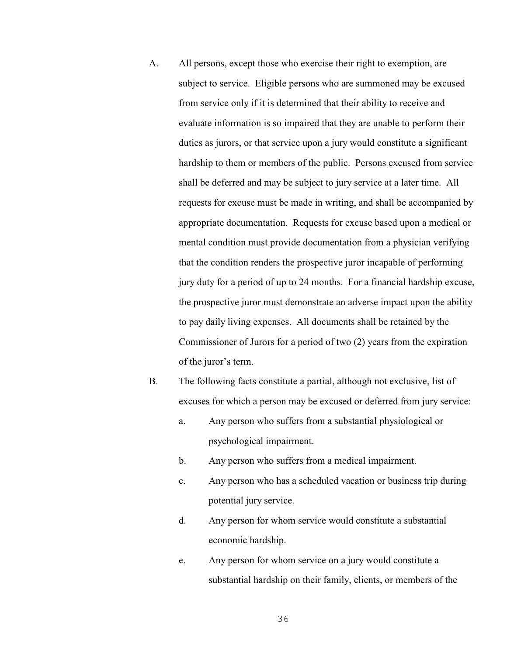- A. All persons, except those who exercise their right to exemption, are subject to service. Eligible persons who are summoned may be excused from service only if it is determined that their ability to receive and evaluate information is so impaired that they are unable to perform their duties as jurors, or that service upon a jury would constitute a significant hardship to them or members of the public. Persons excused from service shall be deferred and may be subject to jury service at a later time. All requests for excuse must be made in writing, and shall be accompanied by appropriate documentation. Requests for excuse based upon a medical or mental condition must provide documentation from a physician verifying that the condition renders the prospective juror incapable of performing jury duty for a period of up to 24 months. For a financial hardship excuse, the prospective juror must demonstrate an adverse impact upon the ability to pay daily living expenses. All documents shall be retained by the Commissioner of Jurors for a period of two (2) years from the expiration of the juror's term.
- B. The following facts constitute a partial, although not exclusive, list of excuses for which a person may be excused or deferred from jury service:
	- a. Any person who suffers from a substantial physiological or psychological impairment.
	- b. Any person who suffers from a medical impairment.
	- c. Any person who has a scheduled vacation or business trip during potential jury service.
	- d. Any person for whom service would constitute a substantial economic hardship.
	- e. Any person for whom service on a jury would constitute a substantial hardship on their family, clients, or members of the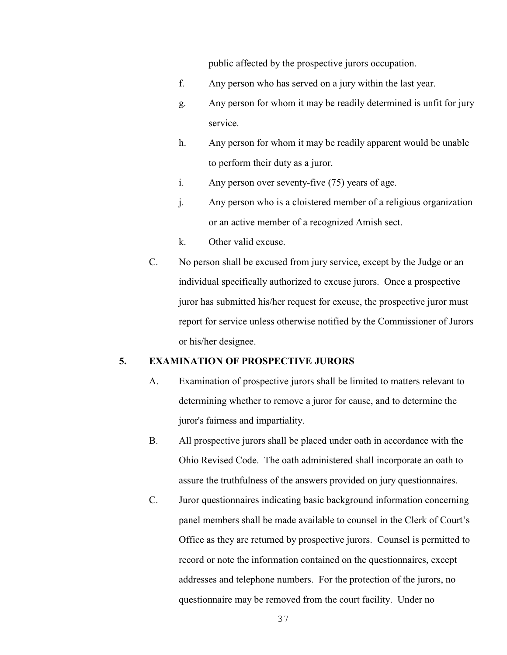public affected by the prospective jurors occupation.

- f. Any person who has served on a jury within the last year.
- g. Any person for whom it may be readily determined is unfit for jury service.
- h. Any person for whom it may be readily apparent would be unable to perform their duty as a juror.
- i. Any person over seventy-five (75) years of age.
- j. Any person who is a cloistered member of a religious organization or an active member of a recognized Amish sect.
- k. Other valid excuse.
- C. No person shall be excused from jury service, except by the Judge or an individual specifically authorized to excuse jurors. Once a prospective juror has submitted his/her request for excuse, the prospective juror must report for service unless otherwise notified by the Commissioner of Jurors or his/her designee.

# **5. EXAMINATION OF PROSPECTIVE JURORS**

- A. Examination of prospective jurors shall be limited to matters relevant to determining whether to remove a juror for cause, and to determine the juror's fairness and impartiality.
- B. All prospective jurors shall be placed under oath in accordance with the Ohio Revised Code. The oath administered shall incorporate an oath to assure the truthfulness of the answers provided on jury questionnaires.
- C. Juror questionnaires indicating basic background information concerning panel members shall be made available to counsel in the Clerk of Court's Office as they are returned by prospective jurors. Counsel is permitted to record or note the information contained on the questionnaires, except addresses and telephone numbers. For the protection of the jurors, no questionnaire may be removed from the court facility. Under no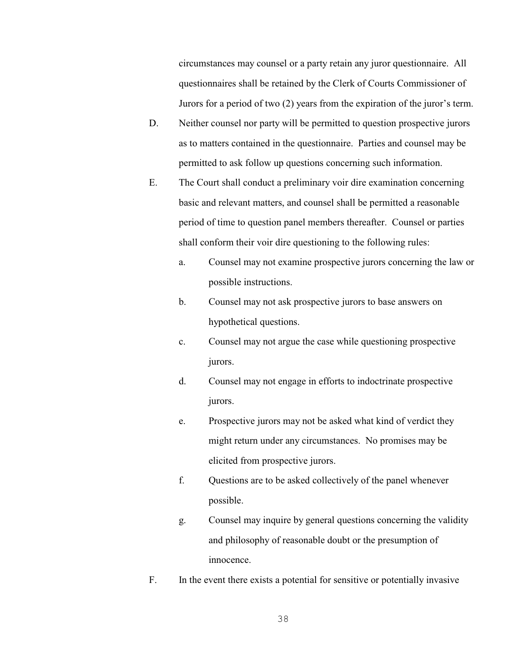circumstances may counsel or a party retain any juror questionnaire. All questionnaires shall be retained by the Clerk of Courts Commissioner of Jurors for a period of two (2) years from the expiration of the juror's term.

- D. Neither counsel nor party will be permitted to question prospective jurors as to matters contained in the questionnaire. Parties and counsel may be permitted to ask follow up questions concerning such information.
- E. The Court shall conduct a preliminary voir dire examination concerning basic and relevant matters, and counsel shall be permitted a reasonable period of time to question panel members thereafter. Counsel or parties shall conform their voir dire questioning to the following rules:
	- a. Counsel may not examine prospective jurors concerning the law or possible instructions.
	- b. Counsel may not ask prospective jurors to base answers on hypothetical questions.
	- c. Counsel may not argue the case while questioning prospective jurors.
	- d. Counsel may not engage in efforts to indoctrinate prospective jurors.
	- e. Prospective jurors may not be asked what kind of verdict they might return under any circumstances. No promises may be elicited from prospective jurors.
	- f. Questions are to be asked collectively of the panel whenever possible.
	- g. Counsel may inquire by general questions concerning the validity and philosophy of reasonable doubt or the presumption of innocence.
- F. In the event there exists a potential for sensitive or potentially invasive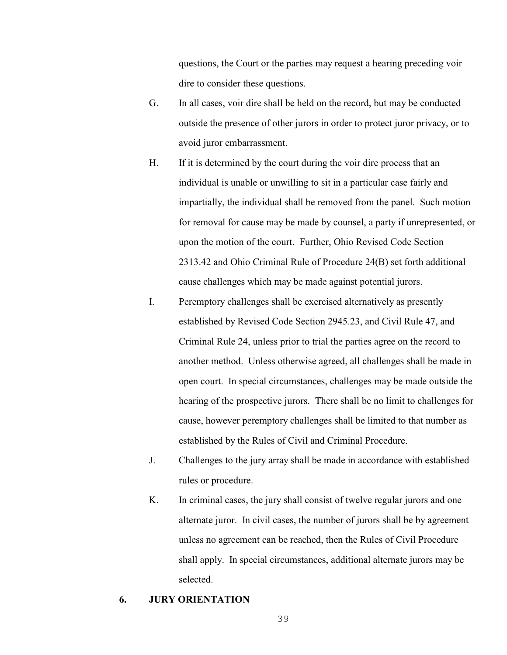questions, the Court or the parties may request a hearing preceding voir dire to consider these questions.

- G. In all cases, voir dire shall be held on the record, but may be conducted outside the presence of other jurors in order to protect juror privacy, or to avoid juror embarrassment.
- H. If it is determined by the court during the voir dire process that an individual is unable or unwilling to sit in a particular case fairly and impartially, the individual shall be removed from the panel. Such motion for removal for cause may be made by counsel, a party if unrepresented, or upon the motion of the court. Further, Ohio Revised Code Section 2313.42 and Ohio Criminal Rule of Procedure 24(B) set forth additional cause challenges which may be made against potential jurors.
- I. Peremptory challenges shall be exercised alternatively as presently established by Revised Code Section 2945.23, and Civil Rule 47, and Criminal Rule 24, unless prior to trial the parties agree on the record to another method. Unless otherwise agreed, all challenges shall be made in open court. In special circumstances, challenges may be made outside the hearing of the prospective jurors. There shall be no limit to challenges for cause, however peremptory challenges shall be limited to that number as established by the Rules of Civil and Criminal Procedure.
- J. Challenges to the jury array shall be made in accordance with established rules or procedure.
- K. In criminal cases, the jury shall consist of twelve regular jurors and one alternate juror. In civil cases, the number of jurors shall be by agreement unless no agreement can be reached, then the Rules of Civil Procedure shall apply. In special circumstances, additional alternate jurors may be selected.

### **6. JURY ORIENTATION**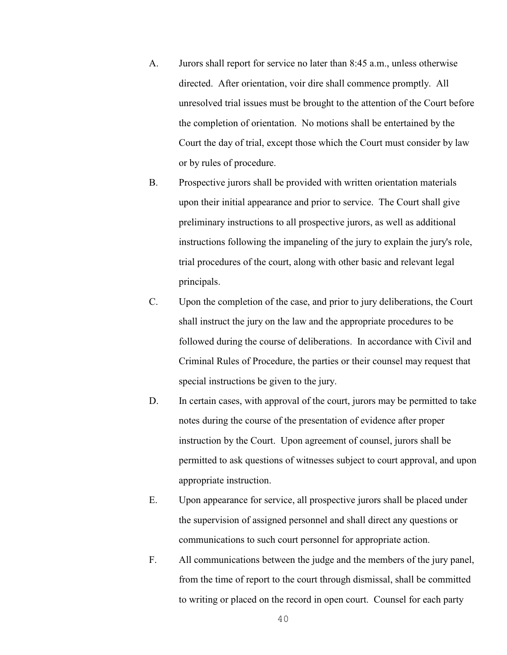- A. Jurors shall report for service no later than 8:45 a.m., unless otherwise directed. After orientation, voir dire shall commence promptly. All unresolved trial issues must be brought to the attention of the Court before the completion of orientation. No motions shall be entertained by the Court the day of trial, except those which the Court must consider by law or by rules of procedure.
- B. Prospective jurors shall be provided with written orientation materials upon their initial appearance and prior to service. The Court shall give preliminary instructions to all prospective jurors, as well as additional instructions following the impaneling of the jury to explain the jury's role, trial procedures of the court, along with other basic and relevant legal principals.
- C. Upon the completion of the case, and prior to jury deliberations, the Court shall instruct the jury on the law and the appropriate procedures to be followed during the course of deliberations. In accordance with Civil and Criminal Rules of Procedure, the parties or their counsel may request that special instructions be given to the jury.
- D. In certain cases, with approval of the court, jurors may be permitted to take notes during the course of the presentation of evidence after proper instruction by the Court. Upon agreement of counsel, jurors shall be permitted to ask questions of witnesses subject to court approval, and upon appropriate instruction.
- E. Upon appearance for service, all prospective jurors shall be placed under the supervision of assigned personnel and shall direct any questions or communications to such court personnel for appropriate action.
- F. All communications between the judge and the members of the jury panel, from the time of report to the court through dismissal, shall be committed to writing or placed on the record in open court. Counsel for each party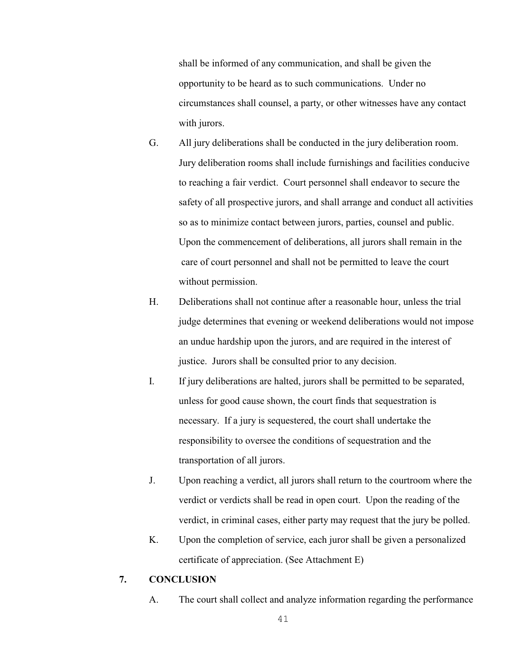shall be informed of any communication, and shall be given the opportunity to be heard as to such communications. Under no circumstances shall counsel, a party, or other witnesses have any contact with jurors.

- G. All jury deliberations shall be conducted in the jury deliberation room. Jury deliberation rooms shall include furnishings and facilities conducive to reaching a fair verdict. Court personnel shall endeavor to secure the safety of all prospective jurors, and shall arrange and conduct all activities so as to minimize contact between jurors, parties, counsel and public. Upon the commencement of deliberations, all jurors shall remain in the care of court personnel and shall not be permitted to leave the court without permission.
- H. Deliberations shall not continue after a reasonable hour, unless the trial judge determines that evening or weekend deliberations would not impose an undue hardship upon the jurors, and are required in the interest of justice. Jurors shall be consulted prior to any decision.
- I. If jury deliberations are halted, jurors shall be permitted to be separated, unless for good cause shown, the court finds that sequestration is necessary. If a jury is sequestered, the court shall undertake the responsibility to oversee the conditions of sequestration and the transportation of all jurors.
- J. Upon reaching a verdict, all jurors shall return to the courtroom where the verdict or verdicts shall be read in open court. Upon the reading of the verdict, in criminal cases, either party may request that the jury be polled.
- K. Upon the completion of service, each juror shall be given a personalized certificate of appreciation. (See Attachment E)

# **7. CONCLUSION**

A. The court shall collect and analyze information regarding the performance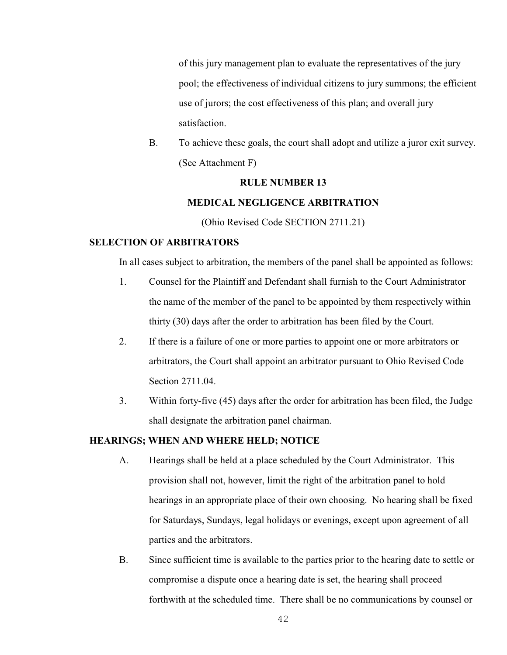of this jury management plan to evaluate the representatives of the jury pool; the effectiveness of individual citizens to jury summons; the efficient use of jurors; the cost effectiveness of this plan; and overall jury satisfaction.

B. To achieve these goals, the court shall adopt and utilize a juror exit survey. (See Attachment F)

### **RULE NUMBER 13**

### **MEDICAL NEGLIGENCE ARBITRATION**

(Ohio Revised Code SECTION 2711.21)

## **SELECTION OF ARBITRATORS**

In all cases subject to arbitration, the members of the panel shall be appointed as follows:

- 1. Counsel for the Plaintiff and Defendant shall furnish to the Court Administrator the name of the member of the panel to be appointed by them respectively within thirty (30) days after the order to arbitration has been filed by the Court.
- 2. If there is a failure of one or more parties to appoint one or more arbitrators or arbitrators, the Court shall appoint an arbitrator pursuant to Ohio Revised Code Section 2711.04.
- 3. Within forty-five (45) days after the order for arbitration has been filed, the Judge shall designate the arbitration panel chairman.

# **HEARINGS; WHEN AND WHERE HELD; NOTICE**

- A. Hearings shall be held at a place scheduled by the Court Administrator. This provision shall not, however, limit the right of the arbitration panel to hold hearings in an appropriate place of their own choosing. No hearing shall be fixed for Saturdays, Sundays, legal holidays or evenings, except upon agreement of all parties and the arbitrators.
- B. Since sufficient time is available to the parties prior to the hearing date to settle or compromise a dispute once a hearing date is set, the hearing shall proceed forthwith at the scheduled time. There shall be no communications by counsel or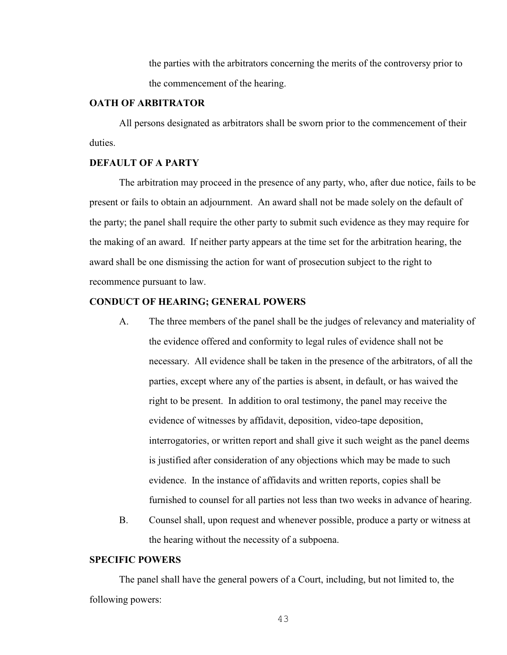the parties with the arbitrators concerning the merits of the controversy prior to the commencement of the hearing.

#### **OATH OF ARBITRATOR**

All persons designated as arbitrators shall be sworn prior to the commencement of their duties.

### **DEFAULT OF A PARTY**

The arbitration may proceed in the presence of any party, who, after due notice, fails to be present or fails to obtain an adjournment. An award shall not be made solely on the default of the party; the panel shall require the other party to submit such evidence as they may require for the making of an award. If neither party appears at the time set for the arbitration hearing, the award shall be one dismissing the action for want of prosecution subject to the right to recommence pursuant to law.

### **CONDUCT OF HEARING; GENERAL POWERS**

- A. The three members of the panel shall be the judges of relevancy and materiality of the evidence offered and conformity to legal rules of evidence shall not be necessary. All evidence shall be taken in the presence of the arbitrators, of all the parties, except where any of the parties is absent, in default, or has waived the right to be present. In addition to oral testimony, the panel may receive the evidence of witnesses by affidavit, deposition, video-tape deposition, interrogatories, or written report and shall give it such weight as the panel deems is justified after consideration of any objections which may be made to such evidence. In the instance of affidavits and written reports, copies shall be furnished to counsel for all parties not less than two weeks in advance of hearing.
- B. Counsel shall, upon request and whenever possible, produce a party or witness at the hearing without the necessity of a subpoena.

## **SPECIFIC POWERS**

The panel shall have the general powers of a Court, including, but not limited to, the following powers: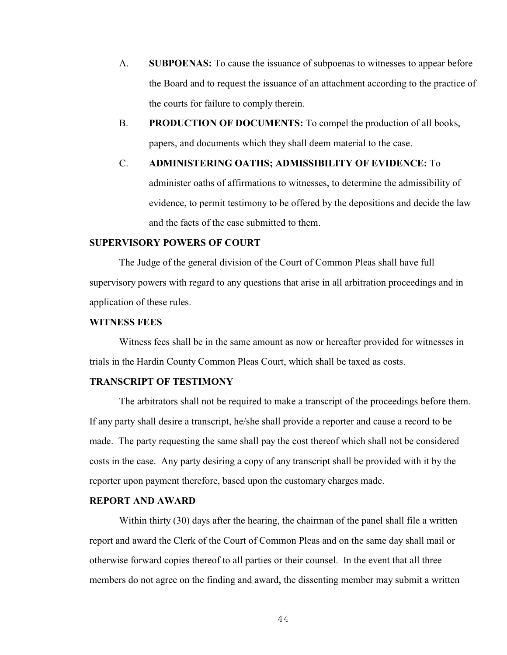- A. **SUBPOENAS:** To cause the issuance of subpoenas to witnesses to appear before the Board and to request the issuance of an attachment according to the practice of the courts for failure to comply therein.
- B. **PRODUCTION OF DOCUMENTS:** To compel the production of all books, papers, and documents which they shall deem material to the case.

C. **ADMINISTERING OATHS; ADMISSIBILITY OF EVIDENCE:** To administer oaths of affirmations to witnesses, to determine the admissibility of evidence, to permit testimony to be offered by the depositions and decide the law and the facts of the case submitted to them.

## **SUPERVISORY POWERS OF COURT**

The Judge of the general division of the Court of Common Pleas shall have full supervisory powers with regard to any questions that arise in all arbitration proceedings and in application of these rules.

#### **WITNESS FEES**

Witness fees shall be in the same amount as now or hereafter provided for witnesses in trials in the Hardin County Common Pleas Court, which shall be taxed as costs.

# **TRANSCRIPT OF TESTIMONY**

The arbitrators shall not be required to make a transcript of the proceedings before them. If any party shall desire a transcript, he/she shall provide a reporter and cause a record to be made. The party requesting the same shall pay the cost thereof which shall not be considered costs in the case. Any party desiring a copy of any transcript shall be provided with it by the reporter upon payment therefore, based upon the customary charges made.

### **REPORT AND AWARD**

Within thirty (30) days after the hearing, the chairman of the panel shall file a written report and award the Clerk of the Court of Common Pleas and on the same day shall mail or otherwise forward copies thereof to all parties or their counsel. In the event that all three members do not agree on the finding and award, the dissenting member may submit a written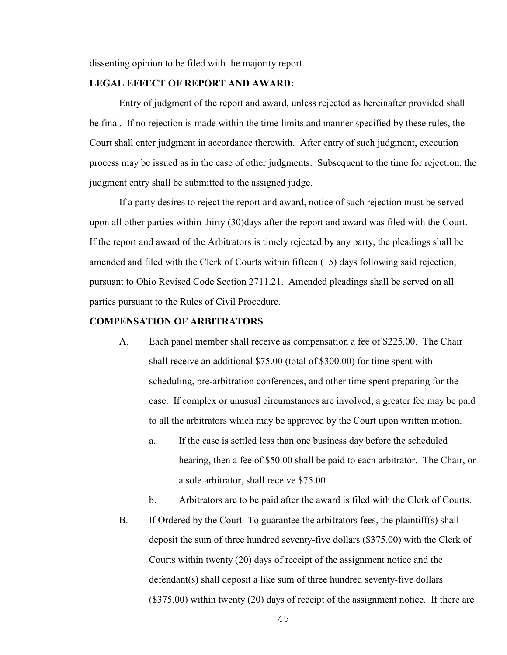dissenting opinion to be filed with the majority report.

### **LEGAL EFFECT OF REPORT AND AWARD:**

Entry of judgment of the report and award, unless rejected as hereinafter provided shall be final. If no rejection is made within the time limits and manner specified by these rules, the Court shall enter judgment in accordance therewith. After entry of such judgment, execution process may be issued as in the case of other judgments. Subsequent to the time for rejection, the judgment entry shall be submitted to the assigned judge.

If a party desires to reject the report and award, notice of such rejection must be served upon all other parties within thirty (30)days after the report and award was filed with the Court. If the report and award of the Arbitrators is timely rejected by any party, the pleadings shall be amended and filed with the Clerk of Courts within fifteen (15) days following said rejection, pursuant to Ohio Revised Code Section 2711.21. Amended pleadings shall be served on all parties pursuant to the Rules of Civil Procedure.

### **COMPENSATION OF ARBITRATORS**

- A. Each panel member shall receive as compensation a fee of \$225.00. The Chair shall receive an additional \$75.00 (total of \$300.00) for time spent with scheduling, pre-arbitration conferences, and other time spent preparing for the case. If complex or unusual circumstances are involved, a greater fee may be paid to all the arbitrators which may be approved by the Court upon written motion.
	- a. If the case is settled less than one business day before the scheduled hearing, then a fee of \$50.00 shall be paid to each arbitrator. The Chair, or a sole arbitrator, shall receive \$75.00
	- b. Arbitrators are to be paid after the award is filed with the Clerk of Courts.
- B. If Ordered by the Court- To guarantee the arbitrators fees, the plaintiff(s) shall deposit the sum of three hundred seventy-five dollars (\$375.00) with the Clerk of Courts within twenty (20) days of receipt of the assignment notice and the defendant(s) shall deposit a like sum of three hundred seventy-five dollars (\$375.00) within twenty (20) days of receipt of the assignment notice. If there are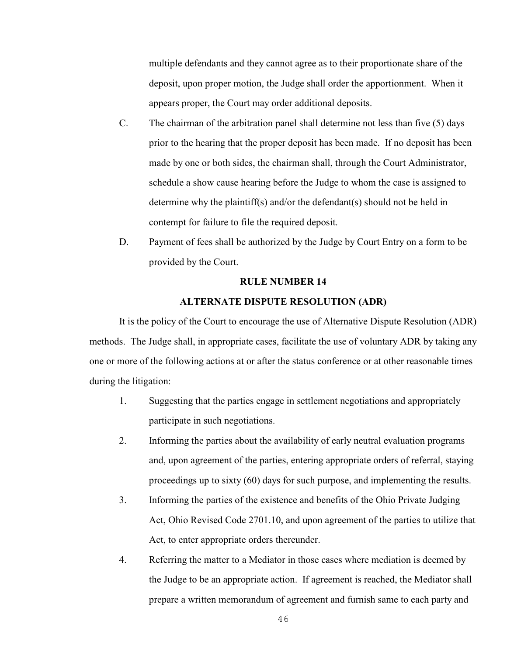multiple defendants and they cannot agree as to their proportionate share of the deposit, upon proper motion, the Judge shall order the apportionment. When it appears proper, the Court may order additional deposits.

- C. The chairman of the arbitration panel shall determine not less than five (5) days prior to the hearing that the proper deposit has been made. If no deposit has been made by one or both sides, the chairman shall, through the Court Administrator, schedule a show cause hearing before the Judge to whom the case is assigned to determine why the plaintiff(s) and/or the defendant(s) should not be held in contempt for failure to file the required deposit.
- D. Payment of fees shall be authorized by the Judge by Court Entry on a form to be provided by the Court.

#### **RULE NUMBER 14**

## **ALTERNATE DISPUTE RESOLUTION (ADR)**

It is the policy of the Court to encourage the use of Alternative Dispute Resolution (ADR) methods. The Judge shall, in appropriate cases, facilitate the use of voluntary ADR by taking any one or more of the following actions at or after the status conference or at other reasonable times during the litigation:

- 1. Suggesting that the parties engage in settlement negotiations and appropriately participate in such negotiations.
- 2. Informing the parties about the availability of early neutral evaluation programs and, upon agreement of the parties, entering appropriate orders of referral, staying proceedings up to sixty (60) days for such purpose, and implementing the results.
- 3. Informing the parties of the existence and benefits of the Ohio Private Judging Act, Ohio Revised Code 2701.10, and upon agreement of the parties to utilize that Act, to enter appropriate orders thereunder.
- 4. Referring the matter to a Mediator in those cases where mediation is deemed by the Judge to be an appropriate action. If agreement is reached, the Mediator shall prepare a written memorandum of agreement and furnish same to each party and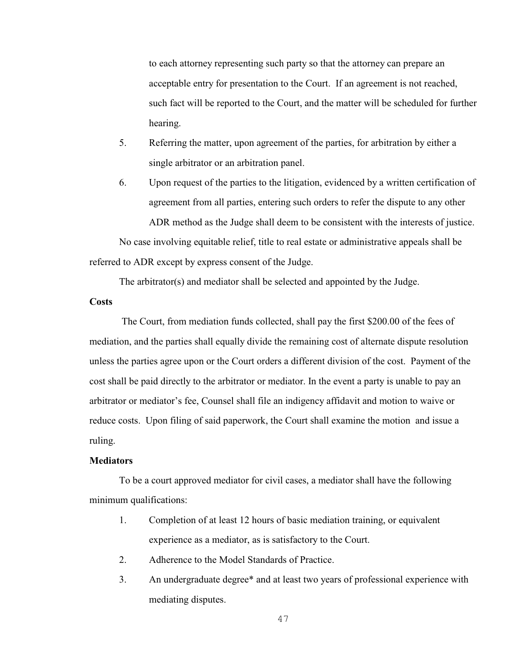to each attorney representing such party so that the attorney can prepare an acceptable entry for presentation to the Court. If an agreement is not reached, such fact will be reported to the Court, and the matter will be scheduled for further hearing.

- 5. Referring the matter, upon agreement of the parties, for arbitration by either a single arbitrator or an arbitration panel.
- 6. Upon request of the parties to the litigation, evidenced by a written certification of agreement from all parties, entering such orders to refer the dispute to any other ADR method as the Judge shall deem to be consistent with the interests of justice.

No case involving equitable relief, title to real estate or administrative appeals shall be referred to ADR except by express consent of the Judge.

The arbitrator(s) and mediator shall be selected and appointed by the Judge.

### **Costs**

 The Court, from mediation funds collected, shall pay the first \$200.00 of the fees of mediation, and the parties shall equally divide the remaining cost of alternate dispute resolution unless the parties agree upon or the Court orders a different division of the cost. Payment of the cost shall be paid directly to the arbitrator or mediator. In the event a party is unable to pay an arbitrator or mediator's fee, Counsel shall file an indigency affidavit and motion to waive or reduce costs. Upon filing of said paperwork, the Court shall examine the motion and issue a ruling.

### **Mediators**

To be a court approved mediator for civil cases, a mediator shall have the following minimum qualifications:

- 1. Completion of at least 12 hours of basic mediation training, or equivalent experience as a mediator, as is satisfactory to the Court.
- 2. Adherence to the Model Standards of Practice.
- 3. An undergraduate degree\* and at least two years of professional experience with mediating disputes.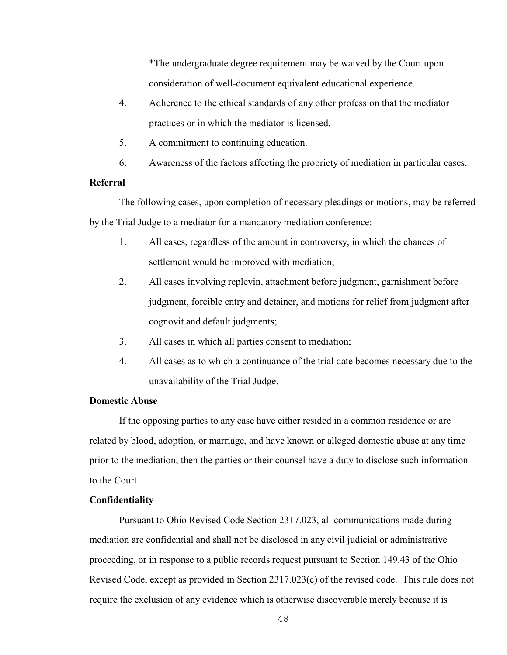\*The undergraduate degree requirement may be waived by the Court upon consideration of well-document equivalent educational experience.

- 4. Adherence to the ethical standards of any other profession that the mediator practices or in which the mediator is licensed.
- 5. A commitment to continuing education.
- 6. Awareness of the factors affecting the propriety of mediation in particular cases.

## **Referral**

The following cases, upon completion of necessary pleadings or motions, may be referred by the Trial Judge to a mediator for a mandatory mediation conference:

- 1. All cases, regardless of the amount in controversy, in which the chances of settlement would be improved with mediation;
- 2. All cases involving replevin, attachment before judgment, garnishment before judgment, forcible entry and detainer, and motions for relief from judgment after cognovit and default judgments;
- 3. All cases in which all parties consent to mediation;
- 4. All cases as to which a continuance of the trial date becomes necessary due to the unavailability of the Trial Judge.

### **Domestic Abuse**

If the opposing parties to any case have either resided in a common residence or are related by blood, adoption, or marriage, and have known or alleged domestic abuse at any time prior to the mediation, then the parties or their counsel have a duty to disclose such information to the Court.

### **Confidentiality**

Pursuant to Ohio Revised Code Section 2317.023, all communications made during mediation are confidential and shall not be disclosed in any civil judicial or administrative proceeding, or in response to a public records request pursuant to Section 149.43 of the Ohio Revised Code, except as provided in Section 2317.023(c) of the revised code. This rule does not require the exclusion of any evidence which is otherwise discoverable merely because it is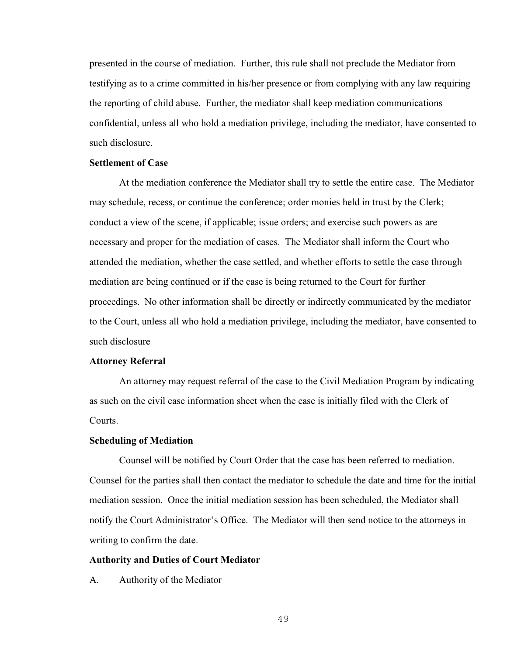presented in the course of mediation. Further, this rule shall not preclude the Mediator from testifying as to a crime committed in his/her presence or from complying with any law requiring the reporting of child abuse. Further, the mediator shall keep mediation communications confidential, unless all who hold a mediation privilege, including the mediator, have consented to such disclosure.

### **Settlement of Case**

At the mediation conference the Mediator shall try to settle the entire case. The Mediator may schedule, recess, or continue the conference; order monies held in trust by the Clerk; conduct a view of the scene, if applicable; issue orders; and exercise such powers as are necessary and proper for the mediation of cases. The Mediator shall inform the Court who attended the mediation, whether the case settled, and whether efforts to settle the case through mediation are being continued or if the case is being returned to the Court for further proceedings. No other information shall be directly or indirectly communicated by the mediator to the Court, unless all who hold a mediation privilege, including the mediator, have consented to such disclosure

### **Attorney Referral**

An attorney may request referral of the case to the Civil Mediation Program by indicating as such on the civil case information sheet when the case is initially filed with the Clerk of Courts.

### **Scheduling of Mediation**

Counsel will be notified by Court Order that the case has been referred to mediation. Counsel for the parties shall then contact the mediator to schedule the date and time for the initial mediation session. Once the initial mediation session has been scheduled, the Mediator shall notify the Court Administrator's Office. The Mediator will then send notice to the attorneys in writing to confirm the date.

### **Authority and Duties of Court Mediator**

A. Authority of the Mediator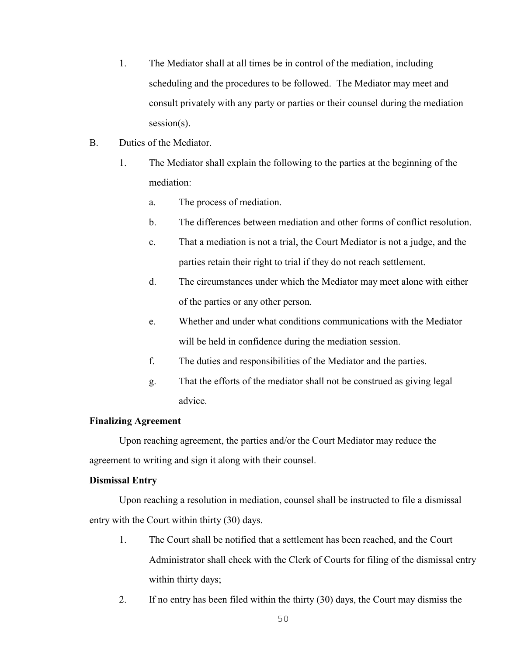- 1. The Mediator shall at all times be in control of the mediation, including scheduling and the procedures to be followed. The Mediator may meet and consult privately with any party or parties or their counsel during the mediation session(s).
- B. Duties of the Mediator.
	- 1. The Mediator shall explain the following to the parties at the beginning of the mediation:
		- a. The process of mediation.
		- b. The differences between mediation and other forms of conflict resolution.
		- c. That a mediation is not a trial, the Court Mediator is not a judge, and the parties retain their right to trial if they do not reach settlement.
		- d. The circumstances under which the Mediator may meet alone with either of the parties or any other person.
		- e. Whether and under what conditions communications with the Mediator will be held in confidence during the mediation session.
		- f. The duties and responsibilities of the Mediator and the parties.
		- g. That the efforts of the mediator shall not be construed as giving legal advice.

## **Finalizing Agreement**

Upon reaching agreement, the parties and/or the Court Mediator may reduce the agreement to writing and sign it along with their counsel.

## **Dismissal Entry**

Upon reaching a resolution in mediation, counsel shall be instructed to file a dismissal entry with the Court within thirty (30) days.

- 1. The Court shall be notified that a settlement has been reached, and the Court Administrator shall check with the Clerk of Courts for filing of the dismissal entry within thirty days;
- 2. If no entry has been filed within the thirty (30) days, the Court may dismiss the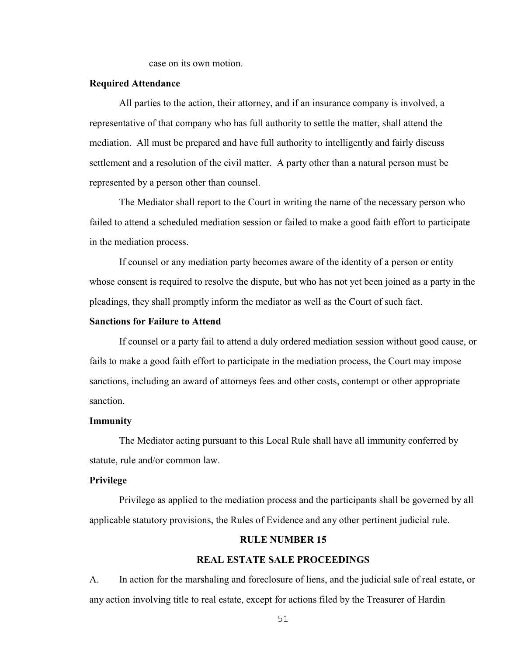case on its own motion.

## **Required Attendance**

All parties to the action, their attorney, and if an insurance company is involved, a representative of that company who has full authority to settle the matter, shall attend the mediation. All must be prepared and have full authority to intelligently and fairly discuss settlement and a resolution of the civil matter. A party other than a natural person must be represented by a person other than counsel.

The Mediator shall report to the Court in writing the name of the necessary person who failed to attend a scheduled mediation session or failed to make a good faith effort to participate in the mediation process.

If counsel or any mediation party becomes aware of the identity of a person or entity whose consent is required to resolve the dispute, but who has not yet been joined as a party in the pleadings, they shall promptly inform the mediator as well as the Court of such fact.

#### **Sanctions for Failure to Attend**

If counsel or a party fail to attend a duly ordered mediation session without good cause, or fails to make a good faith effort to participate in the mediation process, the Court may impose sanctions, including an award of attorneys fees and other costs, contempt or other appropriate sanction.

#### **Immunity**

The Mediator acting pursuant to this Local Rule shall have all immunity conferred by statute, rule and/or common law.

#### **Privilege**

Privilege as applied to the mediation process and the participants shall be governed by all applicable statutory provisions, the Rules of Evidence and any other pertinent judicial rule.

#### **RULE NUMBER 15**

### **REAL ESTATE SALE PROCEEDINGS**

A. In action for the marshaling and foreclosure of liens, and the judicial sale of real estate, or any action involving title to real estate, except for actions filed by the Treasurer of Hardin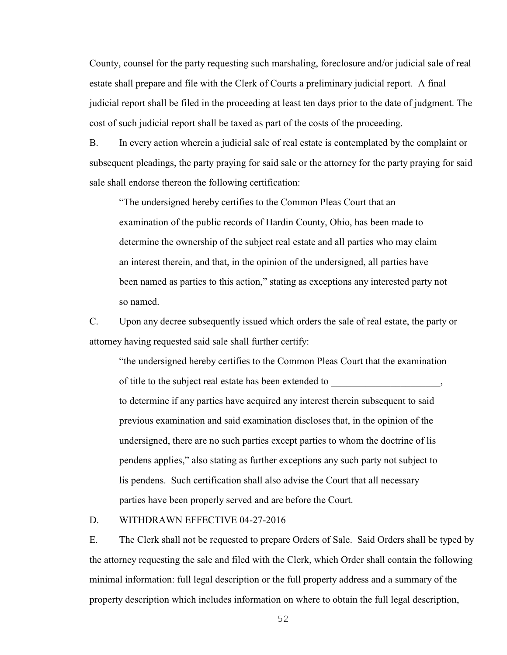County, counsel for the party requesting such marshaling, foreclosure and/or judicial sale of real estate shall prepare and file with the Clerk of Courts a preliminary judicial report. A final judicial report shall be filed in the proceeding at least ten days prior to the date of judgment. The cost of such judicial report shall be taxed as part of the costs of the proceeding.

B. In every action wherein a judicial sale of real estate is contemplated by the complaint or subsequent pleadings, the party praying for said sale or the attorney for the party praying for said sale shall endorse thereon the following certification:

"The undersigned hereby certifies to the Common Pleas Court that an examination of the public records of Hardin County, Ohio, has been made to determine the ownership of the subject real estate and all parties who may claim an interest therein, and that, in the opinion of the undersigned, all parties have been named as parties to this action," stating as exceptions any interested party not so named.

C. Upon any decree subsequently issued which orders the sale of real estate, the party or attorney having requested said sale shall further certify:

"the undersigned hereby certifies to the Common Pleas Court that the examination of title to the subject real estate has been extended to to determine if any parties have acquired any interest therein subsequent to said previous examination and said examination discloses that, in the opinion of the undersigned, there are no such parties except parties to whom the doctrine of lis pendens applies," also stating as further exceptions any such party not subject to lis pendens. Such certification shall also advise the Court that all necessary parties have been properly served and are before the Court.

## D. WITHDRAWN EFFECTIVE 04-27-2016

E. The Clerk shall not be requested to prepare Orders of Sale. Said Orders shall be typed by the attorney requesting the sale and filed with the Clerk, which Order shall contain the following minimal information: full legal description or the full property address and a summary of the property description which includes information on where to obtain the full legal description,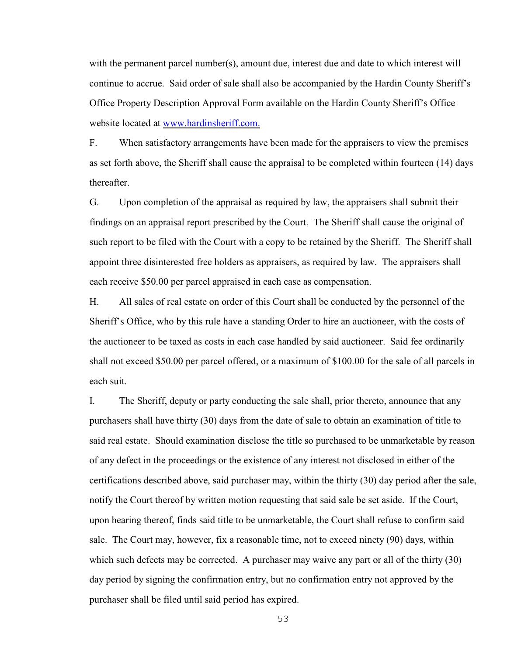with the permanent parcel number(s), amount due, interest due and date to which interest will continue to accrue. Said order of sale shall also be accompanied by the Hardin County Sheriff's Office Property Description Approval Form available on the Hardin County Sheriff's Office website located at [www.hardinsheriff.com.](http://www.hardinsheriff.com.)

F. When satisfactory arrangements have been made for the appraisers to view the premises as set forth above, the Sheriff shall cause the appraisal to be completed within fourteen (14) days thereafter.

G. Upon completion of the appraisal as required by law, the appraisers shall submit their findings on an appraisal report prescribed by the Court. The Sheriff shall cause the original of such report to be filed with the Court with a copy to be retained by the Sheriff. The Sheriff shall appoint three disinterested free holders as appraisers, as required by law. The appraisers shall each receive \$50.00 per parcel appraised in each case as compensation.

H. All sales of real estate on order of this Court shall be conducted by the personnel of the Sheriff's Office, who by this rule have a standing Order to hire an auctioneer, with the costs of the auctioneer to be taxed as costs in each case handled by said auctioneer. Said fee ordinarily shall not exceed \$50.00 per parcel offered, or a maximum of \$100.00 for the sale of all parcels in each suit.

I. The Sheriff, deputy or party conducting the sale shall, prior thereto, announce that any purchasers shall have thirty (30) days from the date of sale to obtain an examination of title to said real estate. Should examination disclose the title so purchased to be unmarketable by reason of any defect in the proceedings or the existence of any interest not disclosed in either of the certifications described above, said purchaser may, within the thirty (30) day period after the sale, notify the Court thereof by written motion requesting that said sale be set aside. If the Court, upon hearing thereof, finds said title to be unmarketable, the Court shall refuse to confirm said sale. The Court may, however, fix a reasonable time, not to exceed ninety (90) days, within which such defects may be corrected. A purchaser may waive any part or all of the thirty (30) day period by signing the confirmation entry, but no confirmation entry not approved by the purchaser shall be filed until said period has expired.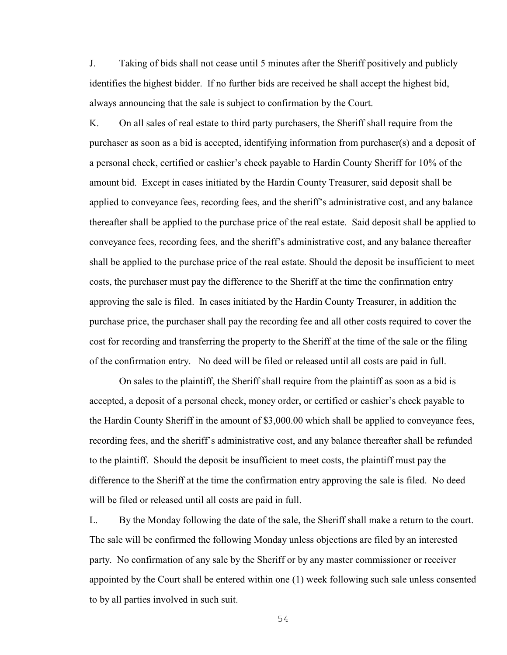J. Taking of bids shall not cease until 5 minutes after the Sheriff positively and publicly identifies the highest bidder. If no further bids are received he shall accept the highest bid, always announcing that the sale is subject to confirmation by the Court.

K. On all sales of real estate to third party purchasers, the Sheriff shall require from the purchaser as soon as a bid is accepted, identifying information from purchaser(s) and a deposit of a personal check, certified or cashier's check payable to Hardin County Sheriff for 10% of the amount bid. Except in cases initiated by the Hardin County Treasurer, said deposit shall be applied to conveyance fees, recording fees, and the sheriff's administrative cost, and any balance thereafter shall be applied to the purchase price of the real estate. Said deposit shall be applied to conveyance fees, recording fees, and the sheriff's administrative cost, and any balance thereafter shall be applied to the purchase price of the real estate. Should the deposit be insufficient to meet costs, the purchaser must pay the difference to the Sheriff at the time the confirmation entry approving the sale is filed. In cases initiated by the Hardin County Treasurer, in addition the purchase price, the purchaser shall pay the recording fee and all other costs required to cover the cost for recording and transferring the property to the Sheriff at the time of the sale or the filing of the confirmation entry. No deed will be filed or released until all costs are paid in full.

On sales to the plaintiff, the Sheriff shall require from the plaintiff as soon as a bid is accepted, a deposit of a personal check, money order, or certified or cashier's check payable to the Hardin County Sheriff in the amount of \$3,000.00 which shall be applied to conveyance fees, recording fees, and the sheriff's administrative cost, and any balance thereafter shall be refunded to the plaintiff. Should the deposit be insufficient to meet costs, the plaintiff must pay the difference to the Sheriff at the time the confirmation entry approving the sale is filed. No deed will be filed or released until all costs are paid in full.

L. By the Monday following the date of the sale, the Sheriff shall make a return to the court. The sale will be confirmed the following Monday unless objections are filed by an interested party. No confirmation of any sale by the Sheriff or by any master commissioner or receiver appointed by the Court shall be entered within one (1) week following such sale unless consented to by all parties involved in such suit.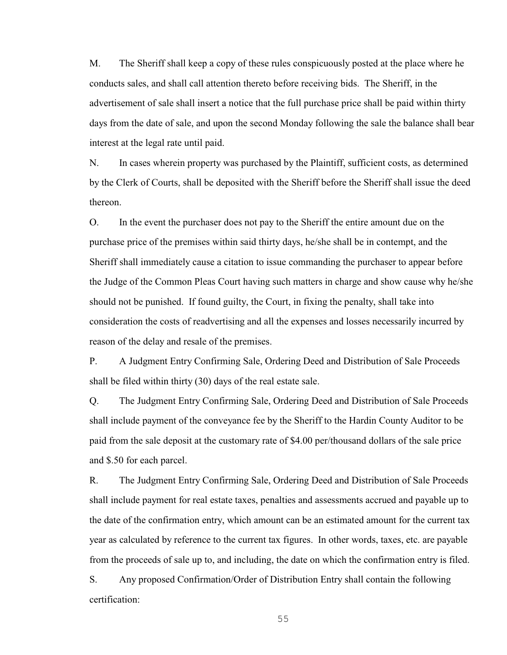M. The Sheriff shall keep a copy of these rules conspicuously posted at the place where he conducts sales, and shall call attention thereto before receiving bids. The Sheriff, in the advertisement of sale shall insert a notice that the full purchase price shall be paid within thirty days from the date of sale, and upon the second Monday following the sale the balance shall bear interest at the legal rate until paid.

N. In cases wherein property was purchased by the Plaintiff, sufficient costs, as determined by the Clerk of Courts, shall be deposited with the Sheriff before the Sheriff shall issue the deed thereon.

O. In the event the purchaser does not pay to the Sheriff the entire amount due on the purchase price of the premises within said thirty days, he/she shall be in contempt, and the Sheriff shall immediately cause a citation to issue commanding the purchaser to appear before the Judge of the Common Pleas Court having such matters in charge and show cause why he/she should not be punished. If found guilty, the Court, in fixing the penalty, shall take into consideration the costs of readvertising and all the expenses and losses necessarily incurred by reason of the delay and resale of the premises.

P. A Judgment Entry Confirming Sale, Ordering Deed and Distribution of Sale Proceeds shall be filed within thirty (30) days of the real estate sale.

Q. The Judgment Entry Confirming Sale, Ordering Deed and Distribution of Sale Proceeds shall include payment of the conveyance fee by the Sheriff to the Hardin County Auditor to be paid from the sale deposit at the customary rate of \$4.00 per/thousand dollars of the sale price and \$.50 for each parcel.

R. The Judgment Entry Confirming Sale, Ordering Deed and Distribution of Sale Proceeds shall include payment for real estate taxes, penalties and assessments accrued and payable up to the date of the confirmation entry, which amount can be an estimated amount for the current tax year as calculated by reference to the current tax figures. In other words, taxes, etc. are payable from the proceeds of sale up to, and including, the date on which the confirmation entry is filed.

S. Any proposed Confirmation/Order of Distribution Entry shall contain the following certification: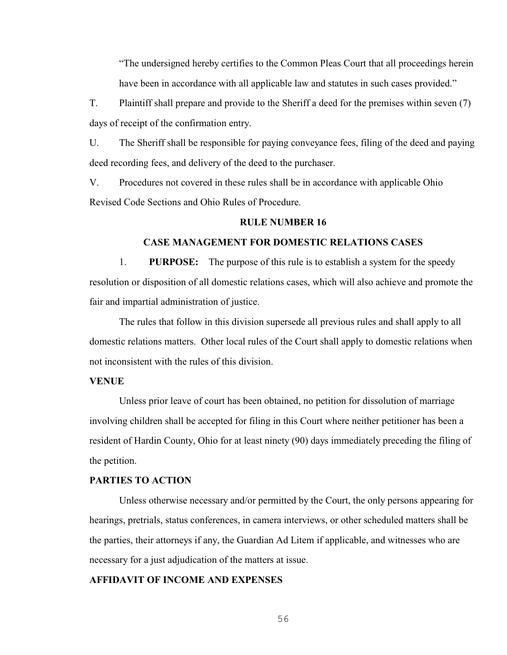"The undersigned hereby certifies to the Common Pleas Court that all proceedings herein have been in accordance with all applicable law and statutes in such cases provided."

T. Plaintiff shall prepare and provide to the Sheriff a deed for the premises within seven (7) days of receipt of the confirmation entry.

U. The Sheriff shall be responsible for paying conveyance fees, filing of the deed and paying deed recording fees, and delivery of the deed to the purchaser.

V. Procedures not covered in these rules shall be in accordance with applicable Ohio Revised Code Sections and Ohio Rules of Procedure.

### **RULE NUMBER 16**

### **CASE MANAGEMENT FOR DOMESTIC RELATIONS CASES**

1. **PURPOSE:** The purpose of this rule is to establish a system for the speedy resolution or disposition of all domestic relations cases, which will also achieve and promote the fair and impartial administration of justice.

The rules that follow in this division supersede all previous rules and shall apply to all domestic relations matters. Other local rules of the Court shall apply to domestic relations when not inconsistent with the rules of this division.

#### **VENUE**

Unless prior leave of court has been obtained, no petition for dissolution of marriage involving children shall be accepted for filing in this Court where neither petitioner has been a resident of Hardin County, Ohio for at least ninety (90) days immediately preceding the filing of the petition.

### **PARTIES TO ACTION**

Unless otherwise necessary and/or permitted by the Court, the only persons appearing for hearings, pretrials, status conferences, in camera interviews, or other scheduled matters shall be the parties, their attorneys if any, the Guardian Ad Litem if applicable, and witnesses who are necessary for a just adjudication of the matters at issue.

### **AFFIDAVIT OF INCOME AND EXPENSES**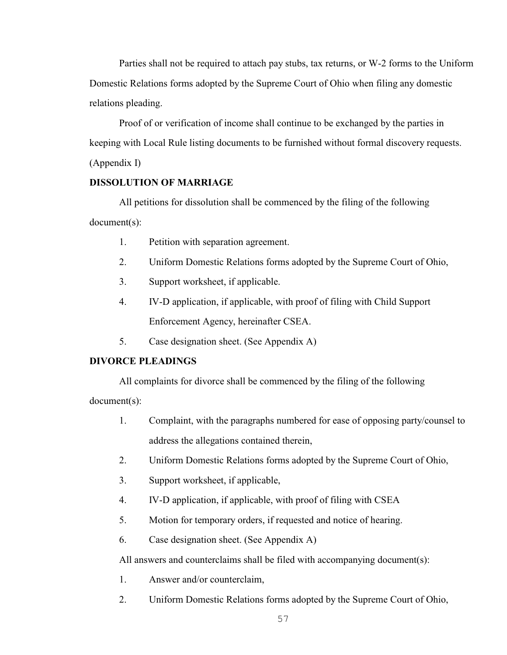Parties shall not be required to attach pay stubs, tax returns, or W-2 forms to the Uniform Domestic Relations forms adopted by the Supreme Court of Ohio when filing any domestic relations pleading.

Proof of or verification of income shall continue to be exchanged by the parties in keeping with Local Rule listing documents to be furnished without formal discovery requests. (Appendix I)

# **DISSOLUTION OF MARRIAGE**

All petitions for dissolution shall be commenced by the filing of the following document(s):

- 1. Petition with separation agreement.
- 2. Uniform Domestic Relations forms adopted by the Supreme Court of Ohio,
- 3. Support worksheet, if applicable.
- 4. IV-D application, if applicable, with proof of filing with Child Support Enforcement Agency, hereinafter CSEA.
- 5. Case designation sheet. (See Appendix A)

# **DIVORCE PLEADINGS**

All complaints for divorce shall be commenced by the filing of the following document(s):

- 1. Complaint, with the paragraphs numbered for ease of opposing party/counsel to address the allegations contained therein,
- 2. Uniform Domestic Relations forms adopted by the Supreme Court of Ohio,
- 3. Support worksheet, if applicable,
- 4. IV-D application, if applicable, with proof of filing with CSEA
- 5. Motion for temporary orders, if requested and notice of hearing.
- 6. Case designation sheet. (See Appendix A)

All answers and counterclaims shall be filed with accompanying document(s):

- 1. Answer and/or counterclaim,
- 2. Uniform Domestic Relations forms adopted by the Supreme Court of Ohio,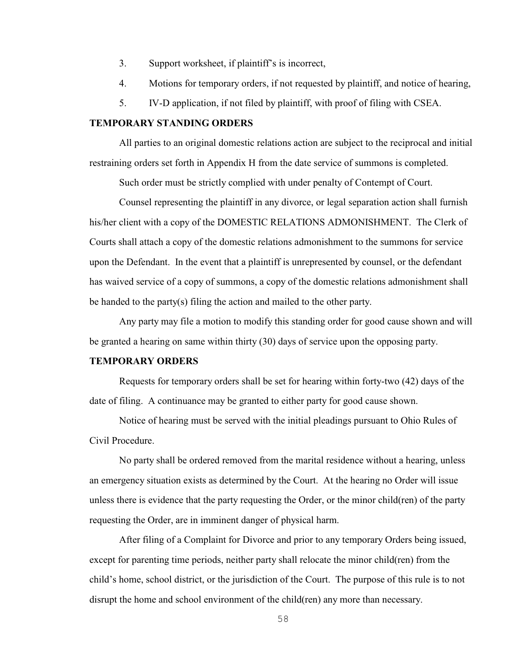- 3. Support worksheet, if plaintiff's is incorrect,
- 4. Motions for temporary orders, if not requested by plaintiff, and notice of hearing,
- 5. IV-D application, if not filed by plaintiff, with proof of filing with CSEA.

### **TEMPORARY STANDING ORDERS**

All parties to an original domestic relations action are subject to the reciprocal and initial restraining orders set forth in Appendix H from the date service of summons is completed.

Such order must be strictly complied with under penalty of Contempt of Court.

Counsel representing the plaintiff in any divorce, or legal separation action shall furnish his/her client with a copy of the DOMESTIC RELATIONS ADMONISHMENT. The Clerk of Courts shall attach a copy of the domestic relations admonishment to the summons for service upon the Defendant. In the event that a plaintiff is unrepresented by counsel, or the defendant has waived service of a copy of summons, a copy of the domestic relations admonishment shall be handed to the party(s) filing the action and mailed to the other party.

Any party may file a motion to modify this standing order for good cause shown and will be granted a hearing on same within thirty (30) days of service upon the opposing party.

#### **TEMPORARY ORDERS**

Requests for temporary orders shall be set for hearing within forty-two (42) days of the date of filing. A continuance may be granted to either party for good cause shown.

Notice of hearing must be served with the initial pleadings pursuant to Ohio Rules of Civil Procedure.

No party shall be ordered removed from the marital residence without a hearing, unless an emergency situation exists as determined by the Court. At the hearing no Order will issue unless there is evidence that the party requesting the Order, or the minor child(ren) of the party requesting the Order, are in imminent danger of physical harm.

After filing of a Complaint for Divorce and prior to any temporary Orders being issued, except for parenting time periods, neither party shall relocate the minor child(ren) from the child's home, school district, or the jurisdiction of the Court. The purpose of this rule is to not disrupt the home and school environment of the child(ren) any more than necessary.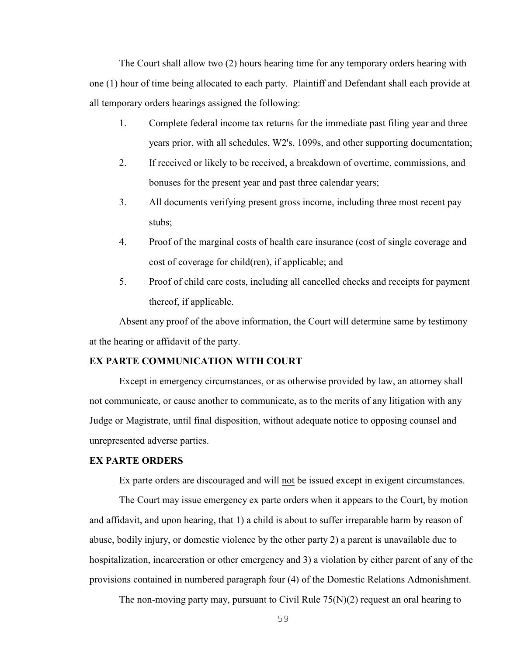The Court shall allow two (2) hours hearing time for any temporary orders hearing with one (1) hour of time being allocated to each party. Plaintiff and Defendant shall each provide at all temporary orders hearings assigned the following:

- 1. Complete federal income tax returns for the immediate past filing year and three years prior, with all schedules, W2's, 1099s, and other supporting documentation;
- 2. If received or likely to be received, a breakdown of overtime, commissions, and bonuses for the present year and past three calendar years;
- 3. All documents verifying present gross income, including three most recent pay stubs;
- 4. Proof of the marginal costs of health care insurance (cost of single coverage and cost of coverage for child(ren), if applicable; and
- 5. Proof of child care costs, including all cancelled checks and receipts for payment thereof, if applicable.

Absent any proof of the above information, the Court will determine same by testimony at the hearing or affidavit of the party.

### **EX PARTE COMMUNICATION WITH COURT**

Except in emergency circumstances, or as otherwise provided by law, an attorney shall not communicate, or cause another to communicate, as to the merits of any litigation with any Judge or Magistrate, until final disposition, without adequate notice to opposing counsel and unrepresented adverse parties.

### **EX PARTE ORDERS**

Ex parte orders are discouraged and will not be issued except in exigent circumstances.

The Court may issue emergency ex parte orders when it appears to the Court, by motion and affidavit, and upon hearing, that 1) a child is about to suffer irreparable harm by reason of abuse, bodily injury, or domestic violence by the other party 2) a parent is unavailable due to hospitalization, incarceration or other emergency and 3) a violation by either parent of any of the provisions contained in numbered paragraph four (4) of the Domestic Relations Admonishment.

The non-moving party may, pursuant to Civil Rule  $75(N)(2)$  request an oral hearing to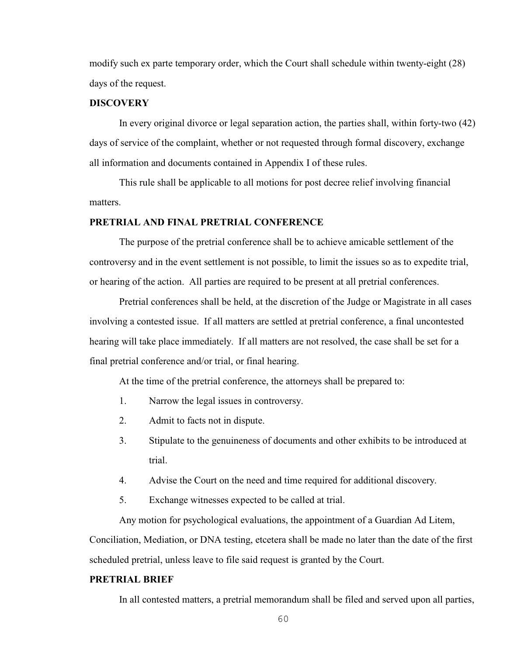modify such ex parte temporary order, which the Court shall schedule within twenty-eight (28) days of the request.

### **DISCOVERY**

In every original divorce or legal separation action, the parties shall, within forty-two (42) days of service of the complaint, whether or not requested through formal discovery, exchange all information and documents contained in Appendix I of these rules.

This rule shall be applicable to all motions for post decree relief involving financial matters.

### **PRETRIAL AND FINAL PRETRIAL CONFERENCE**

The purpose of the pretrial conference shall be to achieve amicable settlement of the controversy and in the event settlement is not possible, to limit the issues so as to expedite trial, or hearing of the action. All parties are required to be present at all pretrial conferences.

Pretrial conferences shall be held, at the discretion of the Judge or Magistrate in all cases involving a contested issue. If all matters are settled at pretrial conference, a final uncontested hearing will take place immediately. If all matters are not resolved, the case shall be set for a final pretrial conference and/or trial, or final hearing.

At the time of the pretrial conference, the attorneys shall be prepared to:

- 1. Narrow the legal issues in controversy.
- 2. Admit to facts not in dispute.
- 3. Stipulate to the genuineness of documents and other exhibits to be introduced at trial.
- 4. Advise the Court on the need and time required for additional discovery.
- 5. Exchange witnesses expected to be called at trial.

Any motion for psychological evaluations, the appointment of a Guardian Ad Litem,

Conciliation, Mediation, or DNA testing, etcetera shall be made no later than the date of the first scheduled pretrial, unless leave to file said request is granted by the Court.

## **PRETRIAL BRIEF**

In all contested matters, a pretrial memorandum shall be filed and served upon all parties,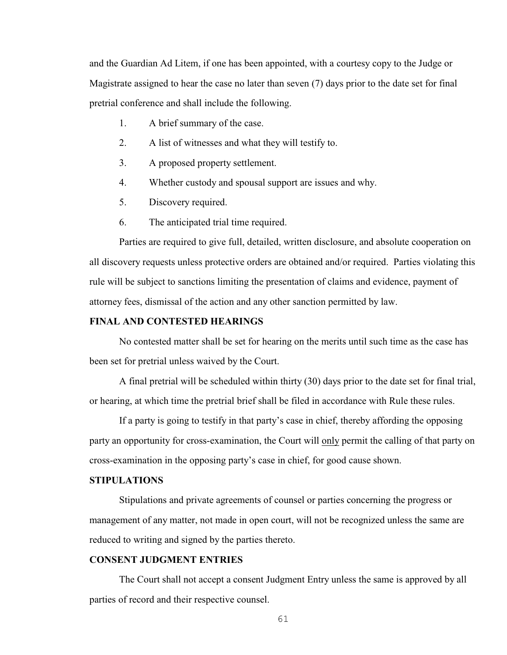and the Guardian Ad Litem, if one has been appointed, with a courtesy copy to the Judge or Magistrate assigned to hear the case no later than seven (7) days prior to the date set for final pretrial conference and shall include the following.

- 1. A brief summary of the case.
- 2. A list of witnesses and what they will testify to.
- 3. A proposed property settlement.
- 4. Whether custody and spousal support are issues and why.
- 5. Discovery required.
- 6. The anticipated trial time required.

Parties are required to give full, detailed, written disclosure, and absolute cooperation on all discovery requests unless protective orders are obtained and/or required. Parties violating this rule will be subject to sanctions limiting the presentation of claims and evidence, payment of attorney fees, dismissal of the action and any other sanction permitted by law.

### **FINAL AND CONTESTED HEARINGS**

No contested matter shall be set for hearing on the merits until such time as the case has been set for pretrial unless waived by the Court.

A final pretrial will be scheduled within thirty (30) days prior to the date set for final trial, or hearing, at which time the pretrial brief shall be filed in accordance with Rule these rules.

If a party is going to testify in that party's case in chief, thereby affording the opposing party an opportunity for cross-examination, the Court will only permit the calling of that party on cross-examination in the opposing party's case in chief, for good cause shown.

### **STIPULATIONS**

Stipulations and private agreements of counsel or parties concerning the progress or management of any matter, not made in open court, will not be recognized unless the same are reduced to writing and signed by the parties thereto.

## **CONSENT JUDGMENT ENTRIES**

The Court shall not accept a consent Judgment Entry unless the same is approved by all parties of record and their respective counsel.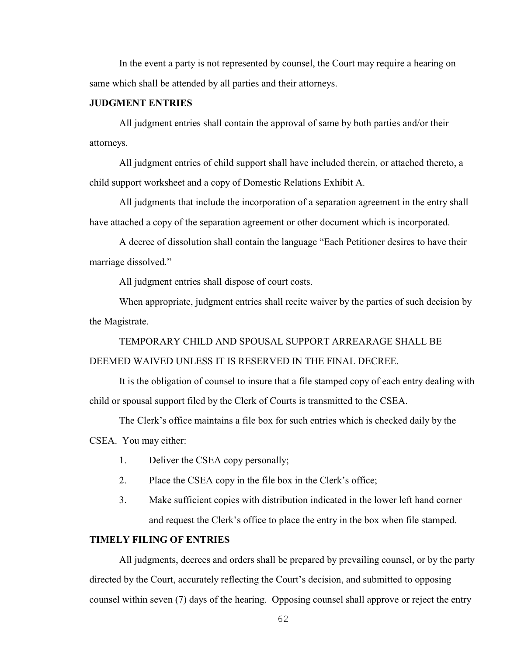In the event a party is not represented by counsel, the Court may require a hearing on same which shall be attended by all parties and their attorneys.

### **JUDGMENT ENTRIES**

All judgment entries shall contain the approval of same by both parties and/or their attorneys.

All judgment entries of child support shall have included therein, or attached thereto, a child support worksheet and a copy of Domestic Relations Exhibit A.

All judgments that include the incorporation of a separation agreement in the entry shall have attached a copy of the separation agreement or other document which is incorporated.

A decree of dissolution shall contain the language "Each Petitioner desires to have their marriage dissolved."

All judgment entries shall dispose of court costs.

When appropriate, judgment entries shall recite waiver by the parties of such decision by the Magistrate.

TEMPORARY CHILD AND SPOUSAL SUPPORT ARREARAGE SHALL BE DEEMED WAIVED UNLESS IT IS RESERVED IN THE FINAL DECREE.

It is the obligation of counsel to insure that a file stamped copy of each entry dealing with child or spousal support filed by the Clerk of Courts is transmitted to the CSEA.

The Clerk's office maintains a file box for such entries which is checked daily by the

CSEA. You may either:

- 1. Deliver the CSEA copy personally;
- 2. Place the CSEA copy in the file box in the Clerk's office;
- 3. Make sufficient copies with distribution indicated in the lower left hand corner and request the Clerk's office to place the entry in the box when file stamped.

### **TIMELY FILING OF ENTRIES**

All judgments, decrees and orders shall be prepared by prevailing counsel, or by the party directed by the Court, accurately reflecting the Court's decision, and submitted to opposing counsel within seven (7) days of the hearing. Opposing counsel shall approve or reject the entry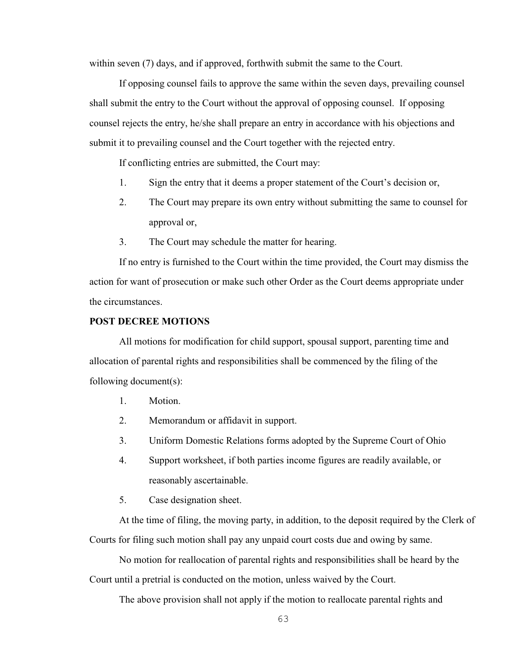within seven (7) days, and if approved, forthwith submit the same to the Court.

If opposing counsel fails to approve the same within the seven days, prevailing counsel shall submit the entry to the Court without the approval of opposing counsel. If opposing counsel rejects the entry, he/she shall prepare an entry in accordance with his objections and submit it to prevailing counsel and the Court together with the rejected entry.

If conflicting entries are submitted, the Court may:

- 1. Sign the entry that it deems a proper statement of the Court's decision or,
- 2. The Court may prepare its own entry without submitting the same to counsel for approval or,
- 3. The Court may schedule the matter for hearing.

If no entry is furnished to the Court within the time provided, the Court may dismiss the action for want of prosecution or make such other Order as the Court deems appropriate under the circumstances.

#### **POST DECREE MOTIONS**

All motions for modification for child support, spousal support, parenting time and allocation of parental rights and responsibilities shall be commenced by the filing of the following document(s):

- 1. Motion.
- 2. Memorandum or affidavit in support.
- 3. Uniform Domestic Relations forms adopted by the Supreme Court of Ohio
- 4. Support worksheet, if both parties income figures are readily available, or reasonably ascertainable.
- 5. Case designation sheet.

At the time of filing, the moving party, in addition, to the deposit required by the Clerk of Courts for filing such motion shall pay any unpaid court costs due and owing by same.

No motion for reallocation of parental rights and responsibilities shall be heard by the Court until a pretrial is conducted on the motion, unless waived by the Court.

The above provision shall not apply if the motion to reallocate parental rights and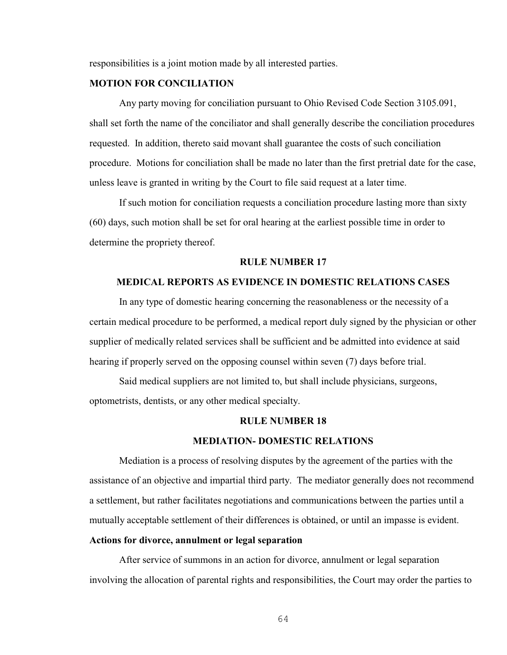responsibilities is a joint motion made by all interested parties.

# **MOTION FOR CONCILIATION**

Any party moving for conciliation pursuant to Ohio Revised Code Section 3105.091, shall set forth the name of the conciliator and shall generally describe the conciliation procedures requested. In addition, thereto said movant shall guarantee the costs of such conciliation procedure. Motions for conciliation shall be made no later than the first pretrial date for the case, unless leave is granted in writing by the Court to file said request at a later time.

If such motion for conciliation requests a conciliation procedure lasting more than sixty (60) days, such motion shall be set for oral hearing at the earliest possible time in order to determine the propriety thereof.

#### **RULE NUMBER 17**

#### **MEDICAL REPORTS AS EVIDENCE IN DOMESTIC RELATIONS CASES**

In any type of domestic hearing concerning the reasonableness or the necessity of a certain medical procedure to be performed, a medical report duly signed by the physician or other supplier of medically related services shall be sufficient and be admitted into evidence at said hearing if properly served on the opposing counsel within seven (7) days before trial.

Said medical suppliers are not limited to, but shall include physicians, surgeons, optometrists, dentists, or any other medical specialty.

### **RULE NUMBER 18**

#### **MEDIATION- DOMESTIC RELATIONS**

Mediation is a process of resolving disputes by the agreement of the parties with the assistance of an objective and impartial third party. The mediator generally does not recommend a settlement, but rather facilitates negotiations and communications between the parties until a mutually acceptable settlement of their differences is obtained, or until an impasse is evident.

#### **Actions for divorce, annulment or legal separation**

After service of summons in an action for divorce, annulment or legal separation involving the allocation of parental rights and responsibilities, the Court may order the parties to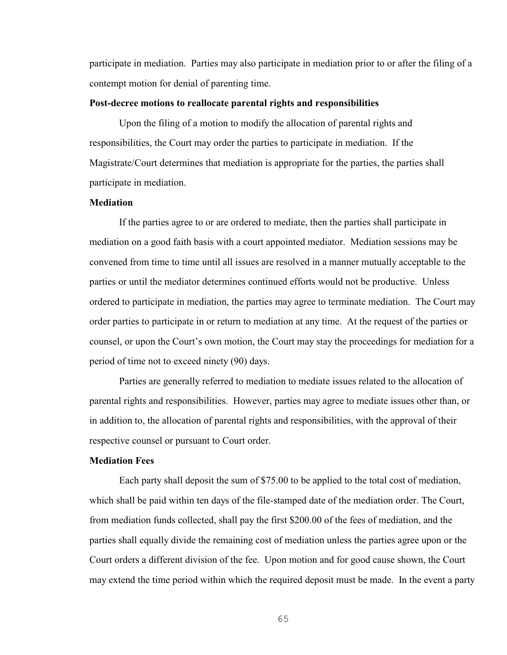participate in mediation. Parties may also participate in mediation prior to or after the filing of a contempt motion for denial of parenting time.

#### **Post-decree motions to reallocate parental rights and responsibilities**

Upon the filing of a motion to modify the allocation of parental rights and responsibilities, the Court may order the parties to participate in mediation. If the Magistrate/Court determines that mediation is appropriate for the parties, the parties shall participate in mediation.

#### **Mediation**

If the parties agree to or are ordered to mediate, then the parties shall participate in mediation on a good faith basis with a court appointed mediator. Mediation sessions may be convened from time to time until all issues are resolved in a manner mutually acceptable to the parties or until the mediator determines continued efforts would not be productive. Unless ordered to participate in mediation, the parties may agree to terminate mediation. The Court may order parties to participate in or return to mediation at any time. At the request of the parties or counsel, or upon the Court's own motion, the Court may stay the proceedings for mediation for a period of time not to exceed ninety (90) days.

Parties are generally referred to mediation to mediate issues related to the allocation of parental rights and responsibilities. However, parties may agree to mediate issues other than, or in addition to, the allocation of parental rights and responsibilities, with the approval of their respective counsel or pursuant to Court order.

### **Mediation Fees**

Each party shall deposit the sum of \$75.00 to be applied to the total cost of mediation, which shall be paid within ten days of the file-stamped date of the mediation order. The Court, from mediation funds collected, shall pay the first \$200.00 of the fees of mediation, and the parties shall equally divide the remaining cost of mediation unless the parties agree upon or the Court orders a different division of the fee. Upon motion and for good cause shown, the Court may extend the time period within which the required deposit must be made. In the event a party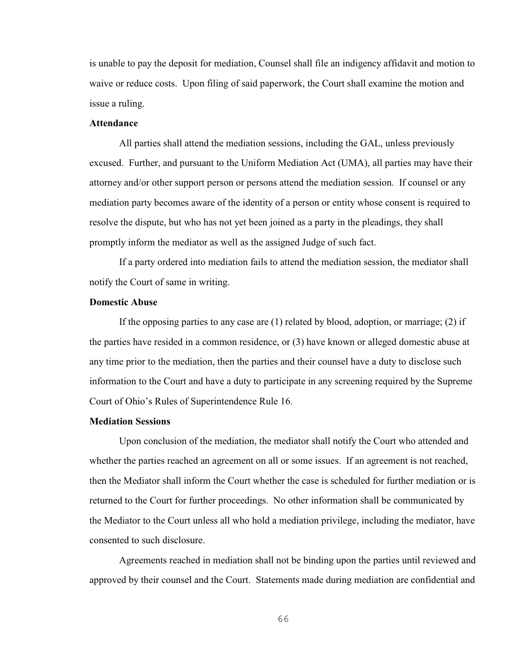is unable to pay the deposit for mediation, Counsel shall file an indigency affidavit and motion to waive or reduce costs. Upon filing of said paperwork, the Court shall examine the motion and issue a ruling.

# **Attendance**

All parties shall attend the mediation sessions, including the GAL, unless previously excused. Further, and pursuant to the Uniform Mediation Act (UMA), all parties may have their attorney and/or other support person or persons attend the mediation session. If counsel or any mediation party becomes aware of the identity of a person or entity whose consent is required to resolve the dispute, but who has not yet been joined as a party in the pleadings, they shall promptly inform the mediator as well as the assigned Judge of such fact.

If a party ordered into mediation fails to attend the mediation session, the mediator shall notify the Court of same in writing.

### **Domestic Abuse**

If the opposing parties to any case are (1) related by blood, adoption, or marriage; (2) if the parties have resided in a common residence, or (3) have known or alleged domestic abuse at any time prior to the mediation, then the parties and their counsel have a duty to disclose such information to the Court and have a duty to participate in any screening required by the Supreme Court of Ohio's Rules of Superintendence Rule 16.

### **Mediation Sessions**

Upon conclusion of the mediation, the mediator shall notify the Court who attended and whether the parties reached an agreement on all or some issues. If an agreement is not reached, then the Mediator shall inform the Court whether the case is scheduled for further mediation or is returned to the Court for further proceedings. No other information shall be communicated by the Mediator to the Court unless all who hold a mediation privilege, including the mediator, have consented to such disclosure.

Agreements reached in mediation shall not be binding upon the parties until reviewed and approved by their counsel and the Court. Statements made during mediation are confidential and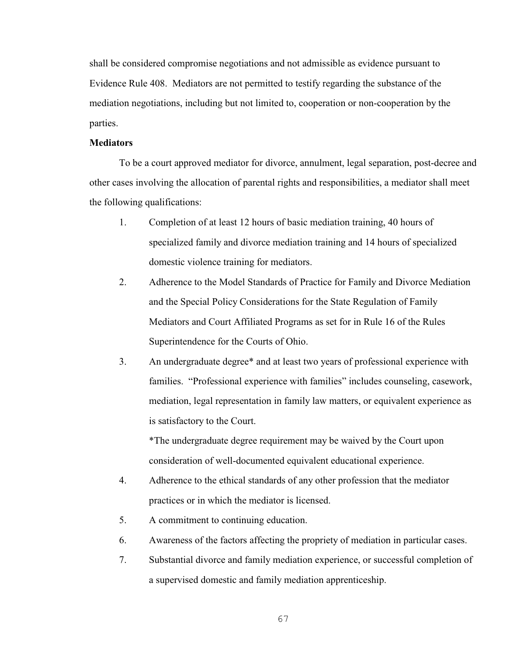shall be considered compromise negotiations and not admissible as evidence pursuant to Evidence Rule 408. Mediators are not permitted to testify regarding the substance of the mediation negotiations, including but not limited to, cooperation or non-cooperation by the parties.

### **Mediators**

To be a court approved mediator for divorce, annulment, legal separation, post-decree and other cases involving the allocation of parental rights and responsibilities, a mediator shall meet the following qualifications:

- 1. Completion of at least 12 hours of basic mediation training, 40 hours of specialized family and divorce mediation training and 14 hours of specialized domestic violence training for mediators.
- 2. Adherence to the Model Standards of Practice for Family and Divorce Mediation and the Special Policy Considerations for the State Regulation of Family Mediators and Court Affiliated Programs as set for in Rule 16 of the Rules Superintendence for the Courts of Ohio.
- 3. An undergraduate degree\* and at least two years of professional experience with families. "Professional experience with families" includes counseling, casework, mediation, legal representation in family law matters, or equivalent experience as is satisfactory to the Court.

\*The undergraduate degree requirement may be waived by the Court upon consideration of well-documented equivalent educational experience.

- 4. Adherence to the ethical standards of any other profession that the mediator practices or in which the mediator is licensed.
- 5. A commitment to continuing education.
- 6. Awareness of the factors affecting the propriety of mediation in particular cases.
- 7. Substantial divorce and family mediation experience, or successful completion of a supervised domestic and family mediation apprenticeship.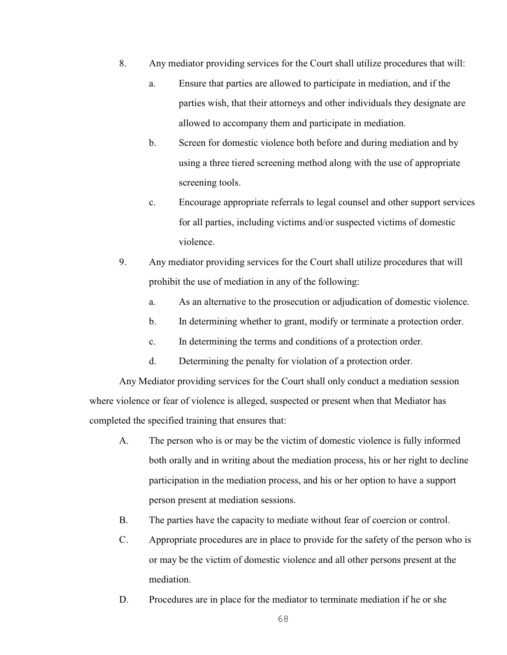- 8. Any mediator providing services for the Court shall utilize procedures that will:
	- a. Ensure that parties are allowed to participate in mediation, and if the parties wish, that their attorneys and other individuals they designate are allowed to accompany them and participate in mediation.
	- b. Screen for domestic violence both before and during mediation and by using a three tiered screening method along with the use of appropriate screening tools.
	- c. Encourage appropriate referrals to legal counsel and other support services for all parties, including victims and/or suspected victims of domestic violence.
- 9. Any mediator providing services for the Court shall utilize procedures that will prohibit the use of mediation in any of the following:
	- a. As an alternative to the prosecution or adjudication of domestic violence.
	- b. In determining whether to grant, modify or terminate a protection order.
	- c. In determining the terms and conditions of a protection order.
	- d. Determining the penalty for violation of a protection order.

Any Mediator providing services for the Court shall only conduct a mediation session where violence or fear of violence is alleged, suspected or present when that Mediator has completed the specified training that ensures that:

- A. The person who is or may be the victim of domestic violence is fully informed both orally and in writing about the mediation process, his or her right to decline participation in the mediation process, and his or her option to have a support person present at mediation sessions.
- B. The parties have the capacity to mediate without fear of coercion or control.
- C. Appropriate procedures are in place to provide for the safety of the person who is or may be the victim of domestic violence and all other persons present at the mediation.
- D. Procedures are in place for the mediator to terminate mediation if he or she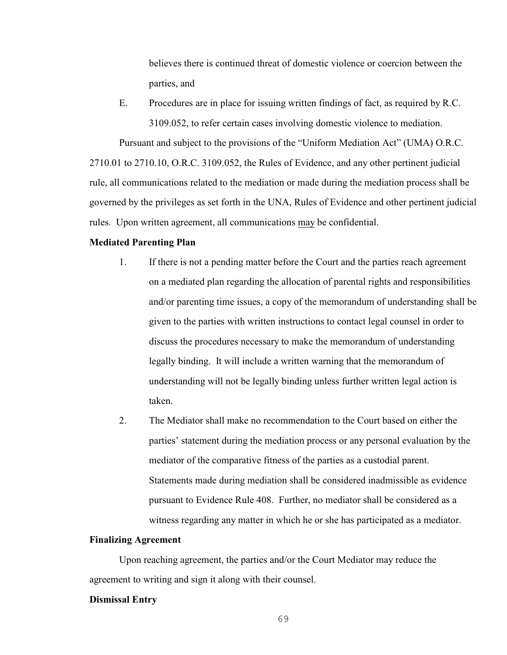believes there is continued threat of domestic violence or coercion between the parties, and

E. Procedures are in place for issuing written findings of fact, as required by R.C. 3109.052, to refer certain cases involving domestic violence to mediation.

Pursuant and subject to the provisions of the "Uniform Mediation Act" (UMA) O.R.C. 2710.01 to 2710.10, O.R.C. 3109.052, the Rules of Evidence, and any other pertinent judicial rule, all communications related to the mediation or made during the mediation process shall be governed by the privileges as set forth in the UNA, Rules of Evidence and other pertinent judicial rules. Upon written agreement, all communications may be confidential.

#### **Mediated Parenting Plan**

- 1. If there is not a pending matter before the Court and the parties reach agreement on a mediated plan regarding the allocation of parental rights and responsibilities and/or parenting time issues, a copy of the memorandum of understanding shall be given to the parties with written instructions to contact legal counsel in order to discuss the procedures necessary to make the memorandum of understanding legally binding. It will include a written warning that the memorandum of understanding will not be legally binding unless further written legal action is taken.
- 2. The Mediator shall make no recommendation to the Court based on either the parties' statement during the mediation process or any personal evaluation by the mediator of the comparative fitness of the parties as a custodial parent. Statements made during mediation shall be considered inadmissible as evidence pursuant to Evidence Rule 408. Further, no mediator shall be considered as a witness regarding any matter in which he or she has participated as a mediator.

#### **Finalizing Agreement**

Upon reaching agreement, the parties and/or the Court Mediator may reduce the agreement to writing and sign it along with their counsel.

#### **Dismissal Entry**

69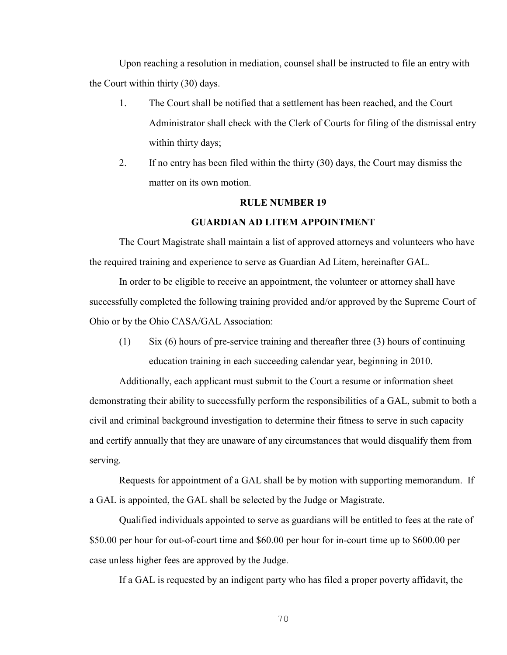Upon reaching a resolution in mediation, counsel shall be instructed to file an entry with the Court within thirty (30) days.

- 1. The Court shall be notified that a settlement has been reached, and the Court Administrator shall check with the Clerk of Courts for filing of the dismissal entry within thirty days;
- 2. If no entry has been filed within the thirty (30) days, the Court may dismiss the matter on its own motion.

#### **RULE NUMBER 19**

#### **GUARDIAN AD LITEM APPOINTMENT**

The Court Magistrate shall maintain a list of approved attorneys and volunteers who have the required training and experience to serve as Guardian Ad Litem, hereinafter GAL.

In order to be eligible to receive an appointment, the volunteer or attorney shall have successfully completed the following training provided and/or approved by the Supreme Court of Ohio or by the Ohio CASA/GAL Association:

(1) Six (6) hours of pre-service training and thereafter three (3) hours of continuing education training in each succeeding calendar year, beginning in 2010.

Additionally, each applicant must submit to the Court a resume or information sheet demonstrating their ability to successfully perform the responsibilities of a GAL, submit to both a civil and criminal background investigation to determine their fitness to serve in such capacity and certify annually that they are unaware of any circumstances that would disqualify them from serving.

Requests for appointment of a GAL shall be by motion with supporting memorandum. If a GAL is appointed, the GAL shall be selected by the Judge or Magistrate.

Qualified individuals appointed to serve as guardians will be entitled to fees at the rate of \$50.00 per hour for out-of-court time and \$60.00 per hour for in-court time up to \$600.00 per case unless higher fees are approved by the Judge.

If a GAL is requested by an indigent party who has filed a proper poverty affidavit, the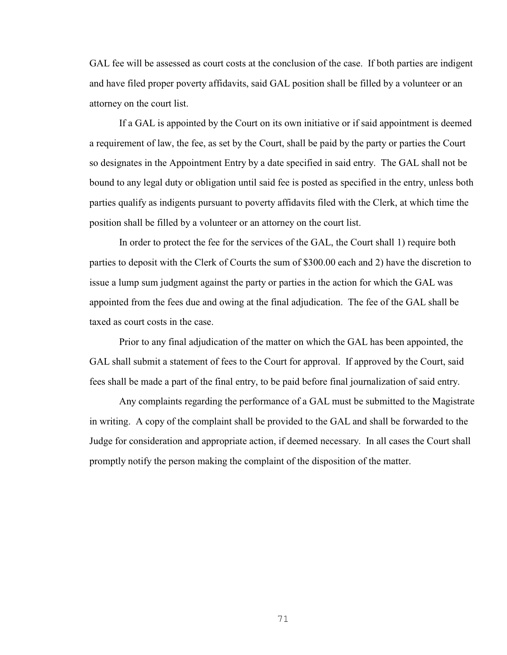GAL fee will be assessed as court costs at the conclusion of the case. If both parties are indigent and have filed proper poverty affidavits, said GAL position shall be filled by a volunteer or an attorney on the court list.

If a GAL is appointed by the Court on its own initiative or if said appointment is deemed a requirement of law, the fee, as set by the Court, shall be paid by the party or parties the Court so designates in the Appointment Entry by a date specified in said entry. The GAL shall not be bound to any legal duty or obligation until said fee is posted as specified in the entry, unless both parties qualify as indigents pursuant to poverty affidavits filed with the Clerk, at which time the position shall be filled by a volunteer or an attorney on the court list.

In order to protect the fee for the services of the GAL, the Court shall 1) require both parties to deposit with the Clerk of Courts the sum of \$300.00 each and 2) have the discretion to issue a lump sum judgment against the party or parties in the action for which the GAL was appointed from the fees due and owing at the final adjudication. The fee of the GAL shall be taxed as court costs in the case.

Prior to any final adjudication of the matter on which the GAL has been appointed, the GAL shall submit a statement of fees to the Court for approval. If approved by the Court, said fees shall be made a part of the final entry, to be paid before final journalization of said entry.

Any complaints regarding the performance of a GAL must be submitted to the Magistrate in writing. A copy of the complaint shall be provided to the GAL and shall be forwarded to the Judge for consideration and appropriate action, if deemed necessary. In all cases the Court shall promptly notify the person making the complaint of the disposition of the matter.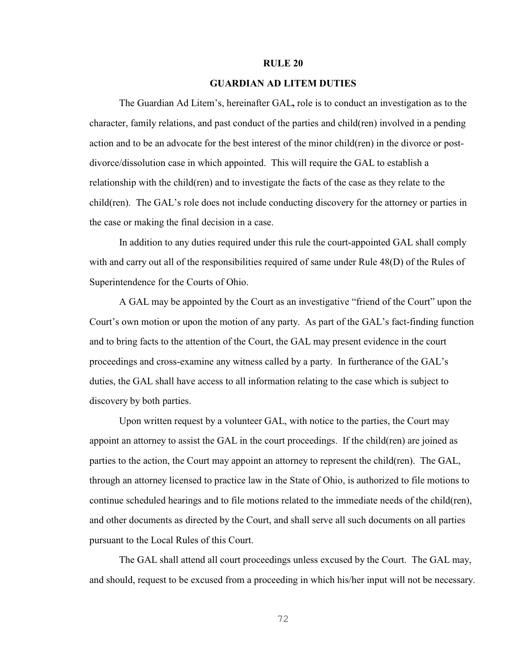#### **RULE 20**

#### **GUARDIAN AD LITEM DUTIES**

The Guardian Ad Litem's, hereinafter GAL**,** role is to conduct an investigation as to the character, family relations, and past conduct of the parties and child(ren) involved in a pending action and to be an advocate for the best interest of the minor child(ren) in the divorce or postdivorce/dissolution case in which appointed. This will require the GAL to establish a relationship with the child(ren) and to investigate the facts of the case as they relate to the child(ren). The GAL's role does not include conducting discovery for the attorney or parties in the case or making the final decision in a case.

In addition to any duties required under this rule the court-appointed GAL shall comply with and carry out all of the responsibilities required of same under Rule 48(D) of the Rules of Superintendence for the Courts of Ohio.

A GAL may be appointed by the Court as an investigative "friend of the Court" upon the Court's own motion or upon the motion of any party. As part of the GAL's fact-finding function and to bring facts to the attention of the Court, the GAL may present evidence in the court proceedings and cross-examine any witness called by a party. In furtherance of the GAL's duties, the GAL shall have access to all information relating to the case which is subject to discovery by both parties.

Upon written request by a volunteer GAL, with notice to the parties, the Court may appoint an attorney to assist the GAL in the court proceedings. If the child(ren) are joined as parties to the action, the Court may appoint an attorney to represent the child(ren). The GAL, through an attorney licensed to practice law in the State of Ohio, is authorized to file motions to continue scheduled hearings and to file motions related to the immediate needs of the child(ren), and other documents as directed by the Court, and shall serve all such documents on all parties pursuant to the Local Rules of this Court.

The GAL shall attend all court proceedings unless excused by the Court. The GAL may, and should, request to be excused from a proceeding in which his/her input will not be necessary.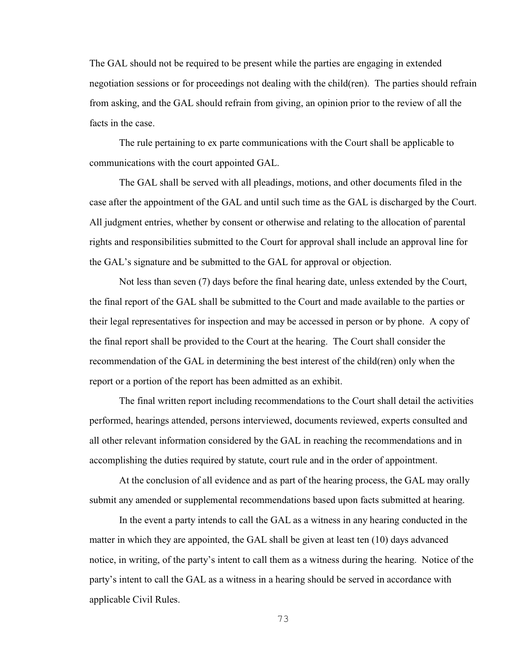The GAL should not be required to be present while the parties are engaging in extended negotiation sessions or for proceedings not dealing with the child(ren). The parties should refrain from asking, and the GAL should refrain from giving, an opinion prior to the review of all the facts in the case.

The rule pertaining to ex parte communications with the Court shall be applicable to communications with the court appointed GAL.

The GAL shall be served with all pleadings, motions, and other documents filed in the case after the appointment of the GAL and until such time as the GAL is discharged by the Court. All judgment entries, whether by consent or otherwise and relating to the allocation of parental rights and responsibilities submitted to the Court for approval shall include an approval line for the GAL's signature and be submitted to the GAL for approval or objection.

Not less than seven (7) days before the final hearing date, unless extended by the Court, the final report of the GAL shall be submitted to the Court and made available to the parties or their legal representatives for inspection and may be accessed in person or by phone. A copy of the final report shall be provided to the Court at the hearing. The Court shall consider the recommendation of the GAL in determining the best interest of the child(ren) only when the report or a portion of the report has been admitted as an exhibit.

The final written report including recommendations to the Court shall detail the activities performed, hearings attended, persons interviewed, documents reviewed, experts consulted and all other relevant information considered by the GAL in reaching the recommendations and in accomplishing the duties required by statute, court rule and in the order of appointment.

At the conclusion of all evidence and as part of the hearing process, the GAL may orally submit any amended or supplemental recommendations based upon facts submitted at hearing.

In the event a party intends to call the GAL as a witness in any hearing conducted in the matter in which they are appointed, the GAL shall be given at least ten (10) days advanced notice, in writing, of the party's intent to call them as a witness during the hearing. Notice of the party's intent to call the GAL as a witness in a hearing should be served in accordance with applicable Civil Rules.

73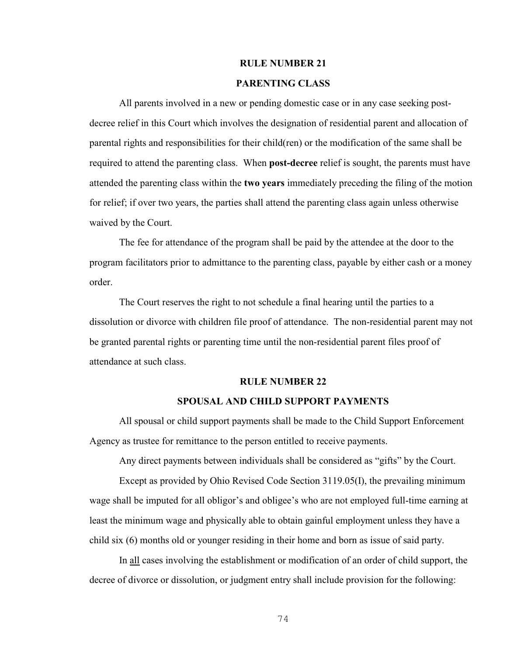#### **RULE NUMBER 21**

#### **PARENTING CLASS**

All parents involved in a new or pending domestic case or in any case seeking postdecree relief in this Court which involves the designation of residential parent and allocation of parental rights and responsibilities for their child(ren) or the modification of the same shall be required to attend the parenting class. When **post-decree** relief is sought, the parents must have attended the parenting class within the **two years** immediately preceding the filing of the motion for relief; if over two years, the parties shall attend the parenting class again unless otherwise waived by the Court.

The fee for attendance of the program shall be paid by the attendee at the door to the program facilitators prior to admittance to the parenting class, payable by either cash or a money order.

The Court reserves the right to not schedule a final hearing until the parties to a dissolution or divorce with children file proof of attendance. The non-residential parent may not be granted parental rights or parenting time until the non-residential parent files proof of attendance at such class.

#### **RULE NUMBER 22**

#### **SPOUSAL AND CHILD SUPPORT PAYMENTS**

All spousal or child support payments shall be made to the Child Support Enforcement Agency as trustee for remittance to the person entitled to receive payments.

Any direct payments between individuals shall be considered as "gifts" by the Court.

Except as provided by Ohio Revised Code Section 3119.05(I), the prevailing minimum wage shall be imputed for all obligor's and obligee's who are not employed full-time earning at least the minimum wage and physically able to obtain gainful employment unless they have a child six (6) months old or younger residing in their home and born as issue of said party.

In all cases involving the establishment or modification of an order of child support, the decree of divorce or dissolution, or judgment entry shall include provision for the following:

74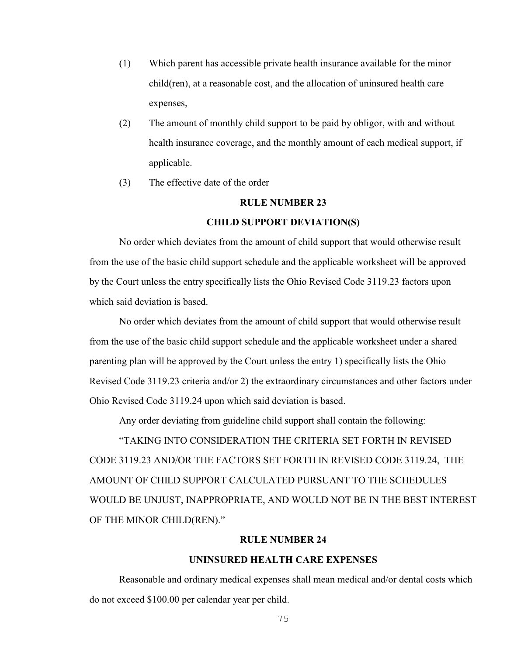- (1) Which parent has accessible private health insurance available for the minor child(ren), at a reasonable cost, and the allocation of uninsured health care expenses,
- (2) The amount of monthly child support to be paid by obligor, with and without health insurance coverage, and the monthly amount of each medical support, if applicable.
- (3) The effective date of the order

#### **RULE NUMBER 23**

#### **CHILD SUPPORT DEVIATION(S)**

No order which deviates from the amount of child support that would otherwise result from the use of the basic child support schedule and the applicable worksheet will be approved by the Court unless the entry specifically lists the Ohio Revised Code 3119.23 factors upon which said deviation is based.

No order which deviates from the amount of child support that would otherwise result from the use of the basic child support schedule and the applicable worksheet under a shared parenting plan will be approved by the Court unless the entry 1) specifically lists the Ohio Revised Code 3119.23 criteria and/or 2) the extraordinary circumstances and other factors under Ohio Revised Code 3119.24 upon which said deviation is based.

Any order deviating from guideline child support shall contain the following:

"TAKING INTO CONSIDERATION THE CRITERIA SET FORTH IN REVISED CODE 3119.23 AND/OR THE FACTORS SET FORTH IN REVISED CODE 3119.24, THE AMOUNT OF CHILD SUPPORT CALCULATED PURSUANT TO THE SCHEDULES WOULD BE UNJUST, INAPPROPRIATE, AND WOULD NOT BE IN THE BEST INTEREST OF THE MINOR CHILD(REN)."

#### **RULE NUMBER 24**

#### **UNINSURED HEALTH CARE EXPENSES**

Reasonable and ordinary medical expenses shall mean medical and/or dental costs which do not exceed \$100.00 per calendar year per child.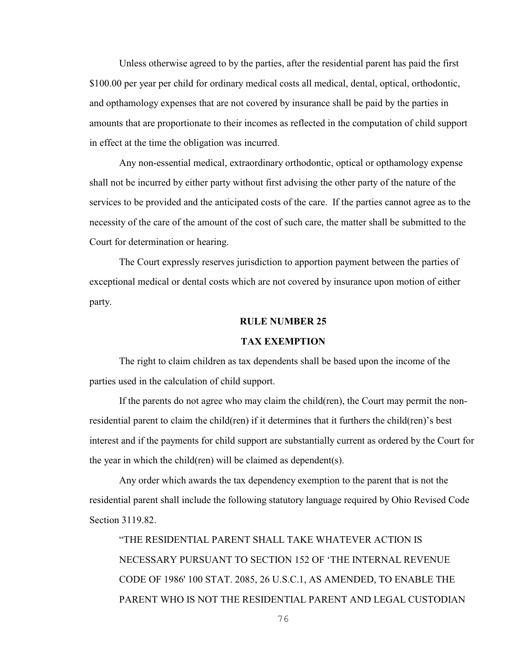Unless otherwise agreed to by the parties, after the residential parent has paid the first \$100.00 per year per child for ordinary medical costs all medical, dental, optical, orthodontic, and opthamology expenses that are not covered by insurance shall be paid by the parties in amounts that are proportionate to their incomes as reflected in the computation of child support in effect at the time the obligation was incurred.

Any non-essential medical, extraordinary orthodontic, optical or opthamology expense shall not be incurred by either party without first advising the other party of the nature of the services to be provided and the anticipated costs of the care. If the parties cannot agree as to the necessity of the care of the amount of the cost of such care, the matter shall be submitted to the Court for determination or hearing.

The Court expressly reserves jurisdiction to apportion payment between the parties of exceptional medical or dental costs which are not covered by insurance upon motion of either party.

#### **RULE NUMBER 25**

#### **TAX EXEMPTION**

The right to claim children as tax dependents shall be based upon the income of the parties used in the calculation of child support.

If the parents do not agree who may claim the child(ren), the Court may permit the nonresidential parent to claim the child(ren) if it determines that it furthers the child(ren)'s best interest and if the payments for child support are substantially current as ordered by the Court for the year in which the child(ren) will be claimed as dependent(s).

Any order which awards the tax dependency exemption to the parent that is not the residential parent shall include the following statutory language required by Ohio Revised Code Section 3119.82.

"THE RESIDENTIAL PARENT SHALL TAKE WHATEVER ACTION IS NECESSARY PURSUANT TO SECTION 152 OF 'THE INTERNAL REVENUE CODE OF 1986' 100 STAT. 2085, 26 U.S.C.1, AS AMENDED, TO ENABLE THE PARENT WHO IS NOT THE RESIDENTIAL PARENT AND LEGAL CUSTODIAN

76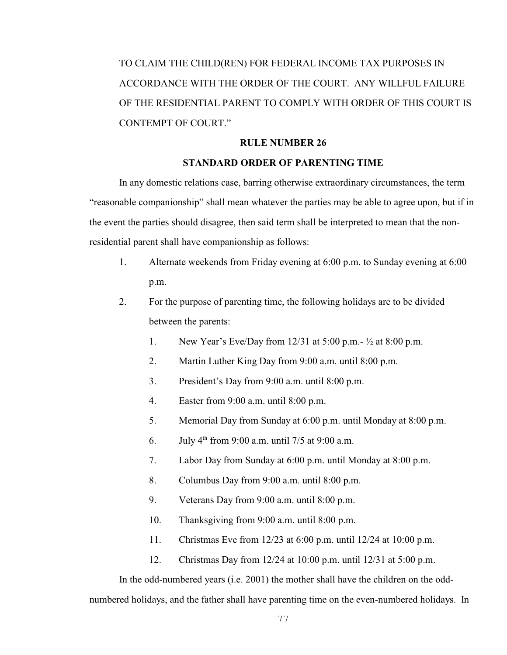TO CLAIM THE CHILD(REN) FOR FEDERAL INCOME TAX PURPOSES IN ACCORDANCE WITH THE ORDER OF THE COURT. ANY WILLFUL FAILURE OF THE RESIDENTIAL PARENT TO COMPLY WITH ORDER OF THIS COURT IS CONTEMPT OF COURT."

#### **RULE NUMBER 26**

#### **STANDARD ORDER OF PARENTING TIME**

In any domestic relations case, barring otherwise extraordinary circumstances, the term "reasonable companionship" shall mean whatever the parties may be able to agree upon, but if in the event the parties should disagree, then said term shall be interpreted to mean that the nonresidential parent shall have companionship as follows:

- 1. Alternate weekends from Friday evening at 6:00 p.m. to Sunday evening at 6:00 p.m.
- 2. For the purpose of parenting time, the following holidays are to be divided between the parents:
	- 1. New Year's Eve/Day from 12/31 at 5:00 p.m.- ½ at 8:00 p.m.
	- 2. Martin Luther King Day from 9:00 a.m. until 8:00 p.m.
	- 3. President's Day from 9:00 a.m. until 8:00 p.m.
	- 4. Easter from 9:00 a.m. until 8:00 p.m.
	- 5. Memorial Day from Sunday at 6:00 p.m. until Monday at 8:00 p.m.
	- 6. July  $4^{th}$  from 9:00 a.m. until 7/5 at 9:00 a.m.
	- 7. Labor Day from Sunday at 6:00 p.m. until Monday at 8:00 p.m.
	- 8. Columbus Day from 9:00 a.m. until 8:00 p.m.
	- 9. Veterans Day from 9:00 a.m. until 8:00 p.m.
	- 10. Thanksgiving from 9:00 a.m. until 8:00 p.m.
	- 11. Christmas Eve from 12/23 at 6:00 p.m. until 12/24 at 10:00 p.m.
	- 12. Christmas Day from 12/24 at 10:00 p.m. until 12/31 at 5:00 p.m.

In the odd-numbered years (i.e. 2001) the mother shall have the children on the oddnumbered holidays, and the father shall have parenting time on the even-numbered holidays. In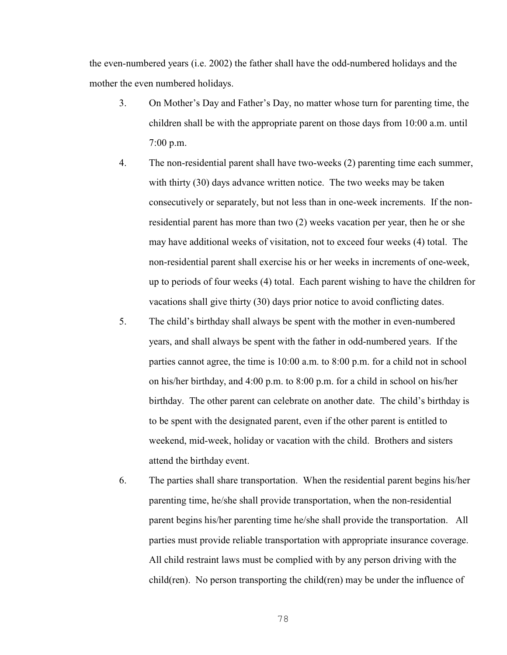the even-numbered years (i.e. 2002) the father shall have the odd-numbered holidays and the mother the even numbered holidays.

- 3. On Mother's Day and Father's Day, no matter whose turn for parenting time, the children shall be with the appropriate parent on those days from 10:00 a.m. until 7:00 p.m.
- 4. The non-residential parent shall have two-weeks (2) parenting time each summer, with thirty (30) days advance written notice. The two weeks may be taken consecutively or separately, but not less than in one-week increments. If the nonresidential parent has more than two (2) weeks vacation per year, then he or she may have additional weeks of visitation, not to exceed four weeks (4) total. The non-residential parent shall exercise his or her weeks in increments of one-week, up to periods of four weeks (4) total. Each parent wishing to have the children for vacations shall give thirty (30) days prior notice to avoid conflicting dates.
- 5. The child's birthday shall always be spent with the mother in even-numbered years, and shall always be spent with the father in odd-numbered years. If the parties cannot agree, the time is 10:00 a.m. to 8:00 p.m. for a child not in school on his/her birthday, and 4:00 p.m. to 8:00 p.m. for a child in school on his/her birthday. The other parent can celebrate on another date. The child's birthday is to be spent with the designated parent, even if the other parent is entitled to weekend, mid-week, holiday or vacation with the child. Brothers and sisters attend the birthday event.
- 6. The parties shall share transportation. When the residential parent begins his/her parenting time, he/she shall provide transportation, when the non-residential parent begins his/her parenting time he/she shall provide the transportation. All parties must provide reliable transportation with appropriate insurance coverage. All child restraint laws must be complied with by any person driving with the child(ren). No person transporting the child(ren) may be under the influence of

78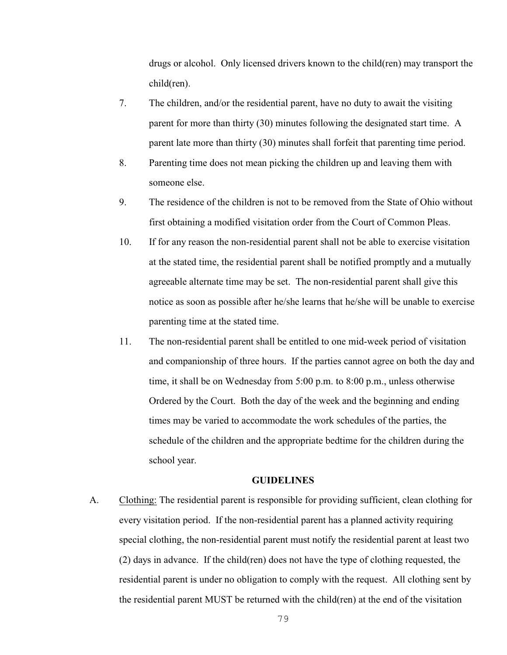drugs or alcohol. Only licensed drivers known to the child(ren) may transport the child(ren).

- 7. The children, and/or the residential parent, have no duty to await the visiting parent for more than thirty (30) minutes following the designated start time. A parent late more than thirty (30) minutes shall forfeit that parenting time period.
- 8. Parenting time does not mean picking the children up and leaving them with someone else.
- 9. The residence of the children is not to be removed from the State of Ohio without first obtaining a modified visitation order from the Court of Common Pleas.
- 10. If for any reason the non-residential parent shall not be able to exercise visitation at the stated time, the residential parent shall be notified promptly and a mutually agreeable alternate time may be set. The non-residential parent shall give this notice as soon as possible after he/she learns that he/she will be unable to exercise parenting time at the stated time.
- 11. The non-residential parent shall be entitled to one mid-week period of visitation and companionship of three hours. If the parties cannot agree on both the day and time, it shall be on Wednesday from 5:00 p.m. to 8:00 p.m., unless otherwise Ordered by the Court. Both the day of the week and the beginning and ending times may be varied to accommodate the work schedules of the parties, the schedule of the children and the appropriate bedtime for the children during the school year.

#### **GUIDELINES**

A. Clothing: The residential parent is responsible for providing sufficient, clean clothing for every visitation period. If the non-residential parent has a planned activity requiring special clothing, the non-residential parent must notify the residential parent at least two (2) days in advance. If the child(ren) does not have the type of clothing requested, the residential parent is under no obligation to comply with the request. All clothing sent by the residential parent MUST be returned with the child(ren) at the end of the visitation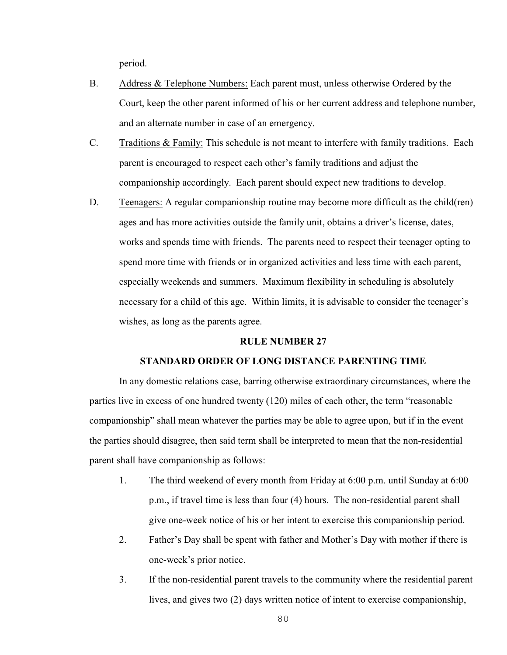period.

- B. Address & Telephone Numbers: Each parent must, unless otherwise Ordered by the Court, keep the other parent informed of his or her current address and telephone number, and an alternate number in case of an emergency.
- C. Traditions & Family: This schedule is not meant to interfere with family traditions. Each parent is encouraged to respect each other's family traditions and adjust the companionship accordingly. Each parent should expect new traditions to develop.
- D. Teenagers: A regular companionship routine may become more difficult as the child(ren) ages and has more activities outside the family unit, obtains a driver's license, dates, works and spends time with friends. The parents need to respect their teenager opting to spend more time with friends or in organized activities and less time with each parent, especially weekends and summers. Maximum flexibility in scheduling is absolutely necessary for a child of this age. Within limits, it is advisable to consider the teenager's wishes, as long as the parents agree.

#### **RULE NUMBER 27**

#### **STANDARD ORDER OF LONG DISTANCE PARENTING TIME**

In any domestic relations case, barring otherwise extraordinary circumstances, where the parties live in excess of one hundred twenty (120) miles of each other, the term "reasonable companionship" shall mean whatever the parties may be able to agree upon, but if in the event the parties should disagree, then said term shall be interpreted to mean that the non-residential parent shall have companionship as follows:

- 1. The third weekend of every month from Friday at 6:00 p.m. until Sunday at 6:00 p.m., if travel time is less than four (4) hours. The non-residential parent shall give one-week notice of his or her intent to exercise this companionship period.
- 2. Father's Day shall be spent with father and Mother's Day with mother if there is one-week's prior notice.
- 3. If the non-residential parent travels to the community where the residential parent lives, and gives two (2) days written notice of intent to exercise companionship,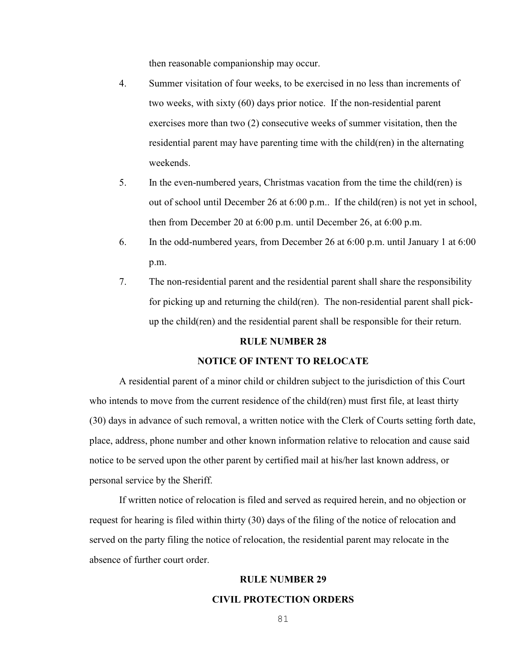then reasonable companionship may occur.

- 4. Summer visitation of four weeks, to be exercised in no less than increments of two weeks, with sixty (60) days prior notice. If the non-residential parent exercises more than two (2) consecutive weeks of summer visitation, then the residential parent may have parenting time with the child(ren) in the alternating weekends.
- 5. In the even-numbered years, Christmas vacation from the time the child(ren) is out of school until December 26 at 6:00 p.m.. If the child(ren) is not yet in school, then from December 20 at 6:00 p.m. until December 26, at 6:00 p.m.
- 6. In the odd-numbered years, from December 26 at 6:00 p.m. until January 1 at 6:00 p.m.
- 7. The non-residential parent and the residential parent shall share the responsibility for picking up and returning the child(ren). The non-residential parent shall pickup the child(ren) and the residential parent shall be responsible for their return.

#### **RULE NUMBER 28**

#### **NOTICE OF INTENT TO RELOCATE**

A residential parent of a minor child or children subject to the jurisdiction of this Court who intends to move from the current residence of the child(ren) must first file, at least thirty (30) days in advance of such removal, a written notice with the Clerk of Courts setting forth date, place, address, phone number and other known information relative to relocation and cause said notice to be served upon the other parent by certified mail at his/her last known address, or personal service by the Sheriff.

If written notice of relocation is filed and served as required herein, and no objection or request for hearing is filed within thirty (30) days of the filing of the notice of relocation and served on the party filing the notice of relocation, the residential parent may relocate in the absence of further court order.

#### **RULE NUMBER 29**

#### **CIVIL PROTECTION ORDERS**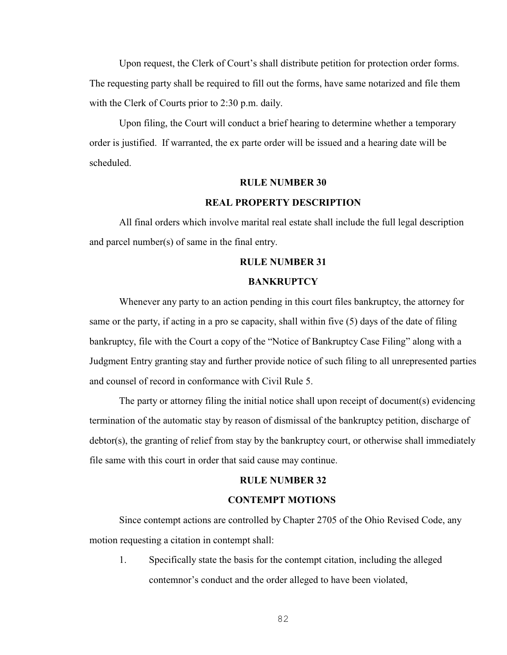Upon request, the Clerk of Court's shall distribute petition for protection order forms. The requesting party shall be required to fill out the forms, have same notarized and file them with the Clerk of Courts prior to 2:30 p.m. daily.

Upon filing, the Court will conduct a brief hearing to determine whether a temporary order is justified. If warranted, the ex parte order will be issued and a hearing date will be scheduled.

#### **RULE NUMBER 30**

#### **REAL PROPERTY DESCRIPTION**

All final orders which involve marital real estate shall include the full legal description and parcel number(s) of same in the final entry.

#### **RULE NUMBER 31**

#### **BANKRUPTCY**

Whenever any party to an action pending in this court files bankruptcy, the attorney for same or the party, if acting in a pro se capacity, shall within five (5) days of the date of filing bankruptcy, file with the Court a copy of the "Notice of Bankruptcy Case Filing" along with a Judgment Entry granting stay and further provide notice of such filing to all unrepresented parties and counsel of record in conformance with Civil Rule 5.

The party or attorney filing the initial notice shall upon receipt of document(s) evidencing termination of the automatic stay by reason of dismissal of the bankruptcy petition, discharge of debtor(s), the granting of relief from stay by the bankruptcy court, or otherwise shall immediately file same with this court in order that said cause may continue.

#### **RULE NUMBER 32**

#### **CONTEMPT MOTIONS**

Since contempt actions are controlled by Chapter 2705 of the Ohio Revised Code, any motion requesting a citation in contempt shall:

1. Specifically state the basis for the contempt citation, including the alleged contemnor's conduct and the order alleged to have been violated,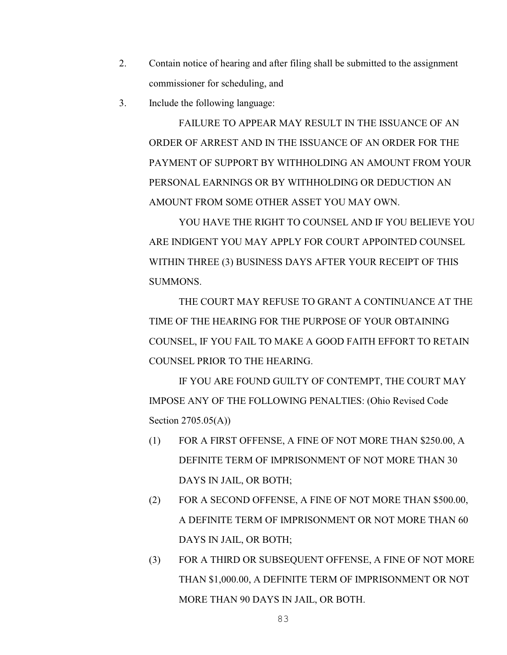- 2. Contain notice of hearing and after filing shall be submitted to the assignment commissioner for scheduling, and
- 3. Include the following language:

FAILURE TO APPEAR MAY RESULT IN THE ISSUANCE OF AN ORDER OF ARREST AND IN THE ISSUANCE OF AN ORDER FOR THE PAYMENT OF SUPPORT BY WITHHOLDING AN AMOUNT FROM YOUR PERSONAL EARNINGS OR BY WITHHOLDING OR DEDUCTION AN AMOUNT FROM SOME OTHER ASSET YOU MAY OWN.

YOU HAVE THE RIGHT TO COUNSEL AND IF YOU BELIEVE YOU ARE INDIGENT YOU MAY APPLY FOR COURT APPOINTED COUNSEL WITHIN THREE (3) BUSINESS DAYS AFTER YOUR RECEIPT OF THIS SUMMONS.

THE COURT MAY REFUSE TO GRANT A CONTINUANCE AT THE TIME OF THE HEARING FOR THE PURPOSE OF YOUR OBTAINING COUNSEL, IF YOU FAIL TO MAKE A GOOD FAITH EFFORT TO RETAIN COUNSEL PRIOR TO THE HEARING.

IF YOU ARE FOUND GUILTY OF CONTEMPT, THE COURT MAY IMPOSE ANY OF THE FOLLOWING PENALTIES: (Ohio Revised Code Section 2705.05(A))

- (1) FOR A FIRST OFFENSE, A FINE OF NOT MORE THAN \$250.00, A DEFINITE TERM OF IMPRISONMENT OF NOT MORE THAN 30 DAYS IN JAIL, OR BOTH;
- (2) FOR A SECOND OFFENSE, A FINE OF NOT MORE THAN \$500.00, A DEFINITE TERM OF IMPRISONMENT OR NOT MORE THAN 60 DAYS IN JAIL, OR BOTH;
- (3) FOR A THIRD OR SUBSEQUENT OFFENSE, A FINE OF NOT MORE THAN \$1,000.00, A DEFINITE TERM OF IMPRISONMENT OR NOT MORE THAN 90 DAYS IN JAIL, OR BOTH.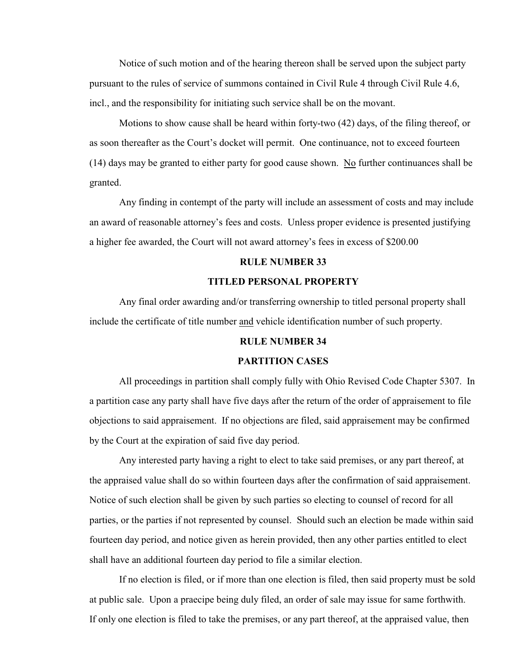Notice of such motion and of the hearing thereon shall be served upon the subject party pursuant to the rules of service of summons contained in Civil Rule 4 through Civil Rule 4.6, incl., and the responsibility for initiating such service shall be on the movant.

Motions to show cause shall be heard within forty-two (42) days, of the filing thereof, or as soon thereafter as the Court's docket will permit. One continuance, not to exceed fourteen (14) days may be granted to either party for good cause shown. No further continuances shall be granted.

Any finding in contempt of the party will include an assessment of costs and may include an award of reasonable attorney's fees and costs. Unless proper evidence is presented justifying a higher fee awarded, the Court will not award attorney's fees in excess of \$200.00

#### **RULE NUMBER 33**

#### **TITLED PERSONAL PROPERTY**

Any final order awarding and/or transferring ownership to titled personal property shall include the certificate of title number and vehicle identification number of such property.

#### **RULE NUMBER 34**

#### **PARTITION CASES**

All proceedings in partition shall comply fully with Ohio Revised Code Chapter 5307. In a partition case any party shall have five days after the return of the order of appraisement to file objections to said appraisement. If no objections are filed, said appraisement may be confirmed by the Court at the expiration of said five day period.

Any interested party having a right to elect to take said premises, or any part thereof, at the appraised value shall do so within fourteen days after the confirmation of said appraisement. Notice of such election shall be given by such parties so electing to counsel of record for all parties, or the parties if not represented by counsel. Should such an election be made within said fourteen day period, and notice given as herein provided, then any other parties entitled to elect shall have an additional fourteen day period to file a similar election.

If no election is filed, or if more than one election is filed, then said property must be sold at public sale. Upon a praecipe being duly filed, an order of sale may issue for same forthwith. If only one election is filed to take the premises, or any part thereof, at the appraised value, then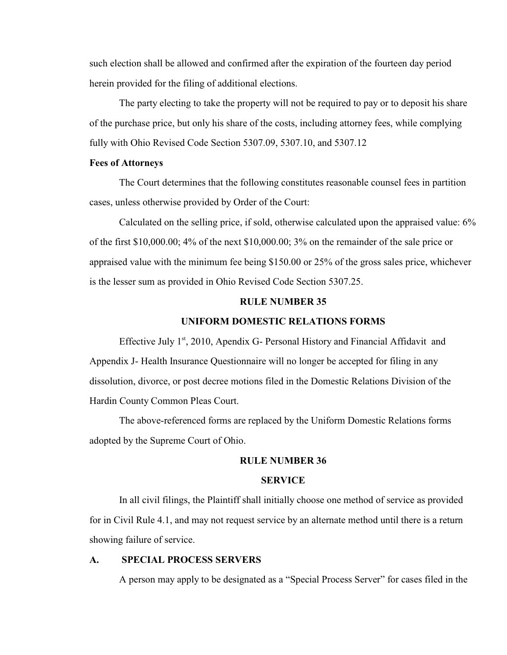such election shall be allowed and confirmed after the expiration of the fourteen day period herein provided for the filing of additional elections.

The party electing to take the property will not be required to pay or to deposit his share of the purchase price, but only his share of the costs, including attorney fees, while complying fully with Ohio Revised Code Section 5307.09, 5307.10, and 5307.12

#### **Fees of Attorneys**

The Court determines that the following constitutes reasonable counsel fees in partition cases, unless otherwise provided by Order of the Court:

Calculated on the selling price, if sold, otherwise calculated upon the appraised value: 6% of the first \$10,000.00; 4% of the next \$10,000.00; 3% on the remainder of the sale price or appraised value with the minimum fee being \$150.00 or 25% of the gross sales price, whichever is the lesser sum as provided in Ohio Revised Code Section 5307.25.

#### **RULE NUMBER 35**

#### **UNIFORM DOMESTIC RELATIONS FORMS**

Effective July  $1<sup>st</sup>$ , 2010, Apendix G- Personal History and Financial Affidavit and Appendix J- Health Insurance Questionnaire will no longer be accepted for filing in any dissolution, divorce, or post decree motions filed in the Domestic Relations Division of the Hardin County Common Pleas Court.

The above-referenced forms are replaced by the Uniform Domestic Relations forms adopted by the Supreme Court of Ohio.

#### **RULE NUMBER 36**

#### **SERVICE**

In all civil filings, the Plaintiff shall initially choose one method of service as provided for in Civil Rule 4.1, and may not request service by an alternate method until there is a return showing failure of service.

#### **A. SPECIAL PROCESS SERVERS**

A person may apply to be designated as a "Special Process Server" for cases filed in the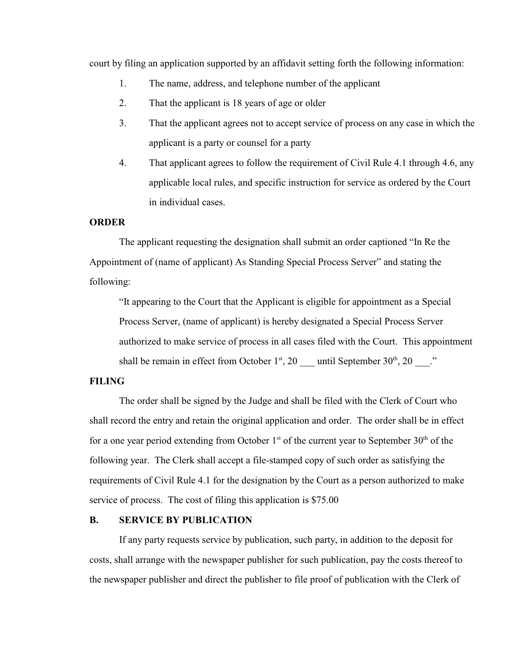court by filing an application supported by an affidavit setting forth the following information:

- 1. The name, address, and telephone number of the applicant
- 2. That the applicant is 18 years of age or older
- 3. That the applicant agrees not to accept service of process on any case in which the applicant is a party or counsel for a party
- 4. That applicant agrees to follow the requirement of Civil Rule 4.1 through 4.6, any applicable local rules, and specific instruction for service as ordered by the Court in individual cases.

#### **ORDER**

The applicant requesting the designation shall submit an order captioned "In Re the Appointment of (name of applicant) As Standing Special Process Server" and stating the following:

"It appearing to the Court that the Applicant is eligible for appointment as a Special Process Server, (name of applicant) is hereby designated a Special Process Server authorized to make service of process in all cases filed with the Court. This appointment shall be remain in effect from October  $1<sup>st</sup>$ , 20  $\qquad$  until September 30<sup>th</sup>, 20  $\qquad$ ."

#### **FILING**

The order shall be signed by the Judge and shall be filed with the Clerk of Court who shall record the entry and retain the original application and order. The order shall be in effect for a one year period extending from October  $1<sup>st</sup>$  of the current year to September 30<sup>th</sup> of the following year. The Clerk shall accept a file-stamped copy of such order as satisfying the requirements of Civil Rule 4.1 for the designation by the Court as a person authorized to make service of process. The cost of filing this application is \$75.00

#### **B. SERVICE BY PUBLICATION**

If any party requests service by publication, such party, in addition to the deposit for costs, shall arrange with the newspaper publisher for such publication, pay the costs thereof to the newspaper publisher and direct the publisher to file proof of publication with the Clerk of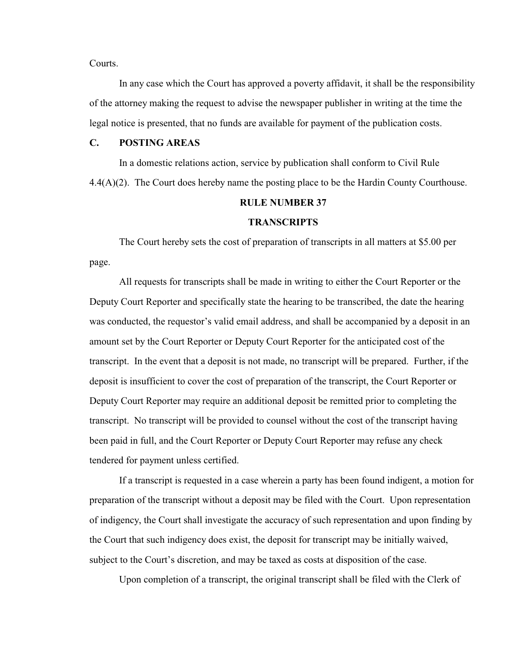Courts.

In any case which the Court has approved a poverty affidavit, it shall be the responsibility of the attorney making the request to advise the newspaper publisher in writing at the time the legal notice is presented, that no funds are available for payment of the publication costs.

#### **C. POSTING AREAS**

In a domestic relations action, service by publication shall conform to Civil Rule 4.4(A)(2). The Court does hereby name the posting place to be the Hardin County Courthouse.

#### **RULE NUMBER 37**

#### **TRANSCRIPTS**

The Court hereby sets the cost of preparation of transcripts in all matters at \$5.00 per page.

All requests for transcripts shall be made in writing to either the Court Reporter or the Deputy Court Reporter and specifically state the hearing to be transcribed, the date the hearing was conducted, the requestor's valid email address, and shall be accompanied by a deposit in an amount set by the Court Reporter or Deputy Court Reporter for the anticipated cost of the transcript. In the event that a deposit is not made, no transcript will be prepared. Further, if the deposit is insufficient to cover the cost of preparation of the transcript, the Court Reporter or Deputy Court Reporter may require an additional deposit be remitted prior to completing the transcript. No transcript will be provided to counsel without the cost of the transcript having been paid in full, and the Court Reporter or Deputy Court Reporter may refuse any check tendered for payment unless certified.

If a transcript is requested in a case wherein a party has been found indigent, a motion for preparation of the transcript without a deposit may be filed with the Court. Upon representation of indigency, the Court shall investigate the accuracy of such representation and upon finding by the Court that such indigency does exist, the deposit for transcript may be initially waived, subject to the Court's discretion, and may be taxed as costs at disposition of the case.

Upon completion of a transcript, the original transcript shall be filed with the Clerk of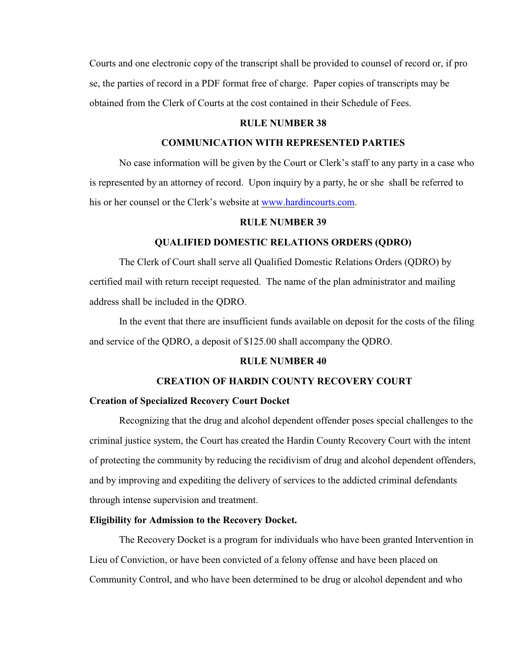Courts and one electronic copy of the transcript shall be provided to counsel of record or, if pro se, the parties of record in a PDF format free of charge. Paper copies of transcripts may be obtained from the Clerk of Courts at the cost contained in their Schedule of Fees.

#### **RULE NUMBER 38**

#### **COMMUNICATION WITH REPRESENTED PARTIES**

No case information will be given by the Court or Clerk's staff to any party in a case who is represented by an attorney of record. Upon inquiry by a party, he or she shall be referred to his or her counsel or the Clerk's website at [www.hardincourts.com](http://www.hardincourts.com).

#### **RULE NUMBER 39**

#### **QUALIFIED DOMESTIC RELATIONS ORDERS (QDRO)**

The Clerk of Court shall serve all Qualified Domestic Relations Orders (QDRO) by certified mail with return receipt requested. The name of the plan administrator and mailing address shall be included in the QDRO.

In the event that there are insufficient funds available on deposit for the costs of the filing and service of the QDRO, a deposit of \$125.00 shall accompany the QDRO.

#### **RULE NUMBER 40**

#### **CREATION OF HARDIN COUNTY RECOVERY COURT**

#### **Creation of Specialized Recovery Court Docket**

Recognizing that the drug and alcohol dependent offender poses special challenges to the criminal justice system, the Court has created the Hardin County Recovery Court with the intent of protecting the community by reducing the recidivism of drug and alcohol dependent offenders, and by improving and expediting the delivery of services to the addicted criminal defendants through intense supervision and treatment.

#### **Eligibility for Admission to the Recovery Docket.**

The Recovery Docket is a program for individuals who have been granted Intervention in Lieu of Conviction, or have been convicted of a felony offense and have been placed on Community Control, and who have been determined to be drug or alcohol dependent and who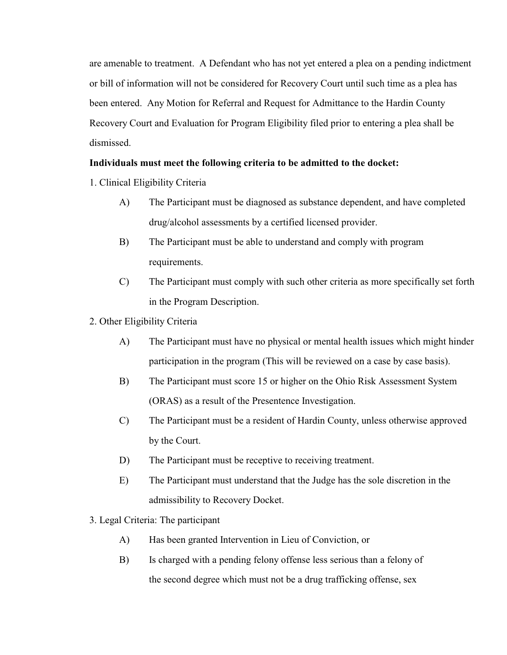are amenable to treatment. A Defendant who has not yet entered a plea on a pending indictment or bill of information will not be considered for Recovery Court until such time as a plea has been entered. Any Motion for Referral and Request for Admittance to the Hardin County Recovery Court and Evaluation for Program Eligibility filed prior to entering a plea shall be dismissed.

#### **Individuals must meet the following criteria to be admitted to the docket:**

- 1. Clinical Eligibility Criteria
	- A) The Participant must be diagnosed as substance dependent, and have completed drug/alcohol assessments by a certified licensed provider.
	- B) The Participant must be able to understand and comply with program requirements.
	- C) The Participant must comply with such other criteria as more specifically set forth in the Program Description.
- 2. Other Eligibility Criteria
	- A) The Participant must have no physical or mental health issues which might hinder participation in the program (This will be reviewed on a case by case basis).
	- B) The Participant must score 15 or higher on the Ohio Risk Assessment System (ORAS) as a result of the Presentence Investigation.
	- C) The Participant must be a resident of Hardin County, unless otherwise approved by the Court.
	- D) The Participant must be receptive to receiving treatment.
	- E) The Participant must understand that the Judge has the sole discretion in the admissibility to Recovery Docket.
- 3. Legal Criteria: The participant
	- A) Has been granted Intervention in Lieu of Conviction, or
	- B) Is charged with a pending felony offense less serious than a felony of the second degree which must not be a drug trafficking offense, sex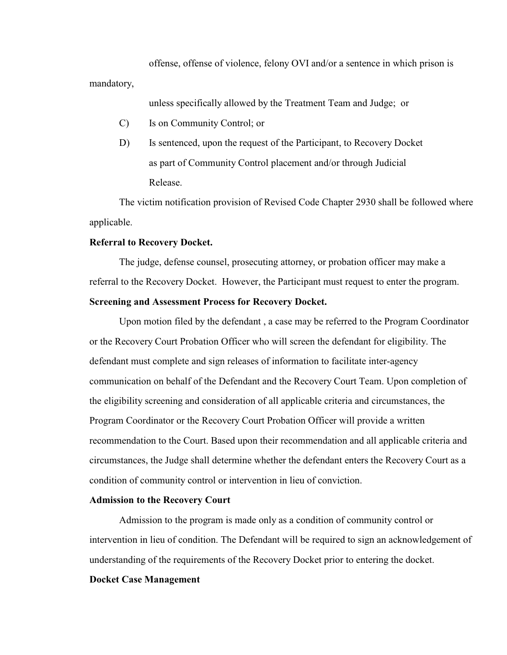offense, offense of violence, felony OVI and/or a sentence in which prison is mandatory,

unless specifically allowed by the Treatment Team and Judge; or

- C) Is on Community Control; or
- D) Is sentenced, upon the request of the Participant, to Recovery Docket as part of Community Control placement and/or through Judicial Release.

The victim notification provision of Revised Code Chapter 2930 shall be followed where applicable.

#### **Referral to Recovery Docket.**

The judge, defense counsel, prosecuting attorney, or probation officer may make a referral to the Recovery Docket. However, the Participant must request to enter the program. **Screening and Assessment Process for Recovery Docket.**

Upon motion filed by the defendant , a case may be referred to the Program Coordinator or the Recovery Court Probation Officer who will screen the defendant for eligibility. The defendant must complete and sign releases of information to facilitate inter-agency communication on behalf of the Defendant and the Recovery Court Team. Upon completion of the eligibility screening and consideration of all applicable criteria and circumstances, the Program Coordinator or the Recovery Court Probation Officer will provide a written recommendation to the Court. Based upon their recommendation and all applicable criteria and circumstances, the Judge shall determine whether the defendant enters the Recovery Court as a condition of community control or intervention in lieu of conviction.

#### **Admission to the Recovery Court**

Admission to the program is made only as a condition of community control or intervention in lieu of condition. The Defendant will be required to sign an acknowledgement of understanding of the requirements of the Recovery Docket prior to entering the docket.

#### **Docket Case Management**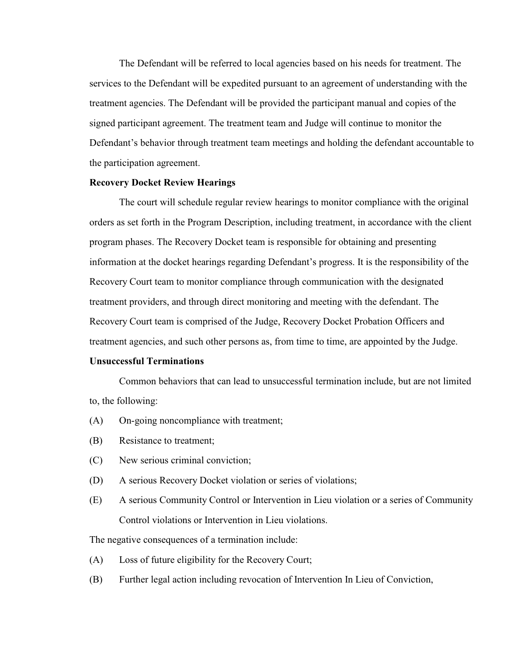The Defendant will be referred to local agencies based on his needs for treatment. The services to the Defendant will be expedited pursuant to an agreement of understanding with the treatment agencies. The Defendant will be provided the participant manual and copies of the signed participant agreement. The treatment team and Judge will continue to monitor the Defendant's behavior through treatment team meetings and holding the defendant accountable to the participation agreement.

#### **Recovery Docket Review Hearings**

The court will schedule regular review hearings to monitor compliance with the original orders as set forth in the Program Description, including treatment, in accordance with the client program phases. The Recovery Docket team is responsible for obtaining and presenting information at the docket hearings regarding Defendant's progress. It is the responsibility of the Recovery Court team to monitor compliance through communication with the designated treatment providers, and through direct monitoring and meeting with the defendant. The Recovery Court team is comprised of the Judge, Recovery Docket Probation Officers and treatment agencies, and such other persons as, from time to time, are appointed by the Judge.

#### **Unsuccessful Terminations**

Common behaviors that can lead to unsuccessful termination include, but are not limited to, the following:

- (A) On-going noncompliance with treatment;
- (B) Resistance to treatment;
- (C) New serious criminal conviction;
- (D) A serious Recovery Docket violation or series of violations;
- (E) A serious Community Control or Intervention in Lieu violation or a series of Community Control violations or Intervention in Lieu violations.

The negative consequences of a termination include:

- (A) Loss of future eligibility for the Recovery Court;
- (B) Further legal action including revocation of Intervention In Lieu of Conviction,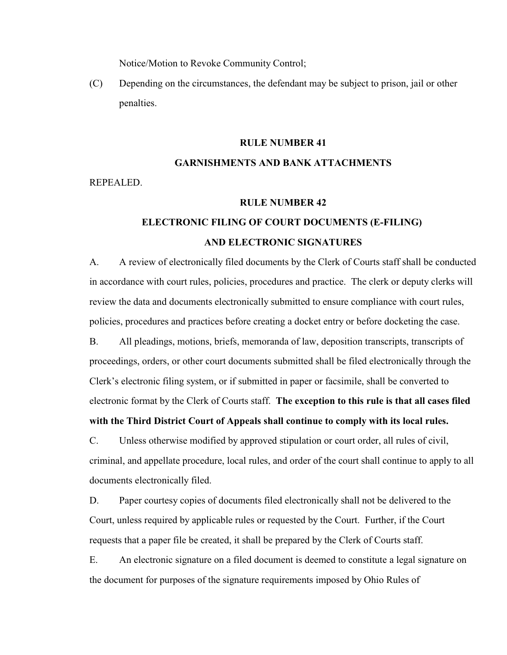Notice/Motion to Revoke Community Control;

(C) Depending on the circumstances, the defendant may be subject to prison, jail or other penalties.

#### **RULE NUMBER 41**

# **GARNISHMENTS AND BANK ATTACHMENTS**

REPEALED.

#### **RULE NUMBER 42**

### **ELECTRONIC FILING OF COURT DOCUMENTS (E-FILING) AND ELECTRONIC SIGNATURES**

A. A review of electronically filed documents by the Clerk of Courts staff shall be conducted in accordance with court rules, policies, procedures and practice. The clerk or deputy clerks will review the data and documents electronically submitted to ensure compliance with court rules, policies, procedures and practices before creating a docket entry or before docketing the case.

B. All pleadings, motions, briefs, memoranda of law, deposition transcripts, transcripts of proceedings, orders, or other court documents submitted shall be filed electronically through the Clerk's electronic filing system, or if submitted in paper or facsimile, shall be converted to electronic format by the Clerk of Courts staff. **The exception to this rule is that all cases filed with the Third District Court of Appeals shall continue to comply with its local rules.**

C. Unless otherwise modified by approved stipulation or court order, all rules of civil, criminal, and appellate procedure, local rules, and order of the court shall continue to apply to all documents electronically filed.

D. Paper courtesy copies of documents filed electronically shall not be delivered to the Court, unless required by applicable rules or requested by the Court. Further, if the Court requests that a paper file be created, it shall be prepared by the Clerk of Courts staff.

E. An electronic signature on a filed document is deemed to constitute a legal signature on the document for purposes of the signature requirements imposed by Ohio Rules of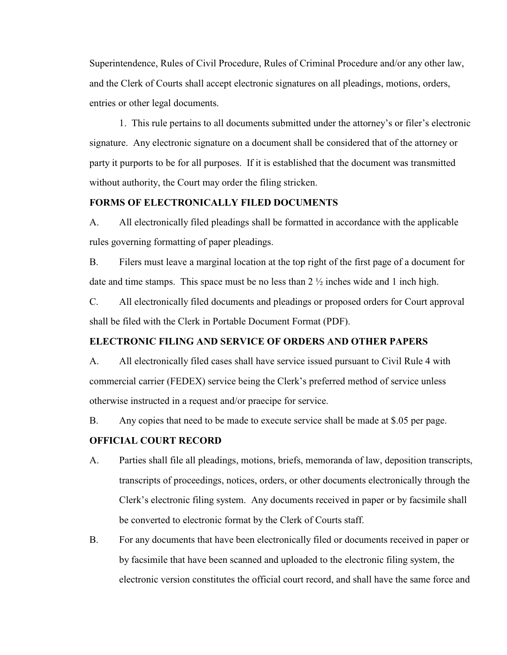Superintendence, Rules of Civil Procedure, Rules of Criminal Procedure and/or any other law, and the Clerk of Courts shall accept electronic signatures on all pleadings, motions, orders, entries or other legal documents.

1. This rule pertains to all documents submitted under the attorney's or filer's electronic signature. Any electronic signature on a document shall be considered that of the attorney or party it purports to be for all purposes. If it is established that the document was transmitted without authority, the Court may order the filing stricken.

#### **FORMS OF ELECTRONICALLY FILED DOCUMENTS**

A. All electronically filed pleadings shall be formatted in accordance with the applicable rules governing formatting of paper pleadings.

B. Filers must leave a marginal location at the top right of the first page of a document for date and time stamps. This space must be no less than  $2 \frac{1}{2}$  inches wide and 1 inch high.

C. All electronically filed documents and pleadings or proposed orders for Court approval shall be filed with the Clerk in Portable Document Format (PDF).

#### **ELECTRONIC FILING AND SERVICE OF ORDERS AND OTHER PAPERS**

A. All electronically filed cases shall have service issued pursuant to Civil Rule 4 with commercial carrier (FEDEX) service being the Clerk's preferred method of service unless otherwise instructed in a request and/or praecipe for service.

B. Any copies that need to be made to execute service shall be made at \$.05 per page.

#### **OFFICIAL COURT RECORD**

- A. Parties shall file all pleadings, motions, briefs, memoranda of law, deposition transcripts, transcripts of proceedings, notices, orders, or other documents electronically through the Clerk's electronic filing system. Any documents received in paper or by facsimile shall be converted to electronic format by the Clerk of Courts staff.
- B. For any documents that have been electronically filed or documents received in paper or by facsimile that have been scanned and uploaded to the electronic filing system, the electronic version constitutes the official court record, and shall have the same force and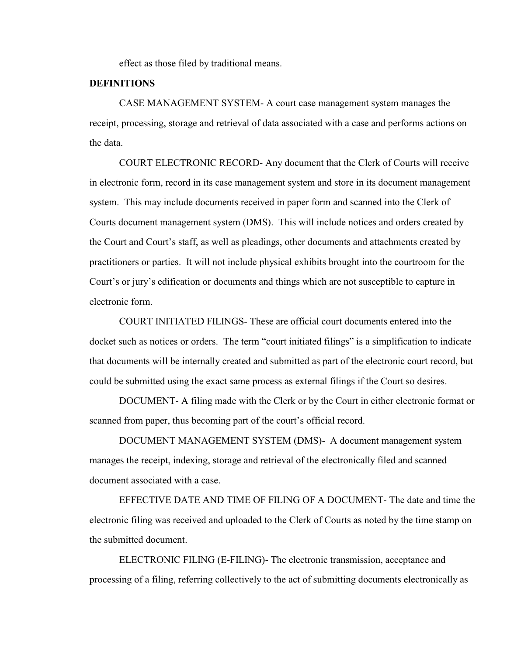effect as those filed by traditional means.

#### **DEFINITIONS**

CASE MANAGEMENT SYSTEM- A court case management system manages the receipt, processing, storage and retrieval of data associated with a case and performs actions on the data.

COURT ELECTRONIC RECORD- Any document that the Clerk of Courts will receive in electronic form, record in its case management system and store in its document management system. This may include documents received in paper form and scanned into the Clerk of Courts document management system (DMS). This will include notices and orders created by the Court and Court's staff, as well as pleadings, other documents and attachments created by practitioners or parties. It will not include physical exhibits brought into the courtroom for the Court's or jury's edification or documents and things which are not susceptible to capture in electronic form.

COURT INITIATED FILINGS- These are official court documents entered into the docket such as notices or orders. The term "court initiated filings" is a simplification to indicate that documents will be internally created and submitted as part of the electronic court record, but could be submitted using the exact same process as external filings if the Court so desires.

DOCUMENT- A filing made with the Clerk or by the Court in either electronic format or scanned from paper, thus becoming part of the court's official record.

DOCUMENT MANAGEMENT SYSTEM (DMS)- A document management system manages the receipt, indexing, storage and retrieval of the electronically filed and scanned document associated with a case.

EFFECTIVE DATE AND TIME OF FILING OF A DOCUMENT- The date and time the electronic filing was received and uploaded to the Clerk of Courts as noted by the time stamp on the submitted document.

ELECTRONIC FILING (E-FILING)- The electronic transmission, acceptance and processing of a filing, referring collectively to the act of submitting documents electronically as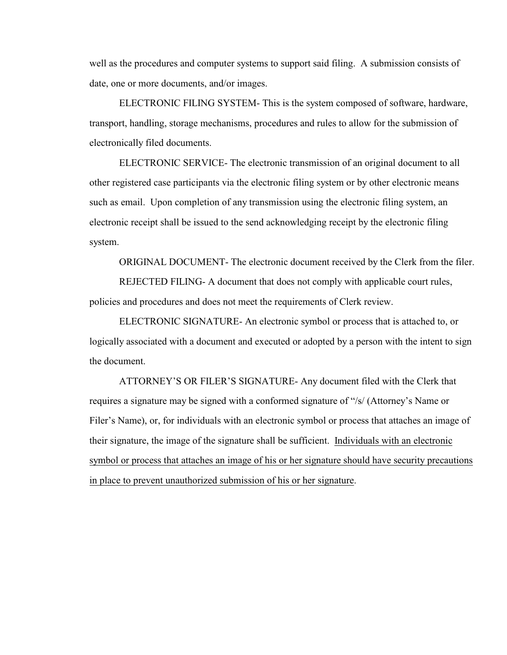well as the procedures and computer systems to support said filing. A submission consists of date, one or more documents, and/or images.

ELECTRONIC FILING SYSTEM- This is the system composed of software, hardware, transport, handling, storage mechanisms, procedures and rules to allow for the submission of electronically filed documents.

ELECTRONIC SERVICE- The electronic transmission of an original document to all other registered case participants via the electronic filing system or by other electronic means such as email. Upon completion of any transmission using the electronic filing system, an electronic receipt shall be issued to the send acknowledging receipt by the electronic filing system.

ORIGINAL DOCUMENT- The electronic document received by the Clerk from the filer.

REJECTED FILING- A document that does not comply with applicable court rules, policies and procedures and does not meet the requirements of Clerk review.

ELECTRONIC SIGNATURE- An electronic symbol or process that is attached to, or logically associated with a document and executed or adopted by a person with the intent to sign the document.

ATTORNEY'S OR FILER'S SIGNATURE- Any document filed with the Clerk that requires a signature may be signed with a conformed signature of "/s/ (Attorney's Name or Filer's Name), or, for individuals with an electronic symbol or process that attaches an image of their signature, the image of the signature shall be sufficient. Individuals with an electronic symbol or process that attaches an image of his or her signature should have security precautions in place to prevent unauthorized submission of his or her signature.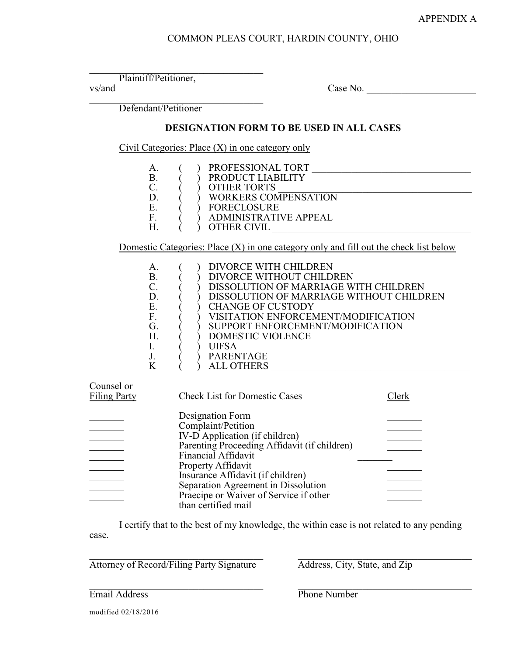#### COMMON PLEAS COURT, HARDIN COUNTY, OHIO

Plaintiff/Petitioner,

 $v$ s/and  $\sim$  Case No.  $\sim$ 

Defendant/Petitioner

#### **DESIGNATION FORM TO BE USED IN ALL CASES**

Civil Categories: Place (X) in one category only

|                                   |                                                               | Civil Categories: Place $(X)$ in one category only                                                                                                                                                                                                                                                                   |
|-----------------------------------|---------------------------------------------------------------|----------------------------------------------------------------------------------------------------------------------------------------------------------------------------------------------------------------------------------------------------------------------------------------------------------------------|
|                                   | А.<br><b>B.</b><br>C.<br>D.<br>Ε.<br>F.                       | PROFESSIONAL TORT<br>PRODUCT LIABILITY<br><b>OTHER TORTS</b><br><b>WORKERS COMPENSATION</b><br><b>FORECLOSURE</b><br><b>ADMINISTRATIVE APPEAL</b>                                                                                                                                                                    |
|                                   | Η.                                                            | OTHER CIVIL<br>Domestic Categories: Place $(X)$ in one category only and fill out the check list below                                                                                                                                                                                                               |
|                                   | А.<br>Β.<br>C.<br>D.<br>Ε.<br>F.<br>G.<br>Н.<br>I.<br>J.<br>K | DIVORCE WITH CHILDREN<br>DIVORCE WITHOUT CHILDREN<br>DISSOLUTION OF MARRIAGE WITH CHILDREN<br>DISSOLUTION OF MARRIAGE WITHOUT CHILDREN<br><b>CHANGE OF CUSTODY</b><br>VISITATION ENFORCEMENT/MODIFICATION<br>SUPPORT ENFORCEMENT/MODIFICATION<br>DOMESTIC VIOLENCE<br><b>UIFSA</b><br>PARENTAGE<br><b>ALL OTHERS</b> |
| Counsel or<br><b>Filing Party</b> |                                                               | <b>Check List for Domestic Cases</b><br>Clerk                                                                                                                                                                                                                                                                        |
|                                   |                                                               | Designation Form<br>Complaint/Petition                                                                                                                                                                                                                                                                               |

| Complaint/Petition                           |  |
|----------------------------------------------|--|
| IV-D Application (if children)               |  |
| Parenting Proceeding Affidavit (if children) |  |
| <b>Financial Affidavit</b>                   |  |
| Property Affidavit                           |  |
| Insurance Affidavit (if children)            |  |
| Separation Agreement in Dissolution          |  |
| Praecipe or Waiver of Service if other       |  |
| than certified mail                          |  |

I certify that to the best of my knowledge, the within case is not related to any pending case.

 $\_$ Attorney of Record/Filing Party Signature Address, City, State, and Zip

 $\_$ **Email Address** Phone Number

modified 02/18/2016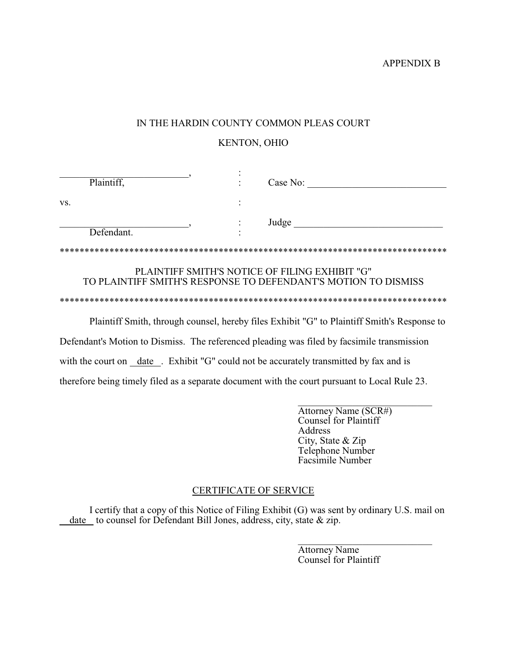APPENDIX B

#### IN THE HARDIN COUNTY COMMON PLEAS COURT

#### KENTON, OHIO

| Plaintiff, | Case No:                                                                                                         |
|------------|------------------------------------------------------------------------------------------------------------------|
| VS.        |                                                                                                                  |
| Defendant. | Judge                                                                                                            |
|            |                                                                                                                  |
|            | PLAINTIFF SMITH'S NOTICE OF FILING EXHIBIT "G"<br>TO PLAINTIFF SMITH'S RESPONSE TO DEFENDANT'S MOTION TO DISMISS |
|            |                                                                                                                  |
|            | Plaintiff Smith, through counsel, hereby files Exhibit "G" to Plaintiff Smith's Response to                      |

Defendant's Motion to Dismiss. The referenced pleading was filed by facsimile transmission with the court on \_date \_. Exhibit "G" could not be accurately transmitted by fax and is therefore being timely filed as a separate document with the court pursuant to Local Rule 23.

> Attorney Name (SCR#) Counsel for Plaintiff Address City, State & Zip Telephone Number Facsimile Number

#### CERTIFICATE OF SERVICE

I certify that a copy of this Notice of Filing Exhibit (G) was sent by ordinary U.S. mail on date to counsel for Defendant Bill Jones, address, city, state & zip.

> Attorney Name Counsel for Plaintiff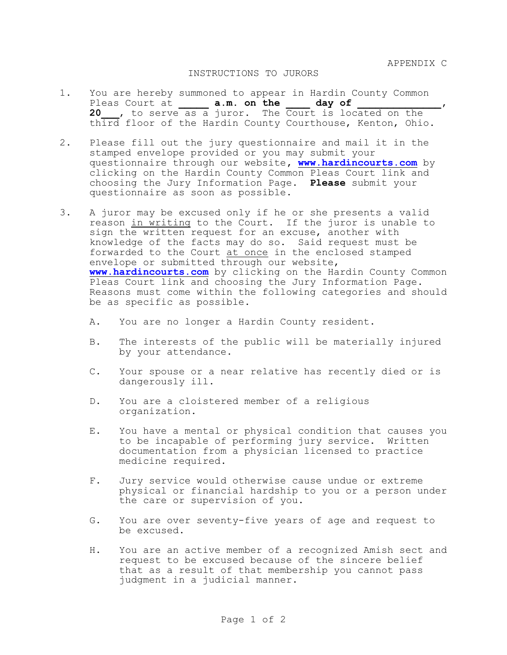APPENDIX C

#### INSTRUCTIONS TO JURORS

- 1. You are hereby summoned to appear in Hardin County Common Pleas Court at **a.m. on the day of 20\_\_\_**, to serve as a juror. The Court is located on the third floor of the Hardin County Courthouse, Kenton, Ohio.
- 2. Please fill out the jury questionnaire and mail it in the stamped envelope provided or you may submit your questionnaire through our website**, [www.hardincourts.com](http://www.hardincourts.com.)** by clicking on the Hardin County Common Pleas Court link and choosing the Jury Information Page**. Please** submit your questionnaire as soon as possible.
- 3. A juror may be excused only if he or she presents a valid reason in writing to the Court. If the juror is unable to sign the written request for an excuse, another with knowledge of the facts may do so. Said request must be forwarded to the Court at once in the enclosed stamped envelope or submitted through our website, **[www.hardincourts.com](http://www.hardincourts.com.)** by clicking on the Hardin County Common Pleas Court link and choosing the Jury Information Page**.** Reasons must come within the following categories and should be as specific as possible.
	- A. You are no longer a Hardin County resident.
	- B. The interests of the public will be materially injured by your attendance.
	- C. Your spouse or a near relative has recently died or is dangerously ill.
	- D. You are a cloistered member of a religious organization.
	- E. You have a mental or physical condition that causes you to be incapable of performing jury service. Written documentation from a physician licensed to practice medicine required.
	- F. Jury service would otherwise cause undue or extreme physical or financial hardship to you or a person under the care or supervision of you.
	- G. You are over seventy-five years of age and request to be excused.
	- H. You are an active member of a recognized Amish sect and request to be excused because of the sincere belief that as a result of that membership you cannot pass judgment in a judicial manner.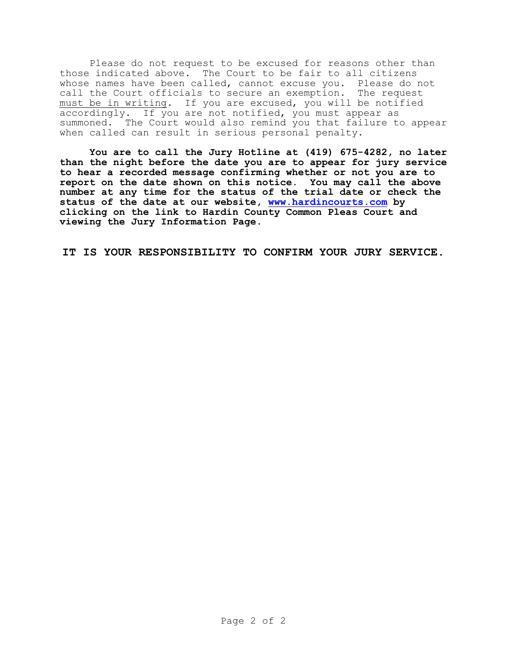Please do not request to be excused for reasons other than those indicated above. The Court to be fair to all citizens whose names have been called, cannot excuse you. Please do not call the Court officials to secure an exemption. The request must be in writing. If you are excused, you will be notified accordingly. If you are not notified, you must appear as summoned. The Court would also remind you that failure to appear when called can result in serious personal penalty.

**You are to call the Jury Hotline at (419) 675-4282, no later than the night before the date you are to appear for jury service to hear a recorded message confirming whether or not you are to report on the date shown on this notice. You may call the above number at any time for the status of the trial date or check the status of the date at our website, [www.hardincourts.com](http://www.hardincourts.com) by clicking on the link to Hardin County Common Pleas Court and viewing the Jury Information Page.** 

**IT IS YOUR RESPONSIBILITY TO CONFIRM YOUR JURY SERVICE.**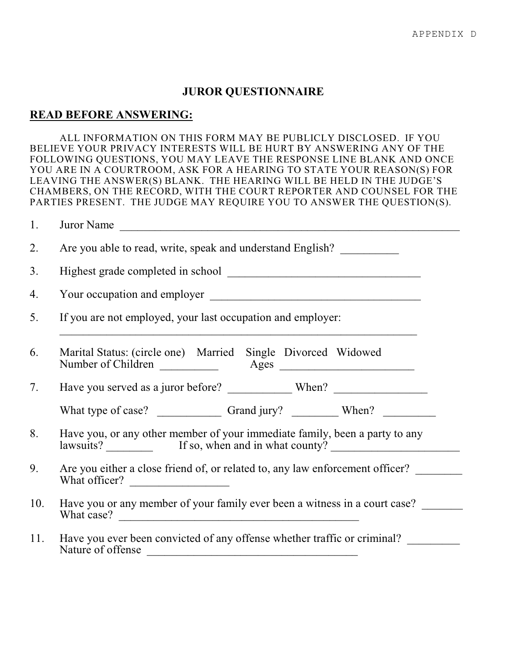#### **JUROR QUESTIONNAIRE**

#### **READ BEFORE ANSWERING:**

ALL INFORMATION ON THIS FORM MAY BE PUBLICLY DISCLOSED. IF YOU BELIEVE YOUR PRIVACY INTERESTS WILL BE HURT BY ANSWERING ANY OF THE FOLLOWING QUESTIONS, YOU MAY LEAVE THE RESPONSE LINE BLANK AND ONCE YOU ARE IN A COURTROOM, ASK FOR A HEARING TO STATE YOUR REASON(S) FOR LEAVING THE ANSWER(S) BLANK. THE HEARING WILL BE HELD IN THE JUDGE'S CHAMBERS, ON THE RECORD, WITH THE COURT REPORTER AND COUNSEL FOR THE PARTIES PRESENT. THE JUDGE MAY REQUIRE YOU TO ANSWER THE QUESTION(S).

| 1.  | Juror Name<br><u> 1980 - Jan Samuel Barbara, margaret e</u> n 1980 eta eta eskualdean eta eskualdean eta ezkualdean ezkualdean.                                                                                       |  |  |  |  |
|-----|-----------------------------------------------------------------------------------------------------------------------------------------------------------------------------------------------------------------------|--|--|--|--|
| 2.  | Are you able to read, write, speak and understand English?                                                                                                                                                            |  |  |  |  |
| 3.  |                                                                                                                                                                                                                       |  |  |  |  |
| 4.  |                                                                                                                                                                                                                       |  |  |  |  |
| 5.  | If you are not employed, your last occupation and employer:                                                                                                                                                           |  |  |  |  |
| 6.  | Marital Status: (circle one) Married Single Divorced Widowed                                                                                                                                                          |  |  |  |  |
| 7.  |                                                                                                                                                                                                                       |  |  |  |  |
|     |                                                                                                                                                                                                                       |  |  |  |  |
| 8.  | Have you, or any other member of your immediate family, been a party to any<br>lawsuits? If so, when and in what county?                                                                                              |  |  |  |  |
| 9.  | Are you either a close friend of, or related to, any law enforcement officer?<br>What officer?                                                                                                                        |  |  |  |  |
| 10. | Have you or any member of your family ever been a witness in a court case?                                                                                                                                            |  |  |  |  |
| 11. | Have you ever been convicted of any offense whether traffic or criminal?<br>Nature of offense<br><u> Alexandria de la contrada de la contrada de la contrada de la contrada de la contrada de la contrada de la c</u> |  |  |  |  |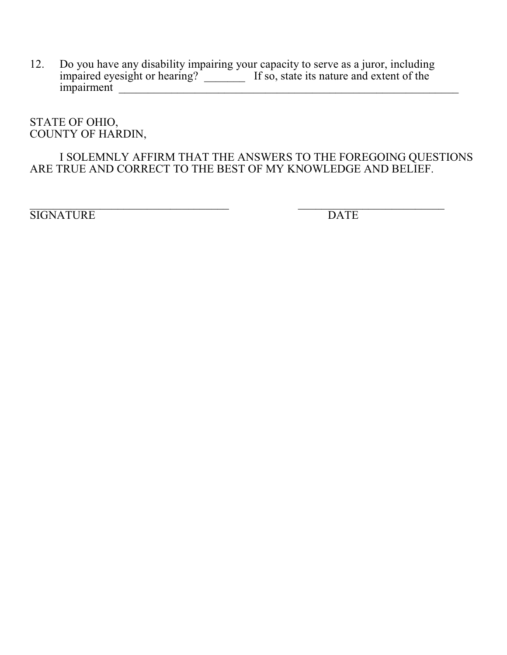12. Do you have any disability impairing your capacity to serve as a juror, including impaired eyesight or hearing? \_\_\_\_\_\_\_\_\_ If so, state its nature and extent of the impairment \_\_\_\_\_\_\_\_\_\_\_\_\_\_\_\_\_\_\_\_\_\_\_\_\_\_\_\_\_\_\_\_\_\_\_\_\_\_\_\_\_\_\_\_\_\_\_\_\_\_\_\_\_\_\_\_\_\_

STATE OF OHIO, COUNTY OF HARDIN,

### I SOLEMNLY AFFIRM THAT THE ANSWERS TO THE FOREGOING QUESTIONS ARE TRUE AND CORRECT TO THE BEST OF MY KNOWLEDGE AND BELIEF.

 $\overline{\phantom{a}}$  , and the contribution of the contribution of the contribution of the contribution of the contribution of the contribution of the contribution of the contribution of the contribution of the contribution of the SIGNATURE DATE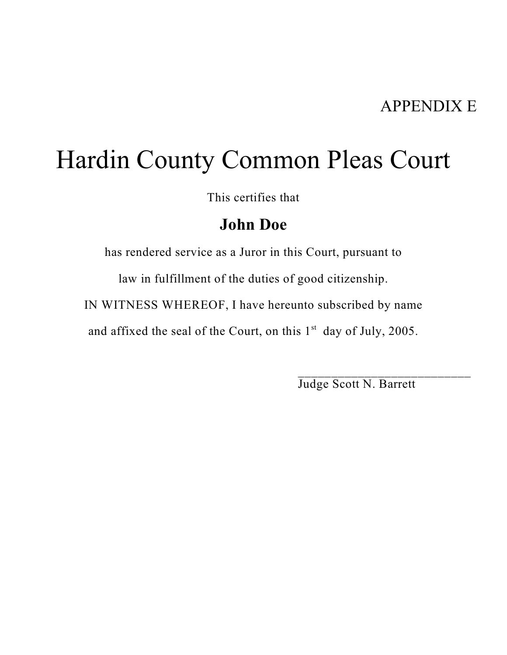# Hardin County Common Pleas Court

This certifies that

## **John Doe**

has rendered service as a Juror in this Court, pursuant to

law in fulfillment of the duties of good citizenship.

IN WITNESS WHEREOF, I have hereunto subscribed by name

and affixed the seal of the Court, on this  $1<sup>st</sup>$  day of July, 2005.

Judge Scott N. Barrett

\_\_\_\_\_\_\_\_\_\_\_\_\_\_\_\_\_\_\_\_\_\_\_\_\_\_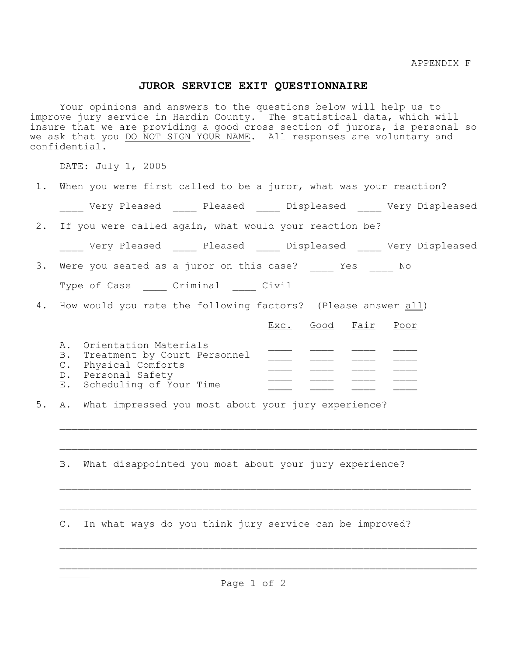#### **JUROR SERVICE EXIT QUESTIONNAIRE**

Your opinions and answers to the questions below will help us to improve jury service in Hardin County. The statistical data, which will insure that we are providing a good cross section of jurors, is personal so we ask that you DO NOT SIGN YOUR NAME. All responses are voluntary and confidential.

DATE: July 1, 2005

|  |  |  |  |  |  | When you were first called to be a juror, what was your reaction? |
|--|--|--|--|--|--|-------------------------------------------------------------------|
|  |  |  |  |  |  |                                                                   |

\_\_\_\_ Very Pleased \_\_\_\_ Pleased \_\_\_\_ Displeased \_\_\_\_ Very Displeased

2. If you were called again, what would your reaction be?

| Verv Pleased | Pleased | Displeased | Very Displeased |
|--------------|---------|------------|-----------------|
|              |         |            |                 |

 $\mathcal{L}_\text{max} = \frac{1}{2} \sum_{i=1}^n \mathcal{L}_\text{max}(\mathbf{z}_i - \mathbf{z}_i)$ 

 $\mathcal{L}_\text{max} = \frac{1}{2} \sum_{i=1}^n \mathcal{L}_\text{max}(\mathbf{z}_i - \mathbf{z}_i)$ 

 $\mathcal{L}_\text{max} = \frac{1}{2} \sum_{i=1}^n \mathcal{L}_\text{max}(\mathbf{z}_i - \mathbf{z}_i)$ 

 $\mathcal{L}_\text{max} = \frac{1}{2} \sum_{i=1}^n \mathcal{L}_\text{max}(\mathbf{z}_i - \mathbf{z}_i)$ 

 $\mathcal{L}_\text{max} = \frac{1}{2} \sum_{i=1}^n \mathcal{L}_\text{max}(\mathbf{z}_i - \mathbf{z}_i)$ 

3. Were you seated as a juror on this case? \_\_\_\_\_ Yes \_\_\_\_\_ No

|  | Type of Case | Criminal | Civil |
|--|--------------|----------|-------|
|  |              |          |       |

4. How would you rate the following factors? (Please answer all)

|                                 | Exc. | Good Fair |  |
|---------------------------------|------|-----------|--|
| A. Orientation Materials        |      |           |  |
| B. Treatment by Court Personnel |      |           |  |
| C. Physical Comforts            |      |           |  |
| D. Personal Safety              |      |           |  |
| E. Scheduling of Your Time      |      |           |  |
|                                 |      |           |  |

5. A. What impressed you most about your jury experience?

B. What disappointed you most about your jury experience?

 $\mathcal{L}_\text{max} = \mathcal{L}_\text{max} = \mathcal{L}_\text{max} = \mathcal{L}_\text{max} = \mathcal{L}_\text{max} = \mathcal{L}_\text{max} = \mathcal{L}_\text{max} = \mathcal{L}_\text{max} = \mathcal{L}_\text{max} = \mathcal{L}_\text{max} = \mathcal{L}_\text{max} = \mathcal{L}_\text{max} = \mathcal{L}_\text{max} = \mathcal{L}_\text{max} = \mathcal{L}_\text{max} = \mathcal{L}_\text{max} = \mathcal{L}_\text{max} = \mathcal{L}_\text{max} = \mathcal{$ 

C. In what ways do you think jury service can be improved?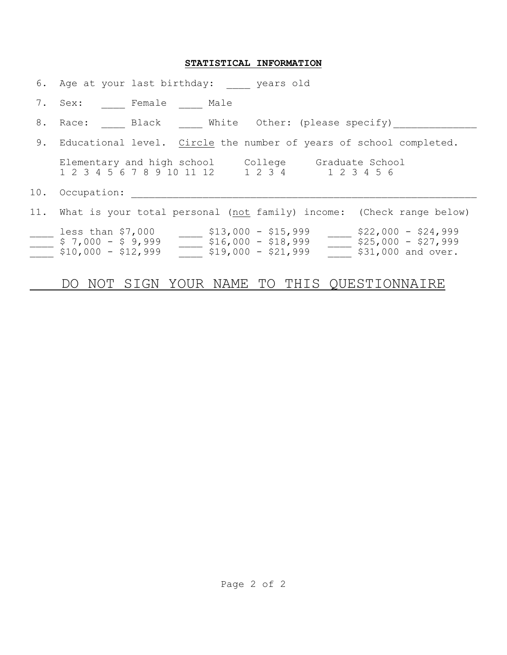#### **STATISTICAL INFORMATION**

|    | 6. Age at your last birthday: years old                                                                                                                                                                               |
|----|-----------------------------------------------------------------------------------------------------------------------------------------------------------------------------------------------------------------------|
|    | 7. Sex: Female Male                                                                                                                                                                                                   |
|    | 8. Race: Black White Other: (please specify)                                                                                                                                                                          |
| 9. | Educational level. Circle the number of years of school completed.                                                                                                                                                    |
|    | Elementary and high school College Graduate School<br>1 2 3 4 1 2 3 4 5 6<br>1 2 3 4 5 6 7 8 9 10 11 12                                                                                                               |
|    | 10. Occupation:                                                                                                                                                                                                       |
|    | 11. What is your total personal (not family) income: (Check range below)                                                                                                                                              |
|    | $$22,000 - $24,999$<br>less than $$7,000$<br>$$13,000 - $15,999$<br>$$7,000 - $9,999$<br>$\frac{1}{2}$ \$16,000 - \$18,999<br>$$25,000 - $27,999$<br>$$10,000 - $12,999$<br>$$19,000 - $21,999$<br>\$31,000 and over. |
|    | SIGN YOUR NAME TO THIS OUESTIONNAIRE<br>NOT -                                                                                                                                                                         |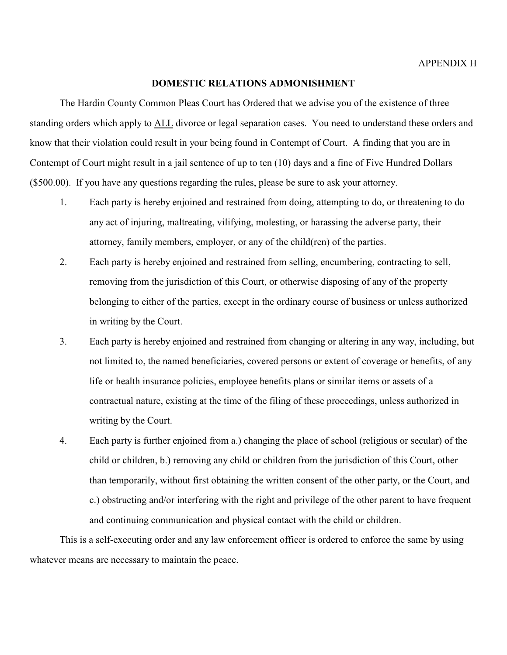## **DOMESTIC RELATIONS ADMONISHMENT**

The Hardin County Common Pleas Court has Ordered that we advise you of the existence of three standing orders which apply to ALL divorce or legal separation cases. You need to understand these orders and know that their violation could result in your being found in Contempt of Court. A finding that you are in Contempt of Court might result in a jail sentence of up to ten (10) days and a fine of Five Hundred Dollars (\$500.00). If you have any questions regarding the rules, please be sure to ask your attorney.

- 1. Each party is hereby enjoined and restrained from doing, attempting to do, or threatening to do any act of injuring, maltreating, vilifying, molesting, or harassing the adverse party, their attorney, family members, employer, or any of the child(ren) of the parties.
- 2. Each party is hereby enjoined and restrained from selling, encumbering, contracting to sell, removing from the jurisdiction of this Court, or otherwise disposing of any of the property belonging to either of the parties, except in the ordinary course of business or unless authorized in writing by the Court.
- 3. Each party is hereby enjoined and restrained from changing or altering in any way, including, but not limited to, the named beneficiaries, covered persons or extent of coverage or benefits, of any life or health insurance policies, employee benefits plans or similar items or assets of a contractual nature, existing at the time of the filing of these proceedings, unless authorized in writing by the Court.
- 4. Each party is further enjoined from a.) changing the place of school (religious or secular) of the child or children, b.) removing any child or children from the jurisdiction of this Court, other than temporarily, without first obtaining the written consent of the other party, or the Court, and c.) obstructing and/or interfering with the right and privilege of the other parent to have frequent and continuing communication and physical contact with the child or children.

This is a self-executing order and any law enforcement officer is ordered to enforce the same by using whatever means are necessary to maintain the peace.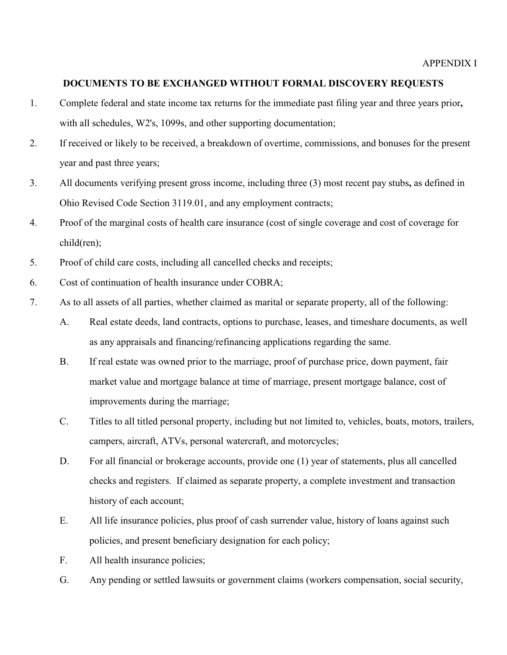## **DOCUMENTS TO BE EXCHANGED WITHOUT FORMAL DISCOVERY REQUESTS**

- 1. Complete federal and state income tax returns for the immediate past filing year and three years prior**,** with all schedules, W2's, 1099s, and other supporting documentation;
- 2. If received or likely to be received, a breakdown of overtime, commissions, and bonuses for the present year and past three years;
- 3. All documents verifying present gross income, including three (3) most recent pay stubs**,** as defined in Ohio Revised Code Section 3119.01, and any employment contracts;
- 4. Proof of the marginal costs of health care insurance (cost of single coverage and cost of coverage for child(ren);
- 5. Proof of child care costs, including all cancelled checks and receipts;
- 6. Cost of continuation of health insurance under COBRA;
- 7. As to all assets of all parties, whether claimed as marital or separate property, all of the following:
	- A. Real estate deeds, land contracts, options to purchase, leases, and timeshare documents, as well as any appraisals and financing/refinancing applications regarding the same.
	- B. If real estate was owned prior to the marriage, proof of purchase price, down payment, fair market value and mortgage balance at time of marriage, present mortgage balance, cost of improvements during the marriage;
	- C. Titles to all titled personal property, including but not limited to, vehicles, boats, motors, trailers, campers, aircraft, ATVs, personal watercraft, and motorcycles;
	- D. For all financial or brokerage accounts, provide one (1) year of statements, plus all cancelled checks and registers. If claimed as separate property, a complete investment and transaction history of each account;
	- E. All life insurance policies, plus proof of cash surrender value, history of loans against such policies, and present beneficiary designation for each policy;
	- F. All health insurance policies;
	- G. Any pending or settled lawsuits or government claims (workers compensation, social security,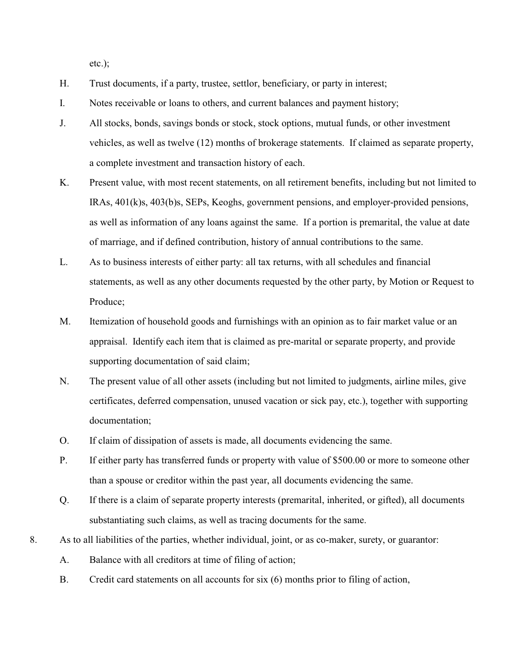etc.);

- H. Trust documents, if a party, trustee, settlor, beneficiary, or party in interest;
- I. Notes receivable or loans to others, and current balances and payment history;
- J. All stocks, bonds, savings bonds or stock, stock options, mutual funds, or other investment vehicles, as well as twelve (12) months of brokerage statements. If claimed as separate property, a complete investment and transaction history of each.
- K. Present value, with most recent statements, on all retirement benefits, including but not limited to IRAs, 401(k)s, 403(b)s, SEPs, Keoghs, government pensions, and employer-provided pensions, as well as information of any loans against the same. If a portion is premarital, the value at date of marriage, and if defined contribution, history of annual contributions to the same.
- L. As to business interests of either party: all tax returns, with all schedules and financial statements, as well as any other documents requested by the other party, by Motion or Request to Produce;
- M. Itemization of household goods and furnishings with an opinion as to fair market value or an appraisal. Identify each item that is claimed as pre-marital or separate property, and provide supporting documentation of said claim;
- N. The present value of all other assets (including but not limited to judgments, airline miles, give certificates, deferred compensation, unused vacation or sick pay, etc.), together with supporting documentation;
- O. If claim of dissipation of assets is made, all documents evidencing the same.
- P. If either party has transferred funds or property with value of \$500.00 or more to someone other than a spouse or creditor within the past year, all documents evidencing the same.
- Q. If there is a claim of separate property interests (premarital, inherited, or gifted), all documents substantiating such claims, as well as tracing documents for the same.
- 8. As to all liabilities of the parties, whether individual, joint, or as co-maker, surety, or guarantor:
	- A. Balance with all creditors at time of filing of action;
	- B. Credit card statements on all accounts for six (6) months prior to filing of action,